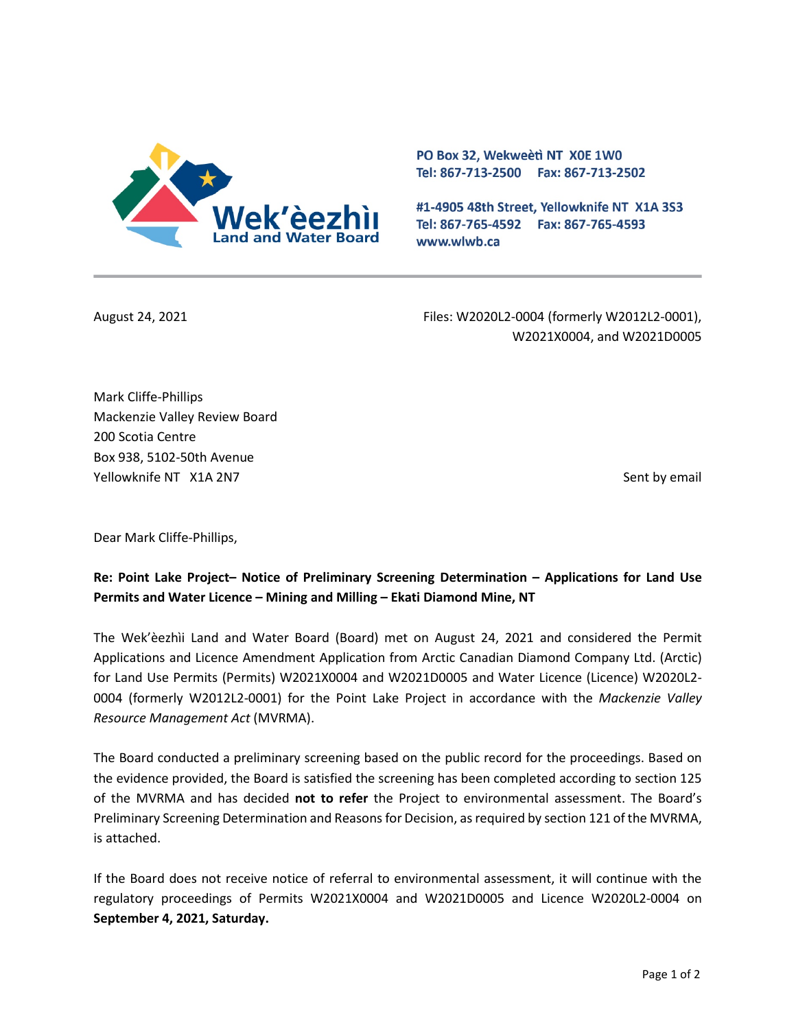

PO Box 32, Wekweeti NT X0E 1W0 Tel: 867-713-2500 Fax: 867-713-2502

#1-4905 48th Street, Yellowknife NT X1A 3S3 Tel: 867-765-4592 Fax: 867-765-4593 www.wlwb.ca

August 24, 2021 Files: W2020L2-0004 (formerly W2012L2-0001), W2021X0004, and W2021D0005

Mark Cliffe-Phillips Mackenzie Valley Review Board 200 Scotia Centre Box 938, 5102-50th Avenue Yellowknife NT X1A 2N7 Sent by email and the sent by email sent by email sent by email sent by email

Dear Mark Cliffe-Phillips,

# **Re: Point Lake Project– Notice of Preliminary Screening Determination – Applications for Land Use Permits and Water Licence – Mining and Milling – Ekati Diamond Mine, NT**

The Wek'èezhìi Land and Water Board (Board) met on August 24, 2021 and considered the Permit Applications and Licence Amendment Application from Arctic Canadian Diamond Company Ltd. (Arctic) for Land Use Permits (Permits) W2021X0004 and W2021D0005 and Water Licence (Licence) W2020L2- 0004 (formerly W2012L2-0001) for the Point Lake Project in accordance with the *Mackenzie Valley Resource Management Act* (MVRMA).

The Board conducted a preliminary screening based on the public record for the proceedings. Based on the evidence provided, the Board is satisfied the screening has been completed according to section 125 of the MVRMA and has decided **not to refer** the Project to environmental assessment. The Board's Preliminary Screening Determination and Reasons for Decision, as required by section 121 of the MVRMA, is attached.

If the Board does not receive notice of referral to environmental assessment, it will continue with the regulatory proceedings of Permits W2021X0004 and W2021D0005 and Licence W2020L2-0004 on **September 4, 2021, Saturday.**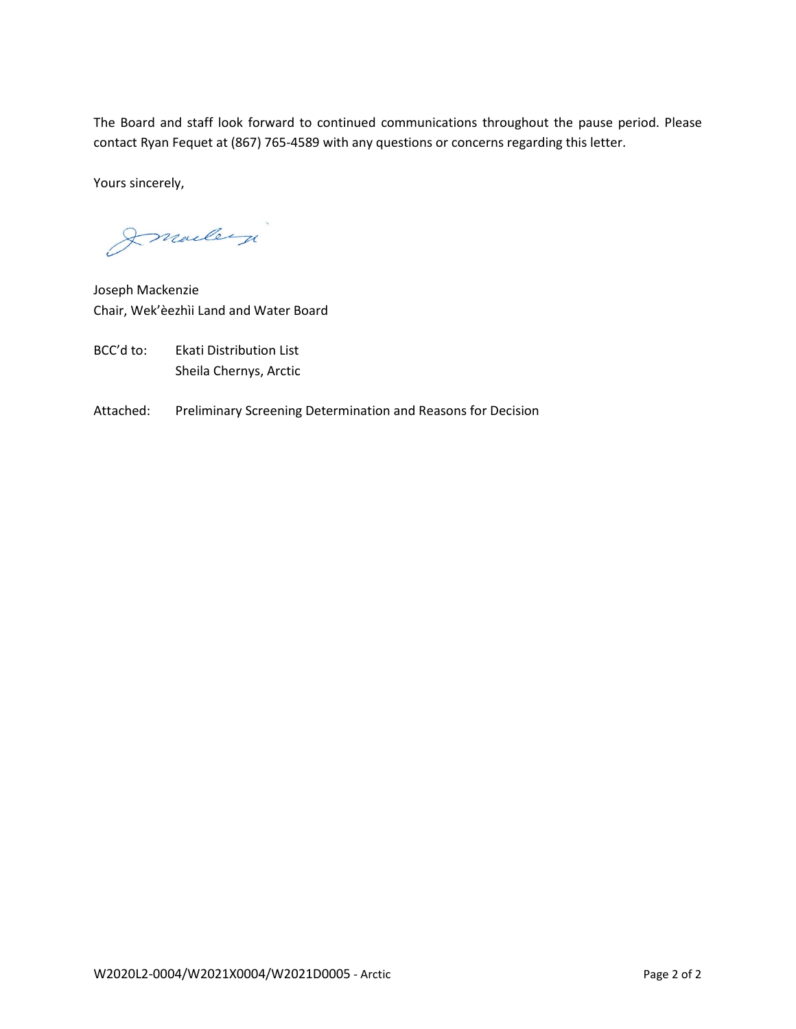The Board and staff look forward to continued communications throughout the pause period. Please contact Ryan Fequet at (867) 765-4589 with any questions or concerns regarding this letter.

Yours sincerely,

Imailey

Joseph Mackenzie Chair, Wek'èezhìi Land and Water Board

- BCC'd to: Ekati Distribution List Sheila Chernys, Arctic
- Attached: Preliminary Screening Determination and Reasons for Decision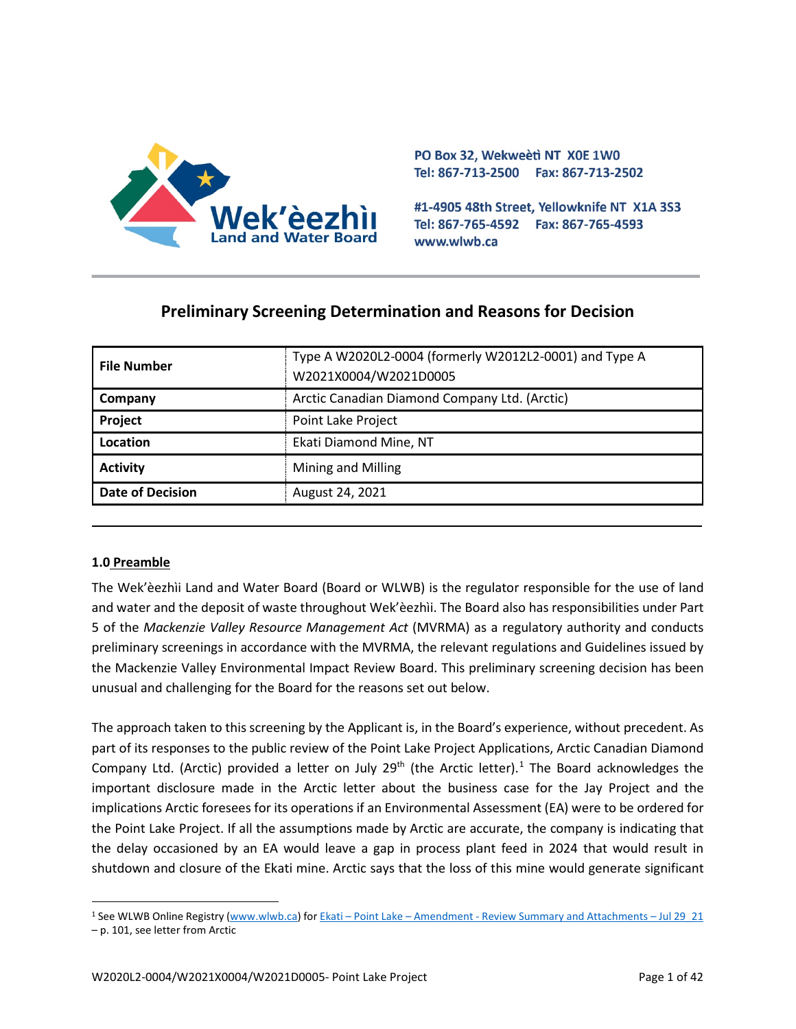

PO Box 32, Wekweeti NT X0E 1W0 Tel: 867-713-2500 Fax: 867-713-2502

#1-4905 48th Street, Yellowknife NT X1A 3S3 Tel: 867-765-4592 Fax: 867-765-4593 www.wlwb.ca

# **Preliminary Screening Determination and Reasons for Decision**

| <b>File Number</b>      | Type A W2020L2-0004 (formerly W2012L2-0001) and Type A<br>W2021X0004/W2021D0005 |
|-------------------------|---------------------------------------------------------------------------------|
| Company                 | Arctic Canadian Diamond Company Ltd. (Arctic)                                   |
| Project                 | Point Lake Project                                                              |
| Location                | Ekati Diamond Mine, NT                                                          |
| <b>Activity</b>         | Mining and Milling                                                              |
| <b>Date of Decision</b> | August 24, 2021                                                                 |

## **1.0 Preamble**

The Wek'èezhìi Land and Water Board (Board or WLWB) is the regulator responsible for the use of land and water and the deposit of waste throughout Wek'èezhìi. The Board also has responsibilities under Part 5 of the *Mackenzie Valley Resource Management Act* (MVRMA) as a regulatory authority and conducts preliminary screenings in accordance with the MVRMA, the relevant regulations and Guidelines issued by the Mackenzie Valley Environmental Impact Review Board. This preliminary screening decision has been unusual and challenging for the Board for the reasons set out below.

The approach taken to this screening by the Applicant is, in the Board's experience, without precedent. As part of its responses to the public review of the Point Lake Project Applications, Arctic Canadian Diamond Company Ltd. (Arctic) provided a letter on July 29<sup>th</sup> (the Arctic letter).<sup>[1](#page-2-0)</sup> The Board acknowledges the important disclosure made in the Arctic letter about the business case for the Jay Project and the implications Arctic foresees for its operations if an Environmental Assessment (EA) were to be ordered for the Point Lake Project. If all the assumptions made by Arctic are accurate, the company is indicating that the delay occasioned by an EA would leave a gap in process plant feed in 2024 that would result in shutdown and closure of the Ekati mine. Arctic says that the loss of this mine would generate significant

<span id="page-2-0"></span><sup>1</sup> See WLWB Online Registry [\(www.wlwb.ca\)](http://www.wlwb.ca/) for Ekati – Point Lake – Amendment - [Review Summary and Attachments](http://registry.mvlwb.ca/Documents/W2012L2-0001/W2012L2-0001%20-%20Ekati%20-%20Point%20Lake%20-%20Amendment%20-%20Review%20Summary%20and%20Attachments%20-%20Jul%2029_21.pdf) – Jul 29\_21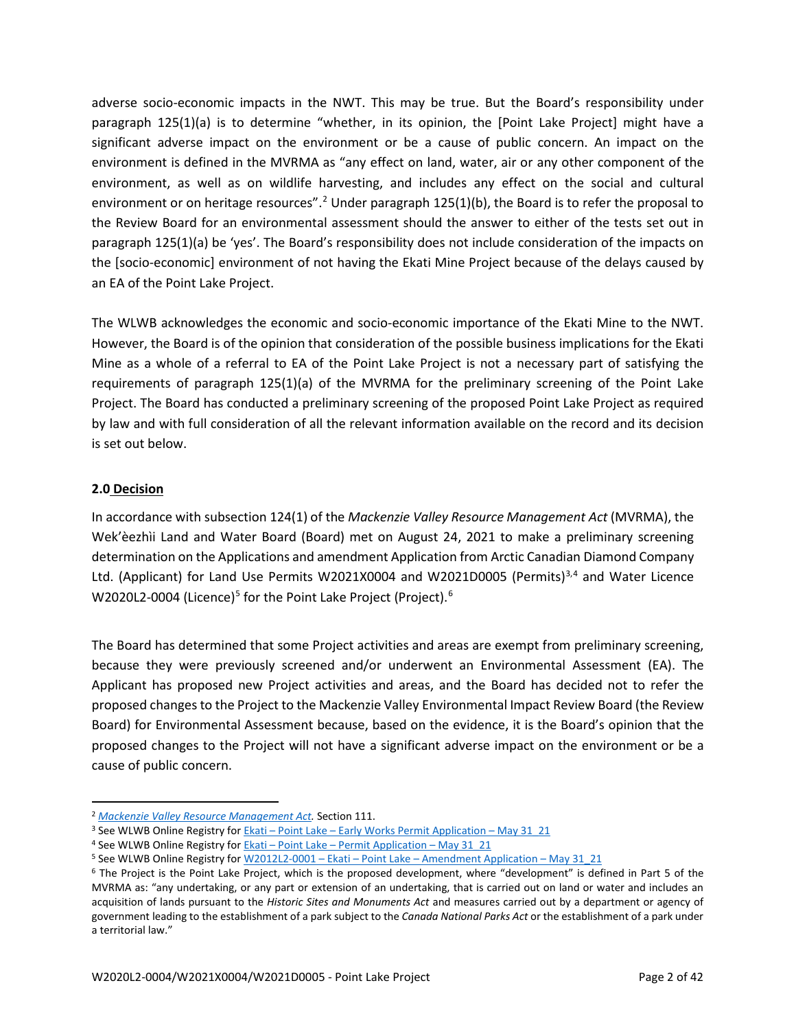adverse socio-economic impacts in the NWT. This may be true. But the Board's responsibility under paragraph 125(1)(a) is to determine "whether, in its opinion, the [Point Lake Project] might have a significant adverse impact on the environment or be a cause of public concern. An impact on the environment is defined in the MVRMA as "any effect on land, water, air or any other component of the environment, as well as on wildlife harvesting, and includes any effect on the social and cultural environment or on heritage resources".<sup>[2](#page-3-0)</sup> Under paragraph  $125(1)(b)$ , the Board is to refer the proposal to the Review Board for an environmental assessment should the answer to either of the tests set out in paragraph 125(1)(a) be 'yes'. The Board's responsibility does not include consideration of the impacts on the [socio-economic] environment of not having the Ekati Mine Project because of the delays caused by an EA of the Point Lake Project.

The WLWB acknowledges the economic and socio-economic importance of the Ekati Mine to the NWT. However, the Board is of the opinion that consideration of the possible business implications for the Ekati Mine as a whole of a referral to EA of the Point Lake Project is not a necessary part of satisfying the requirements of paragraph 125(1)(a) of the MVRMA for the preliminary screening of the Point Lake Project. The Board has conducted a preliminary screening of the proposed Point Lake Project as required by law and with full consideration of all the relevant information available on the record and its decision is set out below.

## **2.0 Decision**

In accordance with subsection 124(1) of the *Mackenzie Valley Resource Management Act* (MVRMA), the Wek'èezhìi Land and Water Board (Board) met on August 24, 2021 to make a preliminary screening determination on the Applications and amendment Application from Arctic Canadian Diamond Company Ltd. (Applicant) for Land Use Permits W2021X0004 and W2021D0005 (Permits)<sup>[3,](#page-3-1)[4](#page-3-2)</sup> and Water Licence W2020L2-0004 (Licence)<sup>[5](#page-3-3)</sup> for the Point Lake Project (Project).<sup>[6](#page-3-4)</sup>

The Board has determined that some Project activities and areas are exempt from preliminary screening, because they were previously screened and/or underwent an Environmental Assessment (EA). The Applicant has proposed new Project activities and areas, and the Board has decided not to refer the proposed changes to the Project to the Mackenzie Valley Environmental Impact Review Board (the Review Board) for Environmental Assessment because, based on the evidence, it is the Board's opinion that the proposed changes to the Project will not have a significant adverse impact on the environment or be a cause of public concern.

<span id="page-3-0"></span><sup>2</sup> *[Mackenzie Valley Resource Management Act.](https://laws-lois.justice.gc.ca/PDF/M-0.2.pdf)* Section 111.

<span id="page-3-1"></span><sup>&</sup>lt;sup>3</sup> See WLWB Online Registry for Ekati – Point Lake – [Early Works Permit Application –](http://registry.mvlwb.ca/Documents/W2021X0004/Ekati%20-%20Point%20Lake%20-%20Early%20Works%20Permit%20Application%20-%20May%2031_21.pdf) May 31\_21

<span id="page-3-2"></span><sup>4</sup> See WLWB Online Registry for Ekati – Point Lake – [Permit Application –](http://registry.mvlwb.ca/Documents/W2021D0005/Ekati%20-%20Point%20Lake%20-%20Permit%20Application%20-%20May%2031_21.pdf) May 31\_21

<span id="page-3-3"></span><sup>5</sup> See WLWB Online Registry for W2012L2-0001 – Ekati – Point Lake – [Amendment Application –](http://registry.mvlwb.ca/Documents/W2012L2-0001/W2012L2-0001%20-%20Ekati%20-%20Point%20Lake%20-%20Amendment%20Application%20-%20May%2031_21.pdf) May 31\_21

<span id="page-3-4"></span><sup>6</sup> The Project is the Point Lake Project, which is the proposed development, where "development" is defined in Part 5 of the MVRMA as: "any undertaking, or any part or extension of an undertaking, that is carried out on land or water and includes an acquisition of lands pursuant to the *Historic Sites and Monuments Act* and measures carried out by a department or agency of government leading to the establishment of a park subject to the *Canada National Parks Act* or the establishment of a park under a territorial law."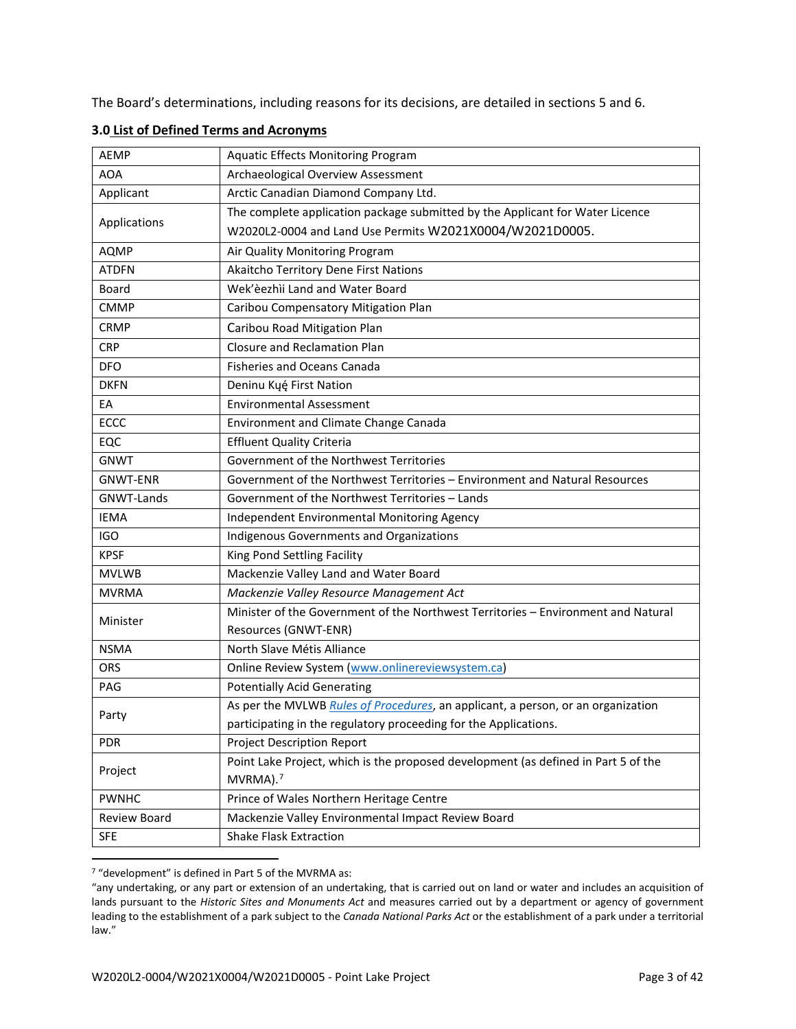The Board's determinations, including reasons for its decisions, are detailed in sections 5 and 6.

| <b>AEMP</b>     | <b>Aquatic Effects Monitoring Program</b>                                          |
|-----------------|------------------------------------------------------------------------------------|
| <b>AOA</b>      | Archaeological Overview Assessment                                                 |
| Applicant       | Arctic Canadian Diamond Company Ltd.                                               |
|                 | The complete application package submitted by the Applicant for Water Licence      |
| Applications    | W2020L2-0004 and Land Use Permits W2021X0004/W2021D0005.                           |
| <b>AQMP</b>     | Air Quality Monitoring Program                                                     |
| <b>ATDFN</b>    | Akaitcho Territory Dene First Nations                                              |
| Board           | Wek'èezhìi Land and Water Board                                                    |
| <b>CMMP</b>     | Caribou Compensatory Mitigation Plan                                               |
| <b>CRMP</b>     | Caribou Road Mitigation Plan                                                       |
| <b>CRP</b>      | <b>Closure and Reclamation Plan</b>                                                |
| <b>DFO</b>      | <b>Fisheries and Oceans Canada</b>                                                 |
| <b>DKFN</b>     | Deninu Kųę́ First Nation                                                           |
| EA              | <b>Environmental Assessment</b>                                                    |
| <b>ECCC</b>     | Environment and Climate Change Canada                                              |
| EQC             | <b>Effluent Quality Criteria</b>                                                   |
| <b>GNWT</b>     | Government of the Northwest Territories                                            |
| <b>GNWT-ENR</b> | Government of the Northwest Territories - Environment and Natural Resources        |
| GNWT-Lands      | Government of the Northwest Territories - Lands                                    |
| <b>IEMA</b>     | Independent Environmental Monitoring Agency                                        |
| <b>IGO</b>      | Indigenous Governments and Organizations                                           |
| <b>KPSF</b>     | King Pond Settling Facility                                                        |
| <b>MVLWB</b>    | Mackenzie Valley Land and Water Board                                              |
| <b>MVRMA</b>    | Mackenzie Valley Resource Management Act                                           |
| Minister        | Minister of the Government of the Northwest Territories - Environment and Natural  |
|                 | Resources (GNWT-ENR)                                                               |
| <b>NSMA</b>     | North Slave Métis Alliance                                                         |
| <b>ORS</b>      | Online Review System (www.onlinereviewsystem.ca)                                   |
| PAG             | <b>Potentially Acid Generating</b>                                                 |
| Party           | As per the MVLWB Rules of Procedures, an applicant, a person, or an organization   |
|                 | participating in the regulatory proceeding for the Applications.                   |
| <b>PDR</b>      | Project Description Report                                                         |
| Project         | Point Lake Project, which is the proposed development (as defined in Part 5 of the |
|                 | MVRMA). <sup>7</sup>                                                               |
| <b>PWNHC</b>    | Prince of Wales Northern Heritage Centre                                           |
| Review Board    | Mackenzie Valley Environmental Impact Review Board                                 |
| <b>SFE</b>      | <b>Shake Flask Extraction</b>                                                      |

#### **3.0 List of Defined Terms and Acronyms**

<span id="page-4-0"></span><sup>7</sup> "development" is defined in Part 5 of the MVRMA as:

<sup>&</sup>quot;any undertaking, or any part or extension of an undertaking, that is carried out on land or water and includes an acquisition of lands pursuant to the *Historic Sites and Monuments Act* and measures carried out by a department or agency of government leading to the establishment of a park subject to the *Canada National Parks Act* or the establishment of a park under a territorial law."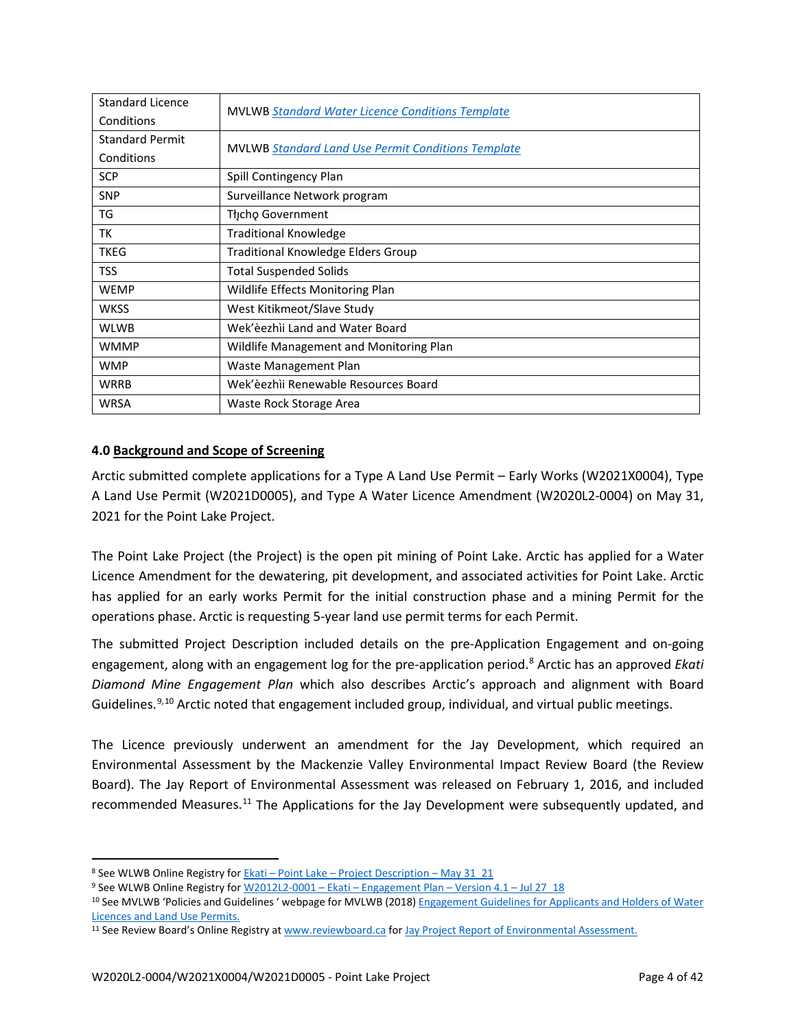| <b>Standard Licence</b> |                                                           |
|-------------------------|-----------------------------------------------------------|
| Conditions              | <b>MVLWB Standard Water Licence Conditions Template</b>   |
| <b>Standard Permit</b>  | <b>MVLWB Standard Land Use Permit Conditions Template</b> |
| Conditions              |                                                           |
| <b>SCP</b>              | Spill Contingency Plan                                    |
| <b>SNP</b>              | Surveillance Network program                              |
| TG                      | Thicho Government                                         |
| ТK                      | <b>Traditional Knowledge</b>                              |
| <b>TKEG</b>             | <b>Traditional Knowledge Elders Group</b>                 |
| <b>TSS</b>              | <b>Total Suspended Solids</b>                             |
| <b>WEMP</b>             | Wildlife Effects Monitoring Plan                          |
| <b>WKSS</b>             | West Kitikmeot/Slave Study                                |
| <b>WLWB</b>             | Wek'èezhìi Land and Water Board                           |
| <b>WMMP</b>             | Wildlife Management and Monitoring Plan                   |
| <b>WMP</b>              | Waste Management Plan                                     |
| <b>WRRB</b>             | Wek'èezhìi Renewable Resources Board                      |
| <b>WRSA</b>             | Waste Rock Storage Area                                   |

## **4.0 Background and Scope of Screening**

Arctic submitted complete applications for a Type A Land Use Permit – Early Works (W2021X0004), Type A Land Use Permit (W2021D0005), and Type A Water Licence Amendment (W2020L2-0004) on May 31, 2021 for the Point Lake Project.

The Point Lake Project (the Project) is the open pit mining of Point Lake. Arctic has applied for a Water Licence Amendment for the dewatering, pit development, and associated activities for Point Lake. Arctic has applied for an early works Permit for the initial construction phase and a mining Permit for the operations phase. Arctic is requesting 5-year land use permit terms for each Permit.

The submitted Project Description included details on the pre-Application Engagement and on-going engagement, along with an engagement log for the pre-application period. [8](#page-5-0) Arctic has an approved *Ekati Diamond Mine Engagement Plan* which also describes Arctic's approach and alignment with Board Guidelines.<sup>[9](#page-5-1),[10](#page-5-2)</sup> Arctic noted that engagement included group, individual, and virtual public meetings.

The Licence previously underwent an amendment for the Jay Development, which required an Environmental Assessment by the Mackenzie Valley Environmental Impact Review Board (the Review Board). The Jay Report of Environmental Assessment was released on February 1, 2016, and included recommended Measures.<sup>[11](#page-5-3)</sup> The Applications for the Jay Development were subsequently updated, and

<span id="page-5-0"></span><sup>8</sup> See WLWB Online Registry for **Ekati** – Point Lake – [Project Description –](http://registry.mvlwb.ca/Documents/W2012L2-0001/W2012L2-0001%20-%20Ekati%20-%20Point%20Lake%20-%20Project%20Description%20-%20May%2031_21.pdf) May 31\_21

<span id="page-5-1"></span><sup>9</sup> See WLWB Online Registry for W2012L2-0001 – Ekati – [Engagement Plan –](https://registry.mvlwb.ca/Documents/W2012L2-0001/W2012L2-0001%20-%20Ekati%20-%20Engagement%20Plan%20-%20Version%204.1%20-%20Jul%2027_18.pdf) Version 4.1 – Jul 27\_18

<span id="page-5-2"></span><sup>&</sup>lt;sup>10</sup> See MVLWB 'Policies and Guidelines ' webpage for MVLWB (2018) Engagement Guidelines for Applicants and Holders of Water [Licences and Land Use Permits.](https://mvlwb.com/sites/default/files/mvlwb_engagement_guidelines_for_holders_of_lups_and_wls_-_october_2_19.pdf)

<span id="page-5-3"></span><sup>11</sup> See Review Board's Online Registry a[t www.reviewboard.ca](http://www.reviewboard.ca/) fo[r Jay Project Report of Environmental Assessment.](https://reviewboard.ca/upload/project_document/EA1314-01_Report_of_Environmental_Assesment_and_Reasons_for_Decision.PDF)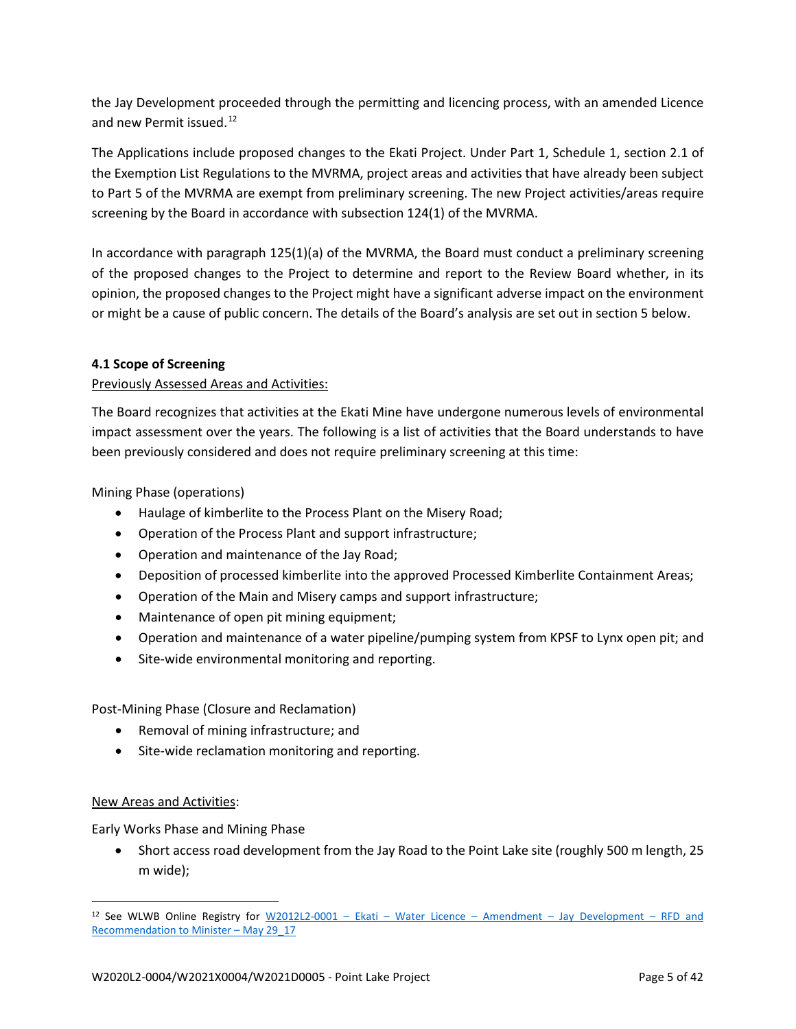the Jay Development proceeded through the permitting and licencing process, with an amended Licence and new Permit issued.<sup>[12](#page-6-0)</sup>

The Applications include proposed changes to the Ekati Project. Under Part 1, Schedule 1, section 2.1 of the Exemption List Regulations to the MVRMA, project areas and activities that have already been subject to Part 5 of the MVRMA are exempt from preliminary screening. The new Project activities/areas require screening by the Board in accordance with subsection 124(1) of the MVRMA.

In accordance with paragraph 125(1)(a) of the MVRMA, the Board must conduct a preliminary screening of the proposed changes to the Project to determine and report to the Review Board whether, in its opinion, the proposed changes to the Project might have a significant adverse impact on the environment or might be a cause of public concern. The details of the Board's analysis are set out in section 5 below.

## **4.1 Scope of Screening**

## Previously Assessed Areas and Activities:

The Board recognizes that activities at the Ekati Mine have undergone numerous levels of environmental impact assessment over the years. The following is a list of activities that the Board understands to have been previously considered and does not require preliminary screening at this time:

Mining Phase (operations)

- Haulage of kimberlite to the Process Plant on the Misery Road;
- Operation of the Process Plant and support infrastructure;
- Operation and maintenance of the Jay Road;
- Deposition of processed kimberlite into the approved Processed Kimberlite Containment Areas;
- Operation of the Main and Misery camps and support infrastructure;
- Maintenance of open pit mining equipment;
- Operation and maintenance of a water pipeline/pumping system from KPSF to Lynx open pit; and
- Site-wide environmental monitoring and reporting.

Post-Mining Phase (Closure and Reclamation)

- Removal of mining infrastructure; and
- Site-wide reclamation monitoring and reporting.

### New Areas and Activities:

Early Works Phase and Mining Phase

• Short access road development from the Jay Road to the Point Lake site (roughly 500 m length, 25 m wide);

<span id="page-6-0"></span><sup>12</sup> See WLWB Online Registry for W2012L2-0001 – Ekati – Water Licence – Amendment – [Jay Development –](https://registry.mvlwb.ca/Documents/W2012L2-0001/W2012L2-0001%20-%20Ekati%20-%20Water%20Licence%20-%20Amendment%20-%20Jay%20Development%20-%20RFD%20and%20Recommendation%20to%20Minister%20-%20May%2029_17.pdf) RFD and [Recommendation to Minister –](https://registry.mvlwb.ca/Documents/W2012L2-0001/W2012L2-0001%20-%20Ekati%20-%20Water%20Licence%20-%20Amendment%20-%20Jay%20Development%20-%20RFD%20and%20Recommendation%20to%20Minister%20-%20May%2029_17.pdf) May 29\_17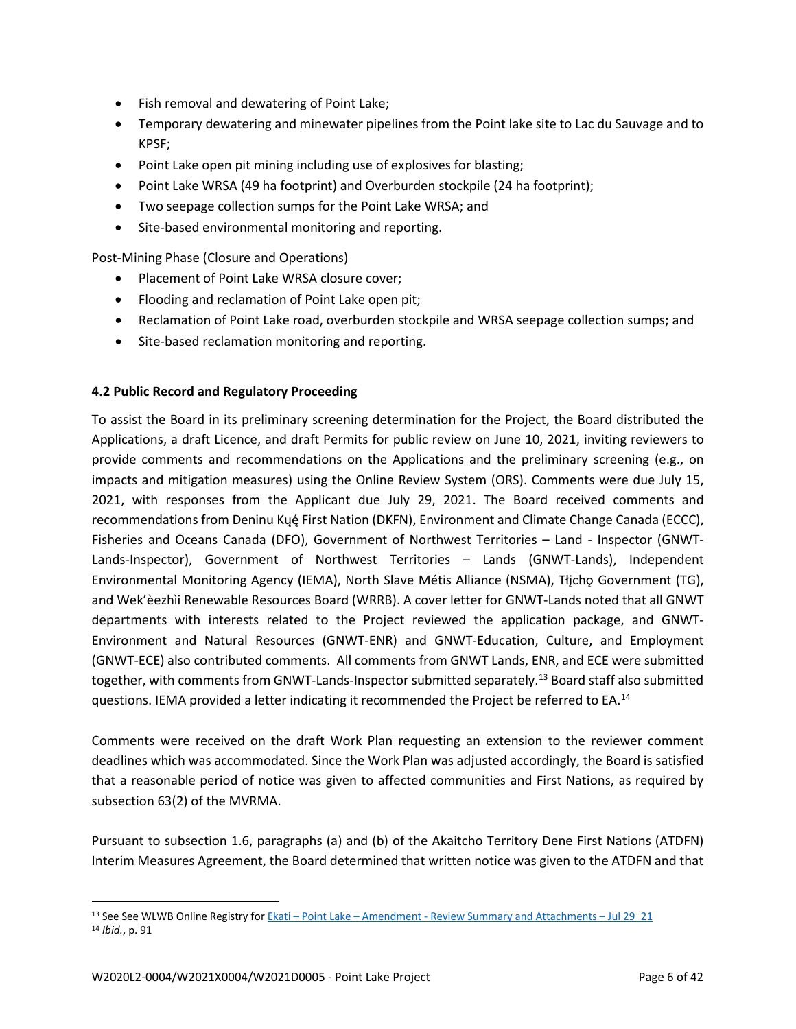- Fish removal and dewatering of Point Lake;
- Temporary dewatering and minewater pipelines from the Point lake site to Lac du Sauvage and to KPSF;
- Point Lake open pit mining including use of explosives for blasting;
- Point Lake WRSA (49 ha footprint) and Overburden stockpile (24 ha footprint);
- Two seepage collection sumps for the Point Lake WRSA; and
- Site-based environmental monitoring and reporting.

Post-Mining Phase (Closure and Operations)

- Placement of Point Lake WRSA closure cover;
- Flooding and reclamation of Point Lake open pit;
- Reclamation of Point Lake road, overburden stockpile and WRSA seepage collection sumps; and
- Site-based reclamation monitoring and reporting.

### **4.2 Public Record and Regulatory Proceeding**

To assist the Board in its preliminary screening determination for the Project, the Board distributed the Applications, a draft Licence, and draft Permits for public review on June 10, 2021, inviting reviewers to provide comments and recommendations on the Applications and the preliminary screening (e.g., on impacts and mitigation measures) using the Online Review System (ORS). Comments were due July 15, 2021, with responses from the Applicant due July 29, 2021. The Board received comments and recommendations from Deninu Kųę́First Nation (DKFN), Environment and Climate Change Canada (ECCC), Fisheries and Oceans Canada (DFO), Government of Northwest Territories – Land - Inspector (GNWT-Lands-Inspector), Government of Northwest Territories – Lands (GNWT-Lands), Independent Environmental Monitoring Agency (IEMA), North Slave Métis Alliance (NSMA), Tłicho Government (TG), and Wek'èezhìi Renewable Resources Board (WRRB). A cover letter for GNWT-Lands noted that all GNWT departments with interests related to the Project reviewed the application package, and GNWT-Environment and Natural Resources (GNWT-ENR) and GNWT-Education, Culture, and Employment (GNWT-ECE) also contributed comments. All comments from GNWT Lands, ENR, and ECE were submitted together, with comments from GNWT-Lands-Inspector submitted separately.[13](#page-7-0) Board staff also submitted questions. IEMA provided a letter indicating it recommended the Project be referred to EA.<sup>[14](#page-7-1)</sup>

Comments were received on the draft Work Plan requesting an extension to the reviewer comment deadlines which was accommodated. Since the Work Plan was adjusted accordingly, the Board is satisfied that a reasonable period of notice was given to affected communities and First Nations, as required by subsection 63(2) of the MVRMA.

Pursuant to subsection 1.6, paragraphs (a) and (b) of the Akaitcho Territory Dene First Nations (ATDFN) Interim Measures Agreement, the Board determined that written notice was given to the ATDFN and that

<span id="page-7-1"></span><span id="page-7-0"></span><sup>13</sup> See See WLWB Online Registry for Ekati – Point Lake – Amendment - [Review Summary and Attachments –](http://registry.mvlwb.ca/Documents/W2012L2-0001/W2012L2-0001%20-%20Ekati%20-%20Point%20Lake%20-%20Amendment%20-%20Review%20Summary%20and%20Attachments%20-%20Jul%2029_21.pdf) Jul 29\_21 <sup>14</sup> *Ibid.*, p. 91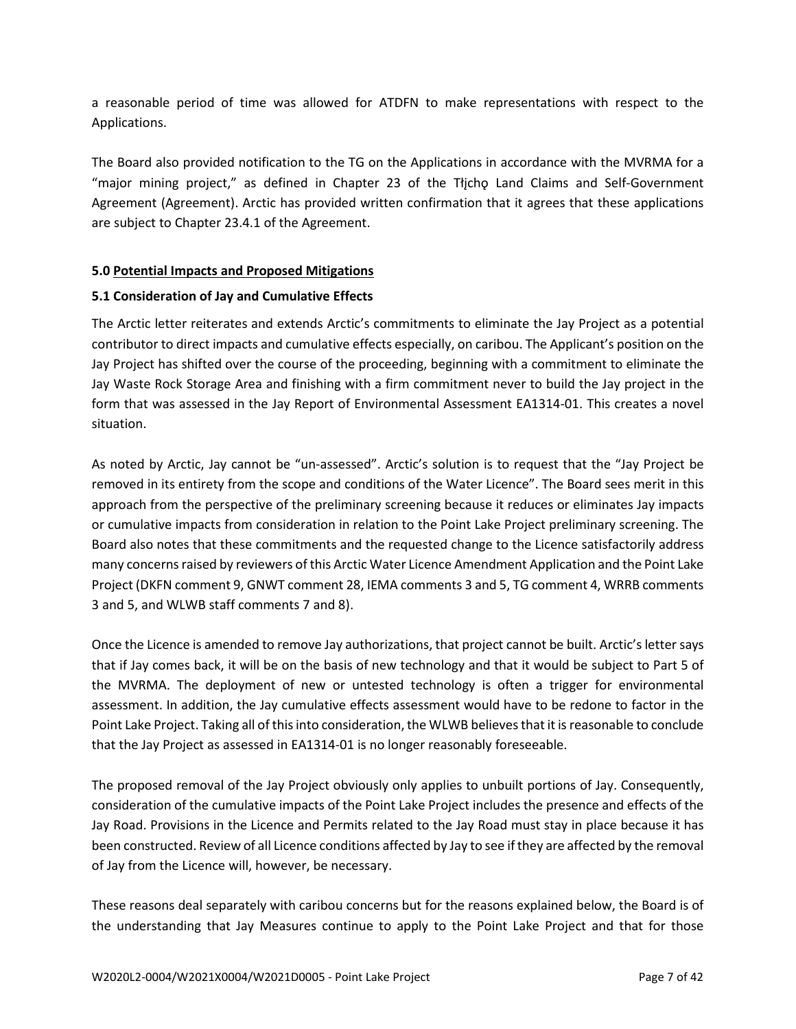a reasonable period of time was allowed for ATDFN to make representations with respect to the Applications.

The Board also provided notification to the TG on the Applications in accordance with the MVRMA for a "major mining project," as defined in Chapter 23 of the Tłįchǫ Land Claims and Self-Government Agreement (Agreement). Arctic has provided written confirmation that it agrees that these applications are subject to Chapter 23.4.1 of the Agreement.

### **5.0 Potential Impacts and Proposed Mitigations**

### **5.1 Consideration of Jay and Cumulative Effects**

The Arctic letter reiterates and extends Arctic's commitments to eliminate the Jay Project as a potential contributor to direct impacts and cumulative effects especially, on caribou. The Applicant's position on the Jay Project has shifted over the course of the proceeding, beginning with a commitment to eliminate the Jay Waste Rock Storage Area and finishing with a firm commitment never to build the Jay project in the form that was assessed in the Jay Report of Environmental Assessment EA1314-01. This creates a novel situation.

As noted by Arctic, Jay cannot be "un-assessed". Arctic's solution is to request that the "Jay Project be removed in its entirety from the scope and conditions of the Water Licence". The Board sees merit in this approach from the perspective of the preliminary screening because it reduces or eliminates Jay impacts or cumulative impacts from consideration in relation to the Point Lake Project preliminary screening. The Board also notes that these commitments and the requested change to the Licence satisfactorily address many concerns raised by reviewers of this Arctic Water Licence Amendment Application and the Point Lake Project (DKFN comment 9, GNWT comment 28, IEMA comments 3 and 5, TG comment 4, WRRB comments 3 and 5, and WLWB staff comments 7 and 8).

Once the Licence is amended to remove Jay authorizations, that project cannot be built. Arctic's letter says that if Jay comes back, it will be on the basis of new technology and that it would be subject to Part 5 of the MVRMA. The deployment of new or untested technology is often a trigger for environmental assessment. In addition, the Jay cumulative effects assessment would have to be redone to factor in the Point Lake Project. Taking all of this into consideration, the WLWB believes that it is reasonable to conclude that the Jay Project as assessed in EA1314-01 is no longer reasonably foreseeable.

The proposed removal of the Jay Project obviously only applies to unbuilt portions of Jay. Consequently, consideration of the cumulative impacts of the Point Lake Project includes the presence and effects of the Jay Road. Provisions in the Licence and Permits related to the Jay Road must stay in place because it has been constructed. Review of all Licence conditions affected by Jay to see if they are affected by the removal of Jay from the Licence will, however, be necessary.

These reasons deal separately with caribou concerns but for the reasons explained below, the Board is of the understanding that Jay Measures continue to apply to the Point Lake Project and that for those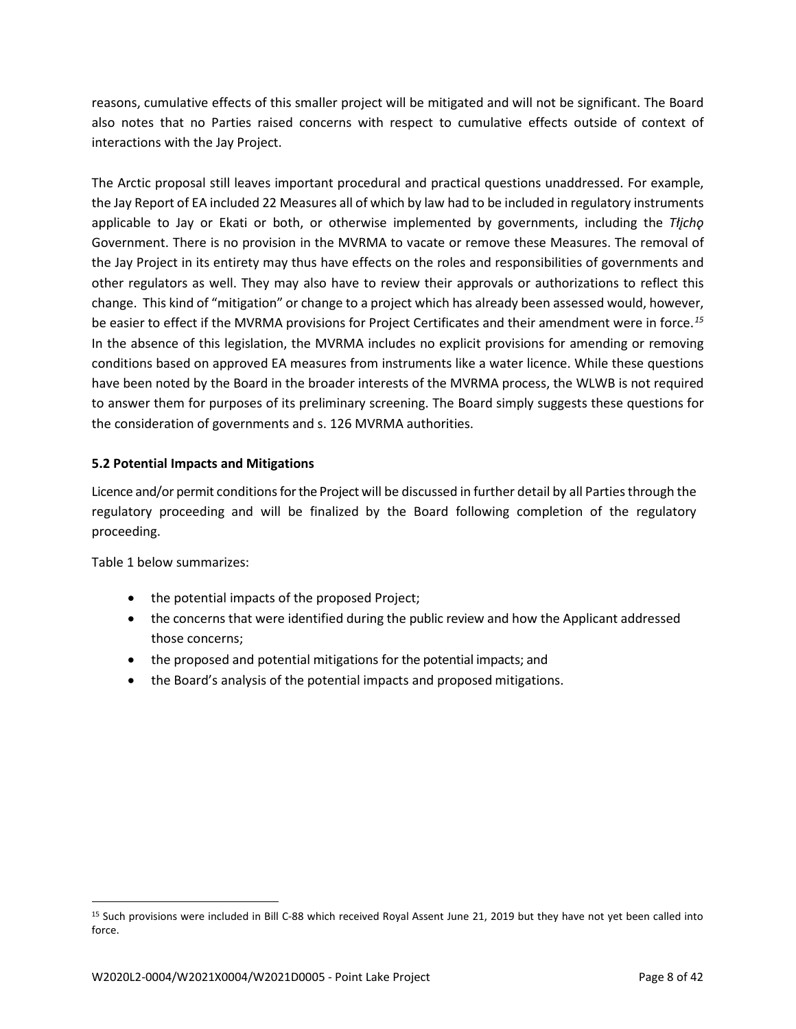reasons, cumulative effects of this smaller project will be mitigated and will not be significant. The Board also notes that no Parties raised concerns with respect to cumulative effects outside of context of interactions with the Jay Project.

The Arctic proposal still leaves important procedural and practical questions unaddressed. For example, the Jay Report of EA included 22 Measures all of which by law had to be included in regulatory instruments applicable to Jay or Ekati or both, or otherwise implemented by governments, including the *Tłįchǫ* Government. There is no provision in the MVRMA to vacate or remove these Measures. The removal of the Jay Project in its entirety may thus have effects on the roles and responsibilities of governments and other regulators as well. They may also have to review their approvals or authorizations to reflect this change. This kind of "mitigation" or change to a project which has already been assessed would, however, be easier to effect if the MVRMA provisions for Project Certificates and their amendment were in force.*[15](#page-9-0)* In the absence of this legislation, the MVRMA includes no explicit provisions for amending or removing conditions based on approved EA measures from instruments like a water licence. While these questions have been noted by the Board in the broader interests of the MVRMA process, the WLWB is not required to answer them for purposes of its preliminary screening. The Board simply suggests these questions for the consideration of governments and s. 126 MVRMA authorities.

### **5.2 Potential Impacts and Mitigations**

Licence and/or permit conditions for the Project will be discussed in further detail by all Parties through the regulatory proceeding and will be finalized by the Board following completion of the regulatory proceeding.

Table 1 below summarizes:

- the potential impacts of the proposed Project;
- the concerns that were identified during the public review and how the Applicant addressed those concerns;
- the proposed and potential mitigations for the potential impacts; and
- the Board's analysis of the potential impacts and proposed mitigations.

<span id="page-9-0"></span><sup>15</sup> Such provisions were included in Bill C-88 which received Royal Assent June 21, 2019 but they have not yet been called into force.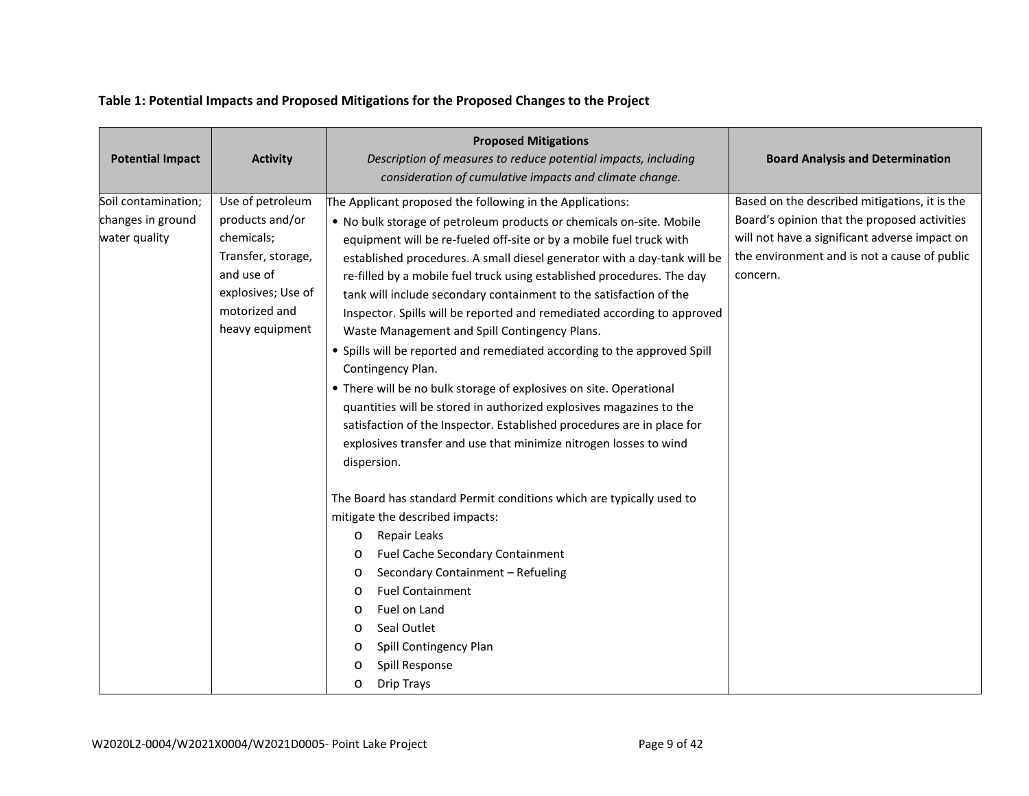| <b>Potential Impact</b>                                   | <b>Activity</b>                                                                                                                                 | <b>Proposed Mitigations</b><br>Description of measures to reduce potential impacts, including<br>consideration of cumulative impacts and climate change.                                                                                                                                                                                                                                                                                                                                                                                                                                                                                                                                                                                                                                                                                                                                                                                                                     | <b>Board Analysis and Determination</b>                                                                                                                                                                                                                                                                                                                                                                |
|-----------------------------------------------------------|-------------------------------------------------------------------------------------------------------------------------------------------------|------------------------------------------------------------------------------------------------------------------------------------------------------------------------------------------------------------------------------------------------------------------------------------------------------------------------------------------------------------------------------------------------------------------------------------------------------------------------------------------------------------------------------------------------------------------------------------------------------------------------------------------------------------------------------------------------------------------------------------------------------------------------------------------------------------------------------------------------------------------------------------------------------------------------------------------------------------------------------|--------------------------------------------------------------------------------------------------------------------------------------------------------------------------------------------------------------------------------------------------------------------------------------------------------------------------------------------------------------------------------------------------------|
| Soil contamination;<br>changes in ground<br>water quality | Use of petroleum<br>products and/or<br>chemicals;<br>Transfer, storage,<br>and use of<br>explosives; Use of<br>motorized and<br>heavy equipment | The Applicant proposed the following in the Applications:<br>. No bulk storage of petroleum products or chemicals on-site. Mobile<br>equipment will be re-fueled off-site or by a mobile fuel truck with<br>established procedures. A small diesel generator with a day-tank will be<br>re-filled by a mobile fuel truck using established procedures. The day<br>tank will include secondary containment to the satisfaction of the<br>Inspector. Spills will be reported and remediated according to approved<br>Waste Management and Spill Contingency Plans.<br>• Spills will be reported and remediated according to the approved Spill<br>Contingency Plan.<br>• There will be no bulk storage of explosives on site. Operational<br>quantities will be stored in authorized explosives magazines to the<br>satisfaction of the Inspector. Established procedures are in place for<br>explosives transfer and use that minimize nitrogen losses to wind<br>dispersion. | Based on the described mitigations, it is the<br>Board's opinion that the proposed activities<br>will not have a significant adverse impact on<br>the environment and is not a cause of public<br>concern.                                                                                                                                                                                             |
|                                                           |                                                                                                                                                 |                                                                                                                                                                                                                                                                                                                                                                                                                                                                                                                                                                                                                                                                                                                                                                                                                                                                                                                                                                              | The Board has standard Permit conditions which are typically used to<br>mitigate the described impacts:<br>Repair Leaks<br>O<br>Fuel Cache Secondary Containment<br>$\circ$<br>Secondary Containment - Refueling<br>O<br><b>Fuel Containment</b><br>$\circ$<br>Fuel on Land<br>O<br>Seal Outlet<br>$\circ$<br>Spill Contingency Plan<br>$\circ$<br>Spill Response<br>O<br><b>Drip Trays</b><br>$\circ$ |

# **Table 1: Potential Impacts and Proposed Mitigations for the Proposed Changes to the Project**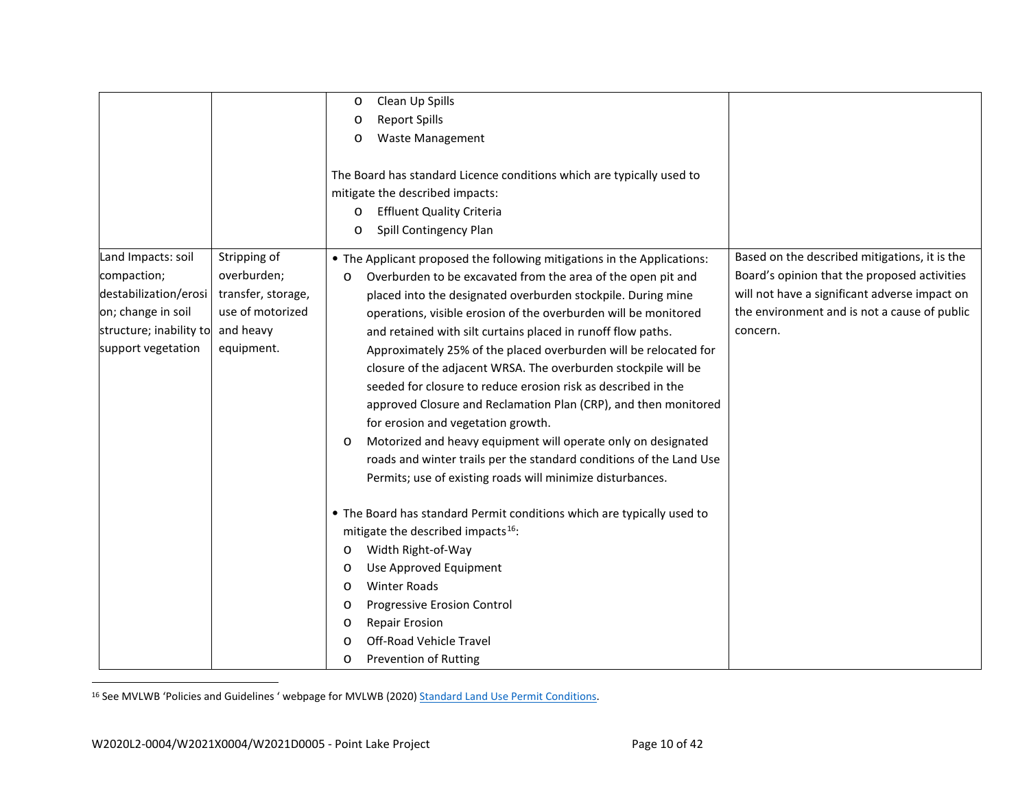<span id="page-11-0"></span>

|                         |                    | Clean Up Spills<br>$\circ$                                               |                                               |
|-------------------------|--------------------|--------------------------------------------------------------------------|-----------------------------------------------|
|                         |                    | <b>Report Spills</b>                                                     |                                               |
|                         |                    | $\circ$                                                                  |                                               |
|                         |                    | <b>Waste Management</b><br>$\circ$                                       |                                               |
|                         |                    |                                                                          |                                               |
|                         |                    | The Board has standard Licence conditions which are typically used to    |                                               |
|                         |                    | mitigate the described impacts:                                          |                                               |
|                         |                    | <b>Effluent Quality Criteria</b><br>$\circ$                              |                                               |
|                         |                    | Spill Contingency Plan<br>$\circ$                                        |                                               |
| Land Impacts: soil      | Stripping of       | • The Applicant proposed the following mitigations in the Applications:  | Based on the described mitigations, it is the |
| compaction;             | overburden;        | Overburden to be excavated from the area of the open pit and<br>O        | Board's opinion that the proposed activities  |
| destabilization/erosi   | transfer, storage, | placed into the designated overburden stockpile. During mine             | will not have a significant adverse impact on |
| on; change in soil      | use of motorized   | operations, visible erosion of the overburden will be monitored          | the environment and is not a cause of public  |
| structure; inability to | and heavy          | and retained with silt curtains placed in runoff flow paths.             | concern.                                      |
| support vegetation      | equipment.         | Approximately 25% of the placed overburden will be relocated for         |                                               |
|                         |                    | closure of the adjacent WRSA. The overburden stockpile will be           |                                               |
|                         |                    | seeded for closure to reduce erosion risk as described in the            |                                               |
|                         |                    | approved Closure and Reclamation Plan (CRP), and then monitored          |                                               |
|                         |                    | for erosion and vegetation growth.                                       |                                               |
|                         |                    | Motorized and heavy equipment will operate only on designated<br>$\circ$ |                                               |
|                         |                    | roads and winter trails per the standard conditions of the Land Use      |                                               |
|                         |                    | Permits; use of existing roads will minimize disturbances.               |                                               |
|                         |                    | • The Board has standard Permit conditions which are typically used to   |                                               |
|                         |                    | mitigate the described impacts <sup>16</sup> :                           |                                               |
|                         |                    | Width Right-of-Way<br>O                                                  |                                               |
|                         |                    | Use Approved Equipment<br>$\circ$                                        |                                               |
|                         |                    | <b>Winter Roads</b><br>$\circ$                                           |                                               |
|                         |                    | Progressive Erosion Control<br>$\circ$                                   |                                               |
|                         |                    | <b>Repair Erosion</b><br>$\circ$                                         |                                               |
|                         |                    | Off-Road Vehicle Travel<br>$\circ$                                       |                                               |
|                         |                    | <b>Prevention of Rutting</b><br>$\circ$                                  |                                               |

<sup>16</sup> See MVLWB 'Policies and Guidelines ' webpage for MVLWB (2020) [Standard Land Use Permit Conditions.](https://mvlwb.com/sites/default/files/standard_land_use_permit_conditions_template_-_public_version_2.3_-_aug_7_20.pdf)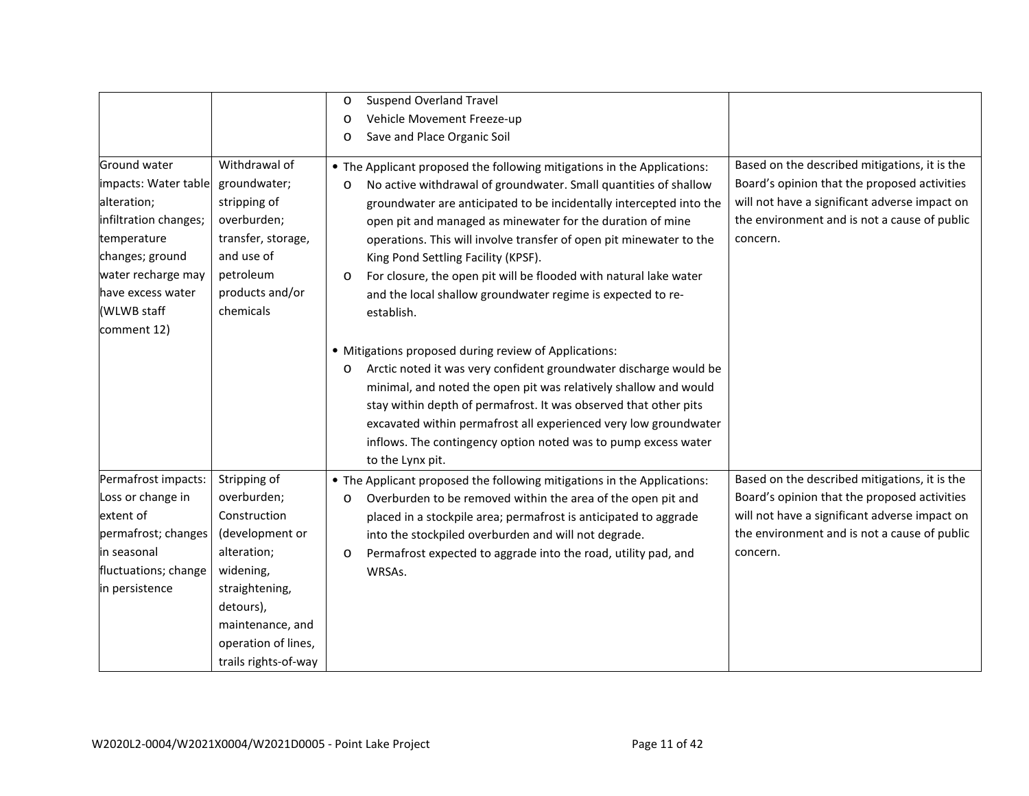|                       |                      | $\circ$ | <b>Suspend Overland Travel</b>                                          |                                               |
|-----------------------|----------------------|---------|-------------------------------------------------------------------------|-----------------------------------------------|
|                       |                      | $\circ$ | Vehicle Movement Freeze-up                                              |                                               |
|                       |                      | $\circ$ | Save and Place Organic Soil                                             |                                               |
|                       |                      |         |                                                                         |                                               |
| Ground water          | Withdrawal of        |         | • The Applicant proposed the following mitigations in the Applications: | Based on the described mitigations, it is the |
| impacts: Water table  | groundwater;         | O       | No active withdrawal of groundwater. Small quantities of shallow        | Board's opinion that the proposed activities  |
| alteration;           | stripping of         |         | groundwater are anticipated to be incidentally intercepted into the     | will not have a significant adverse impact on |
| infiltration changes; | overburden;          |         | open pit and managed as minewater for the duration of mine              | the environment and is not a cause of public  |
| temperature           | transfer, storage,   |         | operations. This will involve transfer of open pit minewater to the     | concern.                                      |
| changes; ground       | and use of           |         | King Pond Settling Facility (KPSF).                                     |                                               |
| water recharge may    | petroleum            | $\circ$ | For closure, the open pit will be flooded with natural lake water       |                                               |
| have excess water     | products and/or      |         | and the local shallow groundwater regime is expected to re-             |                                               |
| (WLWB staff           | chemicals            |         | establish.                                                              |                                               |
| comment 12)           |                      |         |                                                                         |                                               |
|                       |                      |         | • Mitigations proposed during review of Applications:                   |                                               |
|                       |                      | $\circ$ | Arctic noted it was very confident groundwater discharge would be       |                                               |
|                       |                      |         | minimal, and noted the open pit was relatively shallow and would        |                                               |
|                       |                      |         | stay within depth of permafrost. It was observed that other pits        |                                               |
|                       |                      |         | excavated within permafrost all experienced very low groundwater        |                                               |
|                       |                      |         | inflows. The contingency option noted was to pump excess water          |                                               |
|                       |                      |         | to the Lynx pit.                                                        |                                               |
| Permafrost impacts:   | Stripping of         |         | • The Applicant proposed the following mitigations in the Applications: | Based on the described mitigations, it is the |
| Loss or change in     | overburden;          | O       | Overburden to be removed within the area of the open pit and            | Board's opinion that the proposed activities  |
| extent of             | Construction         |         | placed in a stockpile area; permafrost is anticipated to aggrade        | will not have a significant adverse impact on |
| permafrost; changes   | (development or      |         | into the stockpiled overburden and will not degrade.                    | the environment and is not a cause of public  |
| <b>i</b> n seasonal   | alteration;          | $\circ$ | Permafrost expected to aggrade into the road, utility pad, and          | concern.                                      |
| fluctuations; change  | widening,            |         | WRSAs.                                                                  |                                               |
| in persistence        | straightening,       |         |                                                                         |                                               |
|                       | detours),            |         |                                                                         |                                               |
|                       | maintenance, and     |         |                                                                         |                                               |
|                       | operation of lines,  |         |                                                                         |                                               |
|                       | trails rights-of-way |         |                                                                         |                                               |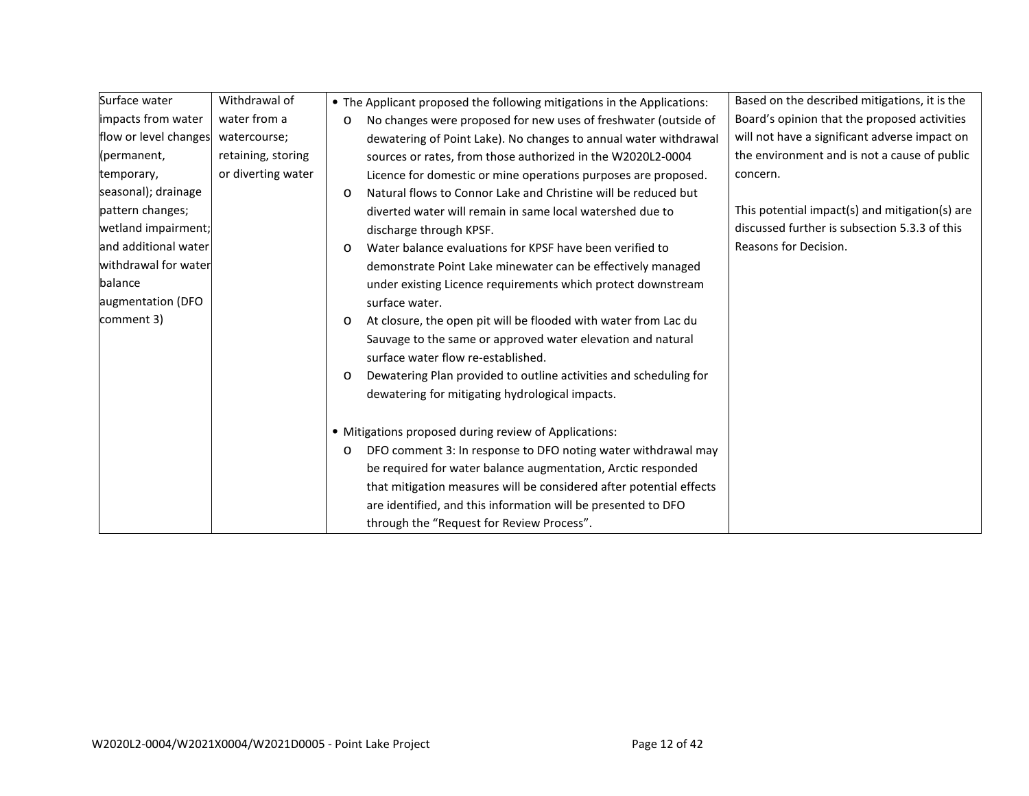| Surface water         | Withdrawal of      |         | • The Applicant proposed the following mitigations in the Applications: | Based on the described mitigations, it is the  |
|-----------------------|--------------------|---------|-------------------------------------------------------------------------|------------------------------------------------|
| impacts from water    | water from a       | $\circ$ | No changes were proposed for new uses of freshwater (outside of         | Board's opinion that the proposed activities   |
| flow or level changes | watercourse;       |         | dewatering of Point Lake). No changes to annual water withdrawal        | will not have a significant adverse impact on  |
| (permanent,           | retaining, storing |         | sources or rates, from those authorized in the W2020L2-0004             | the environment and is not a cause of public   |
| temporary,            | or diverting water |         | Licence for domestic or mine operations purposes are proposed.          | concern.                                       |
| seasonal); drainage   |                    | $\circ$ | Natural flows to Connor Lake and Christine will be reduced but          |                                                |
| pattern changes;      |                    |         | diverted water will remain in same local watershed due to               | This potential impact(s) and mitigation(s) are |
| wetland impairment;   |                    |         | discharge through KPSF.                                                 | discussed further is subsection 5.3.3 of this  |
| and additional water  |                    | $\circ$ | Water balance evaluations for KPSF have been verified to                | Reasons for Decision.                          |
| withdrawal for water  |                    |         | demonstrate Point Lake minewater can be effectively managed             |                                                |
| balance               |                    |         | under existing Licence requirements which protect downstream            |                                                |
| augmentation (DFO     |                    |         | surface water.                                                          |                                                |
| comment 3)            |                    | $\circ$ | At closure, the open pit will be flooded with water from Lac du         |                                                |
|                       |                    |         | Sauvage to the same or approved water elevation and natural             |                                                |
|                       |                    |         | surface water flow re-established.                                      |                                                |
|                       |                    | $\circ$ | Dewatering Plan provided to outline activities and scheduling for       |                                                |
|                       |                    |         | dewatering for mitigating hydrological impacts.                         |                                                |
|                       |                    |         | • Mitigations proposed during review of Applications:                   |                                                |
|                       |                    | O       | DFO comment 3: In response to DFO noting water withdrawal may           |                                                |
|                       |                    |         | be required for water balance augmentation, Arctic responded            |                                                |
|                       |                    |         | that mitigation measures will be considered after potential effects     |                                                |
|                       |                    |         | are identified, and this information will be presented to DFO           |                                                |
|                       |                    |         | through the "Request for Review Process".                               |                                                |
|                       |                    |         |                                                                         |                                                |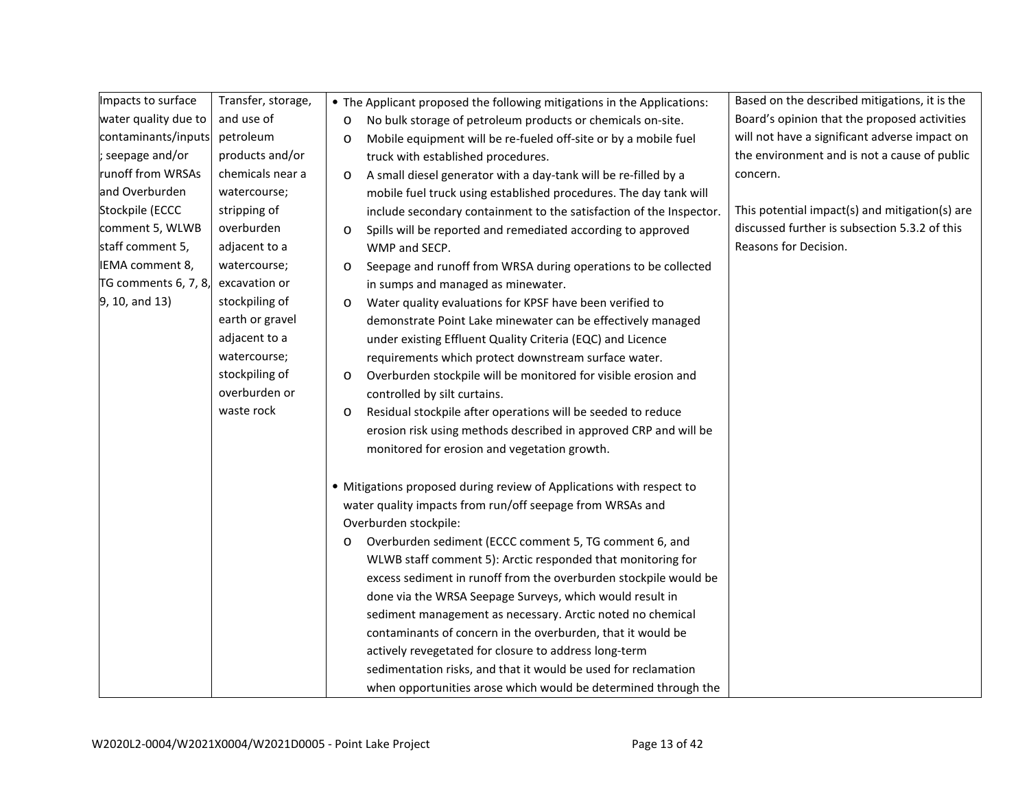| Impacts to surface   | Transfer, storage, | • The Applicant proposed the following mitigations in the Applications:    | Based on the described mitigations, it is the  |
|----------------------|--------------------|----------------------------------------------------------------------------|------------------------------------------------|
| water quality due to | and use of         | No bulk storage of petroleum products or chemicals on-site.<br>$\circ$     | Board's opinion that the proposed activities   |
| contaminants/inputs  | petroleum          | Mobile equipment will be re-fueled off-site or by a mobile fuel<br>O       | will not have a significant adverse impact on  |
| ; seepage and/or     | products and/or    | truck with established procedures.                                         | the environment and is not a cause of public   |
| runoff from WRSAs    | chemicals near a   | A small diesel generator with a day-tank will be re-filled by a<br>$\circ$ | concern.                                       |
| and Overburden       | watercourse;       | mobile fuel truck using established procedures. The day tank will          |                                                |
| Stockpile (ECCC      | stripping of       | include secondary containment to the satisfaction of the Inspector.        | This potential impact(s) and mitigation(s) are |
| comment 5, WLWB      | overburden         | Spills will be reported and remediated according to approved<br>$\circ$    | discussed further is subsection 5.3.2 of this  |
| staff comment 5,     | adjacent to a      | WMP and SECP.                                                              | Reasons for Decision.                          |
| IEMA comment 8,      | watercourse;       | Seepage and runoff from WRSA during operations to be collected<br>O        |                                                |
| TG comments 6, 7, 8, | excavation or      | in sumps and managed as minewater.                                         |                                                |
| 9, 10, and 13)       | stockpiling of     | Water quality evaluations for KPSF have been verified to<br>$\circ$        |                                                |
|                      | earth or gravel    | demonstrate Point Lake minewater can be effectively managed                |                                                |
|                      | adjacent to a      | under existing Effluent Quality Criteria (EQC) and Licence                 |                                                |
|                      | watercourse;       | requirements which protect downstream surface water.                       |                                                |
|                      | stockpiling of     | Overburden stockpile will be monitored for visible erosion and<br>$\circ$  |                                                |
|                      | overburden or      | controlled by silt curtains.                                               |                                                |
|                      | waste rock         | Residual stockpile after operations will be seeded to reduce<br>O          |                                                |
|                      |                    | erosion risk using methods described in approved CRP and will be           |                                                |
|                      |                    | monitored for erosion and vegetation growth.                               |                                                |
|                      |                    | • Mitigations proposed during review of Applications with respect to       |                                                |
|                      |                    | water quality impacts from run/off seepage from WRSAs and                  |                                                |
|                      |                    | Overburden stockpile:                                                      |                                                |
|                      |                    | Overburden sediment (ECCC comment 5, TG comment 6, and<br>O                |                                                |
|                      |                    | WLWB staff comment 5): Arctic responded that monitoring for                |                                                |
|                      |                    | excess sediment in runoff from the overburden stockpile would be           |                                                |
|                      |                    | done via the WRSA Seepage Surveys, which would result in                   |                                                |
|                      |                    | sediment management as necessary. Arctic noted no chemical                 |                                                |
|                      |                    | contaminants of concern in the overburden, that it would be                |                                                |
|                      |                    | actively revegetated for closure to address long-term                      |                                                |
|                      |                    | sedimentation risks, and that it would be used for reclamation             |                                                |
|                      |                    | when opportunities arose which would be determined through the             |                                                |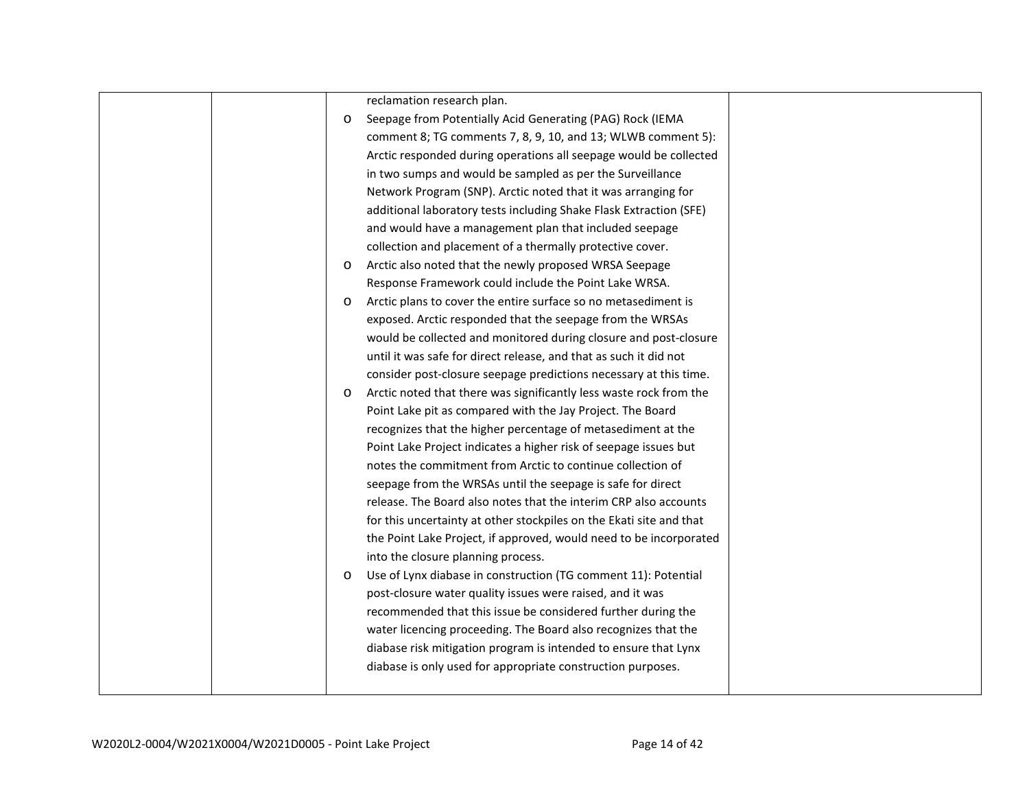|         | reclamation research plan.                                          |  |
|---------|---------------------------------------------------------------------|--|
| $\circ$ | Seepage from Potentially Acid Generating (PAG) Rock (IEMA           |  |
|         | comment 8; TG comments 7, 8, 9, 10, and 13; WLWB comment 5):        |  |
|         | Arctic responded during operations all seepage would be collected   |  |
|         | in two sumps and would be sampled as per the Surveillance           |  |
|         | Network Program (SNP). Arctic noted that it was arranging for       |  |
|         | additional laboratory tests including Shake Flask Extraction (SFE)  |  |
|         | and would have a management plan that included seepage              |  |
|         | collection and placement of a thermally protective cover.           |  |
| $\circ$ | Arctic also noted that the newly proposed WRSA Seepage              |  |
|         | Response Framework could include the Point Lake WRSA.               |  |
| $\circ$ | Arctic plans to cover the entire surface so no metasediment is      |  |
|         | exposed. Arctic responded that the seepage from the WRSAs           |  |
|         | would be collected and monitored during closure and post-closure    |  |
|         | until it was safe for direct release, and that as such it did not   |  |
|         | consider post-closure seepage predictions necessary at this time.   |  |
| $\circ$ | Arctic noted that there was significantly less waste rock from the  |  |
|         | Point Lake pit as compared with the Jay Project. The Board          |  |
|         | recognizes that the higher percentage of metasediment at the        |  |
|         | Point Lake Project indicates a higher risk of seepage issues but    |  |
|         | notes the commitment from Arctic to continue collection of          |  |
|         | seepage from the WRSAs until the seepage is safe for direct         |  |
|         | release. The Board also notes that the interim CRP also accounts    |  |
|         | for this uncertainty at other stockpiles on the Ekati site and that |  |
|         | the Point Lake Project, if approved, would need to be incorporated  |  |
|         | into the closure planning process.                                  |  |
| $\circ$ | Use of Lynx diabase in construction (TG comment 11): Potential      |  |
|         | post-closure water quality issues were raised, and it was           |  |
|         | recommended that this issue be considered further during the        |  |
|         | water licencing proceeding. The Board also recognizes that the      |  |
|         | diabase risk mitigation program is intended to ensure that Lynx     |  |
|         | diabase is only used for appropriate construction purposes.         |  |
|         |                                                                     |  |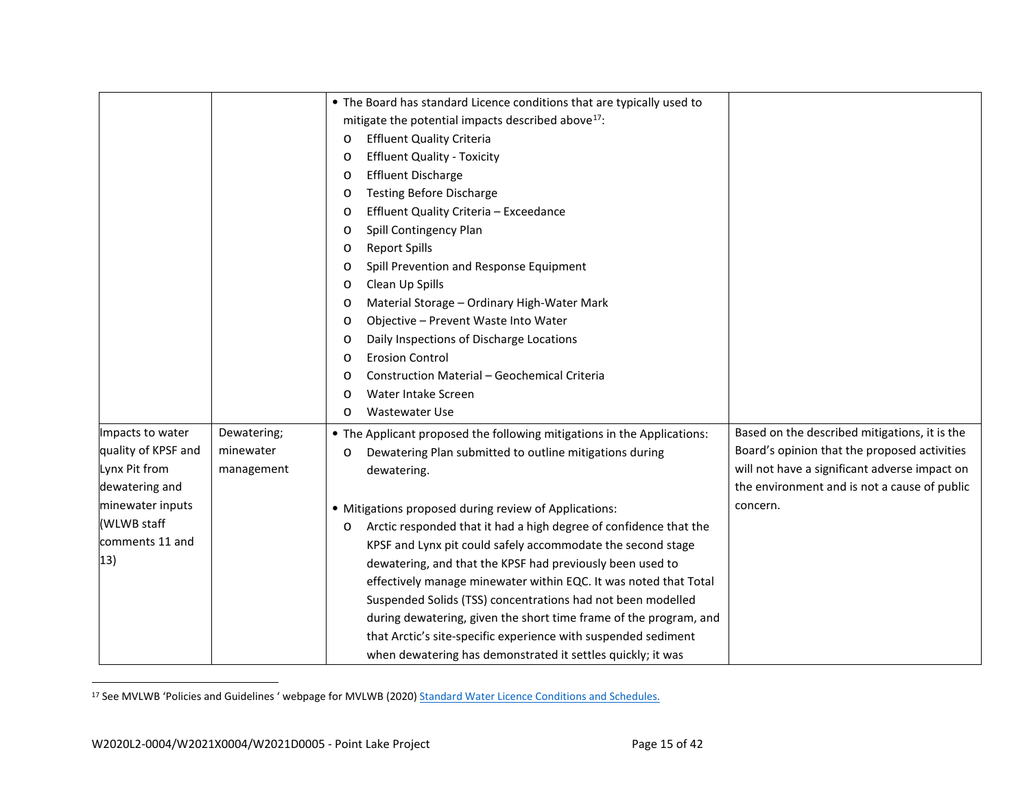<span id="page-16-0"></span>

|                     |             | • The Board has standard Licence conditions that are typically used to       |                                               |
|---------------------|-------------|------------------------------------------------------------------------------|-----------------------------------------------|
|                     |             | mitigate the potential impacts described above <sup>17</sup> :               |                                               |
|                     |             | <b>Effluent Quality Criteria</b><br>O                                        |                                               |
|                     |             | <b>Effluent Quality - Toxicity</b><br>$\circ$                                |                                               |
|                     |             | <b>Effluent Discharge</b><br>$\circ$                                         |                                               |
|                     |             | <b>Testing Before Discharge</b><br>$\circ$                                   |                                               |
|                     |             | Effluent Quality Criteria - Exceedance<br>$\circ$                            |                                               |
|                     |             | Spill Contingency Plan<br>$\circ$                                            |                                               |
|                     |             | <b>Report Spills</b><br>$\circ$                                              |                                               |
|                     |             | Spill Prevention and Response Equipment<br>$\circ$                           |                                               |
|                     |             | Clean Up Spills<br>$\circ$                                                   |                                               |
|                     |             | Material Storage - Ordinary High-Water Mark<br>$\circ$                       |                                               |
|                     |             | Objective - Prevent Waste Into Water<br>O                                    |                                               |
|                     |             | Daily Inspections of Discharge Locations<br>$\circ$                          |                                               |
|                     |             | <b>Erosion Control</b><br>$\circ$                                            |                                               |
|                     |             | <b>Construction Material - Geochemical Criteria</b><br>$\circ$               |                                               |
|                     |             | Water Intake Screen<br>$\circ$                                               |                                               |
|                     |             | <b>Wastewater Use</b><br>O                                                   |                                               |
| Impacts to water    | Dewatering; | • The Applicant proposed the following mitigations in the Applications:      | Based on the described mitigations, it is the |
| quality of KPSF and | minewater   | Dewatering Plan submitted to outline mitigations during<br>$\circ$           | Board's opinion that the proposed activities  |
| Lynx Pit from       | management  | dewatering.                                                                  | will not have a significant adverse impact on |
| dewatering and      |             |                                                                              | the environment and is not a cause of public  |
| minewater inputs    |             | • Mitigations proposed during review of Applications:                        | concern.                                      |
| (WLWB staff         |             | Arctic responded that it had a high degree of confidence that the<br>$\circ$ |                                               |
| comments 11 and     |             | KPSF and Lynx pit could safely accommodate the second stage                  |                                               |
| 13)                 |             | dewatering, and that the KPSF had previously been used to                    |                                               |
|                     |             | effectively manage minewater within EQC. It was noted that Total             |                                               |
|                     |             | Suspended Solids (TSS) concentrations had not been modelled                  |                                               |
|                     |             | during dewatering, given the short time frame of the program, and            |                                               |
|                     |             | that Arctic's site-specific experience with suspended sediment               |                                               |
|                     |             | when dewatering has demonstrated it settles quickly; it was                  |                                               |

<sup>17</sup> See MVLWB 'Policies and Guidelines ' webpage for MVLWB (2020[\) Standard Water Licence Conditions and Schedules.](https://mvlwb.com/sites/default/files/standard_water_licence_conditions_and_schedules_-_basic_-_apr_20_20.pdf)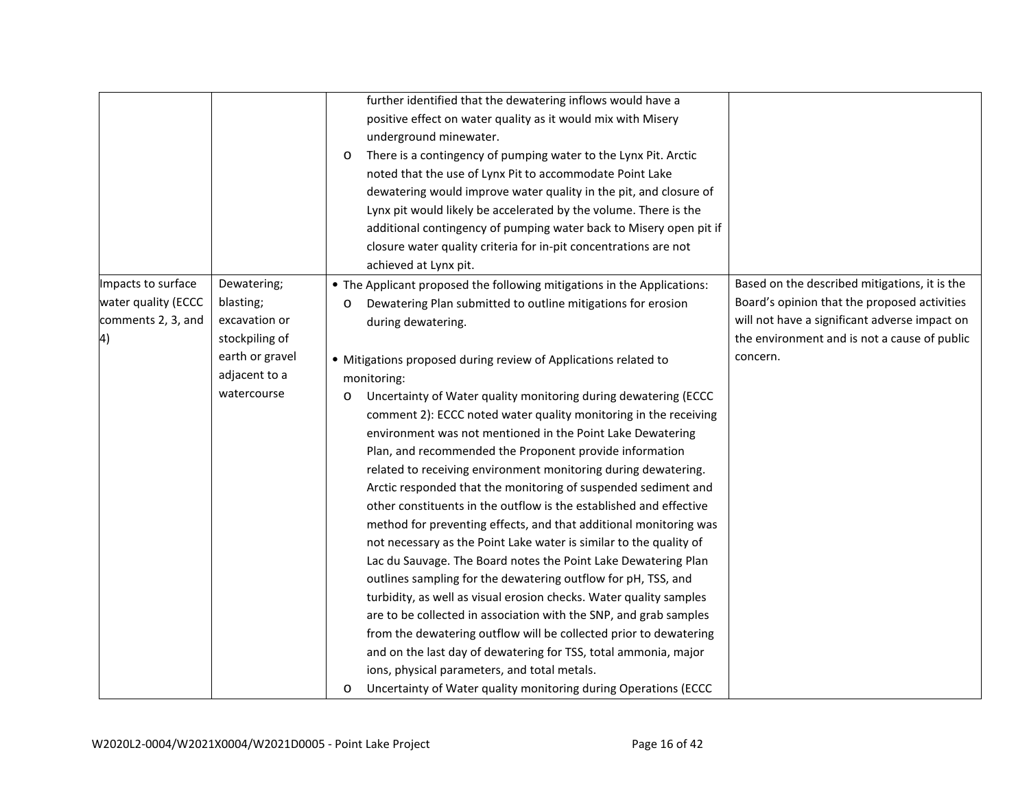|                     |                 | further identified that the dewatering inflows would have a                |                                               |
|---------------------|-----------------|----------------------------------------------------------------------------|-----------------------------------------------|
|                     |                 | positive effect on water quality as it would mix with Misery               |                                               |
|                     |                 | underground minewater.                                                     |                                               |
|                     |                 | There is a contingency of pumping water to the Lynx Pit. Arctic<br>$\circ$ |                                               |
|                     |                 | noted that the use of Lynx Pit to accommodate Point Lake                   |                                               |
|                     |                 | dewatering would improve water quality in the pit, and closure of          |                                               |
|                     |                 | Lynx pit would likely be accelerated by the volume. There is the           |                                               |
|                     |                 | additional contingency of pumping water back to Misery open pit if         |                                               |
|                     |                 | closure water quality criteria for in-pit concentrations are not           |                                               |
|                     |                 | achieved at Lynx pit.                                                      |                                               |
| Impacts to surface  | Dewatering;     | • The Applicant proposed the following mitigations in the Applications:    | Based on the described mitigations, it is the |
| water quality (ECCC | blasting;       | Dewatering Plan submitted to outline mitigations for erosion<br>O          | Board's opinion that the proposed activities  |
| comments 2, 3, and  | excavation or   | during dewatering.                                                         | will not have a significant adverse impact on |
| 4)                  | stockpiling of  |                                                                            | the environment and is not a cause of public  |
|                     | earth or gravel | • Mitigations proposed during review of Applications related to            | concern.                                      |
|                     | adjacent to a   | monitoring:                                                                |                                               |
|                     | watercourse     | Uncertainty of Water quality monitoring during dewatering (ECCC<br>$\circ$ |                                               |
|                     |                 | comment 2): ECCC noted water quality monitoring in the receiving           |                                               |
|                     |                 | environment was not mentioned in the Point Lake Dewatering                 |                                               |
|                     |                 | Plan, and recommended the Proponent provide information                    |                                               |
|                     |                 | related to receiving environment monitoring during dewatering.             |                                               |
|                     |                 | Arctic responded that the monitoring of suspended sediment and             |                                               |
|                     |                 | other constituents in the outflow is the established and effective         |                                               |
|                     |                 | method for preventing effects, and that additional monitoring was          |                                               |
|                     |                 | not necessary as the Point Lake water is similar to the quality of         |                                               |
|                     |                 | Lac du Sauvage. The Board notes the Point Lake Dewatering Plan             |                                               |
|                     |                 | outlines sampling for the dewatering outflow for pH, TSS, and              |                                               |
|                     |                 | turbidity, as well as visual erosion checks. Water quality samples         |                                               |
|                     |                 | are to be collected in association with the SNP, and grab samples          |                                               |
|                     |                 | from the dewatering outflow will be collected prior to dewatering          |                                               |
|                     |                 | and on the last day of dewatering for TSS, total ammonia, major            |                                               |
|                     |                 | ions, physical parameters, and total metals.                               |                                               |
|                     |                 | Uncertainty of Water quality monitoring during Operations (ECCC<br>$\circ$ |                                               |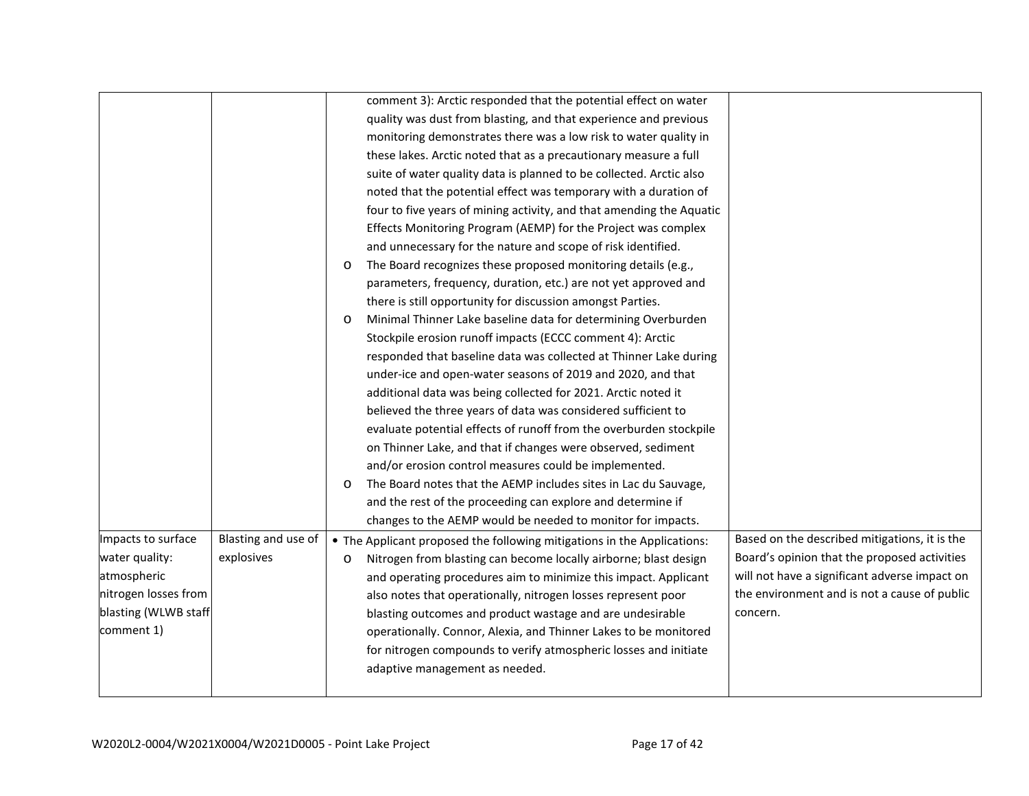|                      |                     |         | comment 3): Arctic responded that the potential effect on water         |                                               |
|----------------------|---------------------|---------|-------------------------------------------------------------------------|-----------------------------------------------|
|                      |                     |         | quality was dust from blasting, and that experience and previous        |                                               |
|                      |                     |         | monitoring demonstrates there was a low risk to water quality in        |                                               |
|                      |                     |         | these lakes. Arctic noted that as a precautionary measure a full        |                                               |
|                      |                     |         | suite of water quality data is planned to be collected. Arctic also     |                                               |
|                      |                     |         | noted that the potential effect was temporary with a duration of        |                                               |
|                      |                     |         | four to five years of mining activity, and that amending the Aquatic    |                                               |
|                      |                     |         | Effects Monitoring Program (AEMP) for the Project was complex           |                                               |
|                      |                     |         | and unnecessary for the nature and scope of risk identified.            |                                               |
|                      |                     | O       | The Board recognizes these proposed monitoring details (e.g.,           |                                               |
|                      |                     |         | parameters, frequency, duration, etc.) are not yet approved and         |                                               |
|                      |                     |         | there is still opportunity for discussion amongst Parties.              |                                               |
|                      |                     | O       | Minimal Thinner Lake baseline data for determining Overburden           |                                               |
|                      |                     |         | Stockpile erosion runoff impacts (ECCC comment 4): Arctic               |                                               |
|                      |                     |         | responded that baseline data was collected at Thinner Lake during       |                                               |
|                      |                     |         | under-ice and open-water seasons of 2019 and 2020, and that             |                                               |
|                      |                     |         | additional data was being collected for 2021. Arctic noted it           |                                               |
|                      |                     |         | believed the three years of data was considered sufficient to           |                                               |
|                      |                     |         | evaluate potential effects of runoff from the overburden stockpile      |                                               |
|                      |                     |         | on Thinner Lake, and that if changes were observed, sediment            |                                               |
|                      |                     |         | and/or erosion control measures could be implemented.                   |                                               |
|                      |                     | O       | The Board notes that the AEMP includes sites in Lac du Sauvage,         |                                               |
|                      |                     |         | and the rest of the proceeding can explore and determine if             |                                               |
|                      |                     |         | changes to the AEMP would be needed to monitor for impacts.             |                                               |
| Impacts to surface   | Blasting and use of |         | • The Applicant proposed the following mitigations in the Applications: | Based on the described mitigations, it is the |
| water quality:       | explosives          | $\circ$ | Nitrogen from blasting can become locally airborne; blast design        | Board's opinion that the proposed activities  |
| atmospheric          |                     |         | and operating procedures aim to minimize this impact. Applicant         | will not have a significant adverse impact on |
| nitrogen losses from |                     |         | also notes that operationally, nitrogen losses represent poor           | the environment and is not a cause of public  |
| blasting (WLWB staff |                     |         | blasting outcomes and product wastage and are undesirable               | concern.                                      |
| comment 1)           |                     |         | operationally. Connor, Alexia, and Thinner Lakes to be monitored        |                                               |
|                      |                     |         | for nitrogen compounds to verify atmospheric losses and initiate        |                                               |
|                      |                     |         | adaptive management as needed.                                          |                                               |
|                      |                     |         |                                                                         |                                               |
|                      |                     |         |                                                                         |                                               |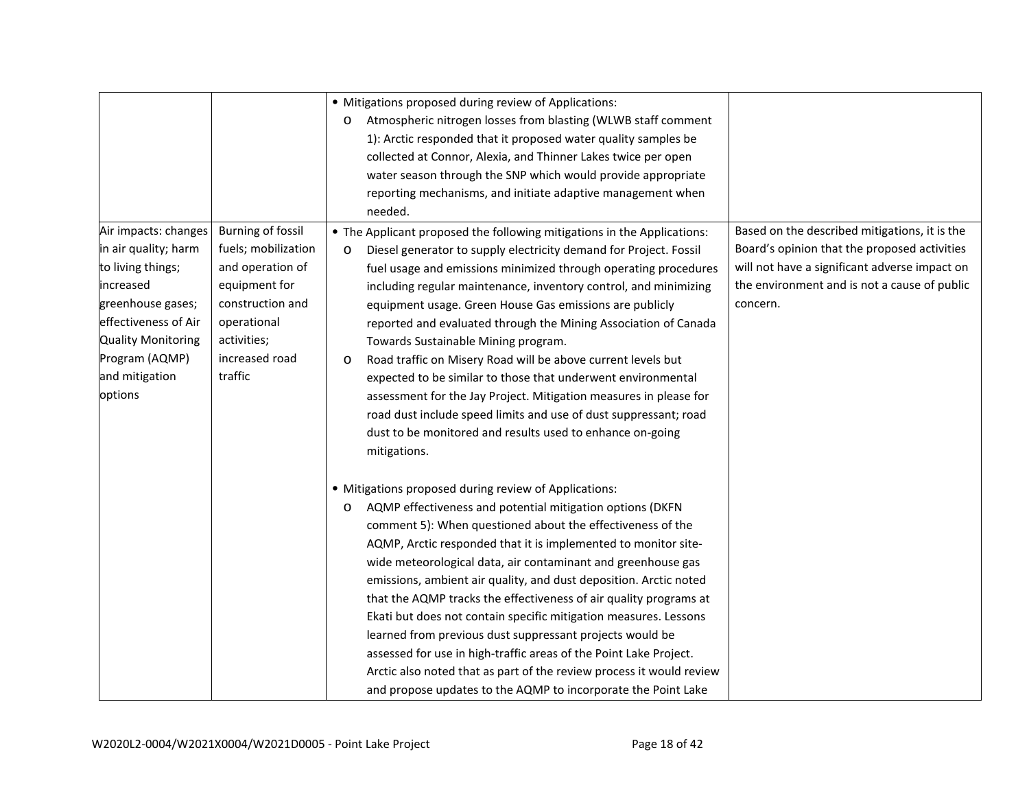|                           |                          | • Mitigations proposed during review of Applications:                                                                                 |                                               |
|---------------------------|--------------------------|---------------------------------------------------------------------------------------------------------------------------------------|-----------------------------------------------|
|                           |                          | Atmospheric nitrogen losses from blasting (WLWB staff comment<br>$\circ$                                                              |                                               |
|                           |                          | 1): Arctic responded that it proposed water quality samples be                                                                        |                                               |
|                           |                          | collected at Connor, Alexia, and Thinner Lakes twice per open                                                                         |                                               |
|                           |                          | water season through the SNP which would provide appropriate                                                                          |                                               |
|                           |                          | reporting mechanisms, and initiate adaptive management when                                                                           |                                               |
|                           |                          | needed.                                                                                                                               |                                               |
| Air impacts: changes      | <b>Burning of fossil</b> | • The Applicant proposed the following mitigations in the Applications:                                                               | Based on the described mitigations, it is the |
| in air quality; harm      | fuels; mobilization      | Diesel generator to supply electricity demand for Project. Fossil<br>$\circ$                                                          | Board's opinion that the proposed activities  |
| to living things;         | and operation of         | fuel usage and emissions minimized through operating procedures                                                                       | will not have a significant adverse impact on |
| increased                 | equipment for            | including regular maintenance, inventory control, and minimizing                                                                      | the environment and is not a cause of public  |
| greenhouse gases;         | construction and         | equipment usage. Green House Gas emissions are publicly                                                                               | concern.                                      |
| effectiveness of Air      | operational              | reported and evaluated through the Mining Association of Canada                                                                       |                                               |
| <b>Quality Monitoring</b> | activities;              | Towards Sustainable Mining program.                                                                                                   |                                               |
| Program (AQMP)            | increased road           | Road traffic on Misery Road will be above current levels but<br>$\circ$                                                               |                                               |
| and mitigation            | traffic                  | expected to be similar to those that underwent environmental                                                                          |                                               |
| options                   |                          | assessment for the Jay Project. Mitigation measures in please for                                                                     |                                               |
|                           |                          | road dust include speed limits and use of dust suppressant; road                                                                      |                                               |
|                           |                          | dust to be monitored and results used to enhance on-going                                                                             |                                               |
|                           |                          | mitigations.                                                                                                                          |                                               |
|                           |                          | • Mitigations proposed during review of Applications:                                                                                 |                                               |
|                           |                          | AQMP effectiveness and potential mitigation options (DKFN<br>$\circ$                                                                  |                                               |
|                           |                          | comment 5): When questioned about the effectiveness of the                                                                            |                                               |
|                           |                          | AQMP, Arctic responded that it is implemented to monitor site-                                                                        |                                               |
|                           |                          | wide meteorological data, air contaminant and greenhouse gas                                                                          |                                               |
|                           |                          | emissions, ambient air quality, and dust deposition. Arctic noted                                                                     |                                               |
|                           |                          |                                                                                                                                       |                                               |
|                           |                          | that the AQMP tracks the effectiveness of air quality programs at<br>Ekati but does not contain specific mitigation measures. Lessons |                                               |
|                           |                          | learned from previous dust suppressant projects would be                                                                              |                                               |
|                           |                          | assessed for use in high-traffic areas of the Point Lake Project.                                                                     |                                               |
|                           |                          | Arctic also noted that as part of the review process it would review                                                                  |                                               |
|                           |                          |                                                                                                                                       |                                               |
|                           |                          | and propose updates to the AQMP to incorporate the Point Lake                                                                         |                                               |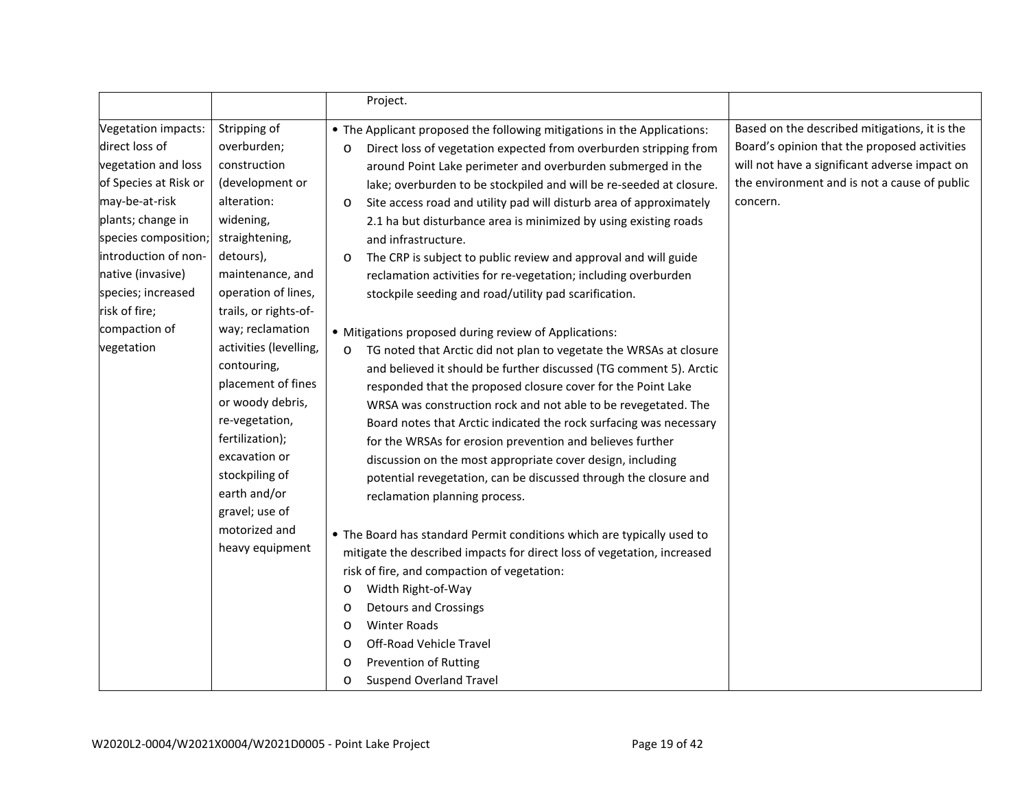|                                                                                                                                                                                                                                                                         |                                                                                                                                                                                                                                                                                                                                                                                                                                                    | Project.                                                                                                                                                                                                                                                                                                                                                                                                                                                                                                                                                                                                                                                                                                                                                                                                                                                                                                                                                                                                                                                                                                                                                                                                                                                                                                                                                                                                                                                                                                                                                                                                                                          |                                                                                                                                                                                                            |
|-------------------------------------------------------------------------------------------------------------------------------------------------------------------------------------------------------------------------------------------------------------------------|----------------------------------------------------------------------------------------------------------------------------------------------------------------------------------------------------------------------------------------------------------------------------------------------------------------------------------------------------------------------------------------------------------------------------------------------------|---------------------------------------------------------------------------------------------------------------------------------------------------------------------------------------------------------------------------------------------------------------------------------------------------------------------------------------------------------------------------------------------------------------------------------------------------------------------------------------------------------------------------------------------------------------------------------------------------------------------------------------------------------------------------------------------------------------------------------------------------------------------------------------------------------------------------------------------------------------------------------------------------------------------------------------------------------------------------------------------------------------------------------------------------------------------------------------------------------------------------------------------------------------------------------------------------------------------------------------------------------------------------------------------------------------------------------------------------------------------------------------------------------------------------------------------------------------------------------------------------------------------------------------------------------------------------------------------------------------------------------------------------|------------------------------------------------------------------------------------------------------------------------------------------------------------------------------------------------------------|
| Vegetation impacts:<br>direct loss of<br>vegetation and loss<br>of Species at Risk or<br>may-be-at-risk<br>plants; change in<br>species composition;<br>introduction of non-<br>native (invasive)<br>species; increased<br>risk of fire;<br>compaction of<br>vegetation | Stripping of<br>overburden;<br>construction<br>(development or<br>alteration:<br>widening,<br>straightening,<br>detours),<br>maintenance, and<br>operation of lines,<br>trails, or rights-of-<br>way; reclamation<br>activities (levelling,<br>contouring,<br>placement of fines<br>or woody debris,<br>re-vegetation,<br>fertilization);<br>excavation or<br>stockpiling of<br>earth and/or<br>gravel; use of<br>motorized and<br>heavy equipment | • The Applicant proposed the following mitigations in the Applications:<br>Direct loss of vegetation expected from overburden stripping from<br>$\circ$<br>around Point Lake perimeter and overburden submerged in the<br>lake; overburden to be stockpiled and will be re-seeded at closure.<br>Site access road and utility pad will disturb area of approximately<br>$\circ$<br>2.1 ha but disturbance area is minimized by using existing roads<br>and infrastructure.<br>The CRP is subject to public review and approval and will guide<br>O<br>reclamation activities for re-vegetation; including overburden<br>stockpile seeding and road/utility pad scarification.<br>• Mitigations proposed during review of Applications:<br>TG noted that Arctic did not plan to vegetate the WRSAs at closure<br>$\circ$<br>and believed it should be further discussed (TG comment 5). Arctic<br>responded that the proposed closure cover for the Point Lake<br>WRSA was construction rock and not able to be revegetated. The<br>Board notes that Arctic indicated the rock surfacing was necessary<br>for the WRSAs for erosion prevention and believes further<br>discussion on the most appropriate cover design, including<br>potential revegetation, can be discussed through the closure and<br>reclamation planning process.<br>• The Board has standard Permit conditions which are typically used to<br>mitigate the described impacts for direct loss of vegetation, increased<br>risk of fire, and compaction of vegetation:<br>Width Right-of-Way<br>O<br><b>Detours and Crossings</b><br>$\circ$<br><b>Winter Roads</b><br>$\circ$ | Based on the described mitigations, it is the<br>Board's opinion that the proposed activities<br>will not have a significant adverse impact on<br>the environment and is not a cause of public<br>concern. |
|                                                                                                                                                                                                                                                                         |                                                                                                                                                                                                                                                                                                                                                                                                                                                    | Off-Road Vehicle Travel<br>$\circ$<br><b>Prevention of Rutting</b><br>O<br><b>Suspend Overland Travel</b><br>$\circ$                                                                                                                                                                                                                                                                                                                                                                                                                                                                                                                                                                                                                                                                                                                                                                                                                                                                                                                                                                                                                                                                                                                                                                                                                                                                                                                                                                                                                                                                                                                              |                                                                                                                                                                                                            |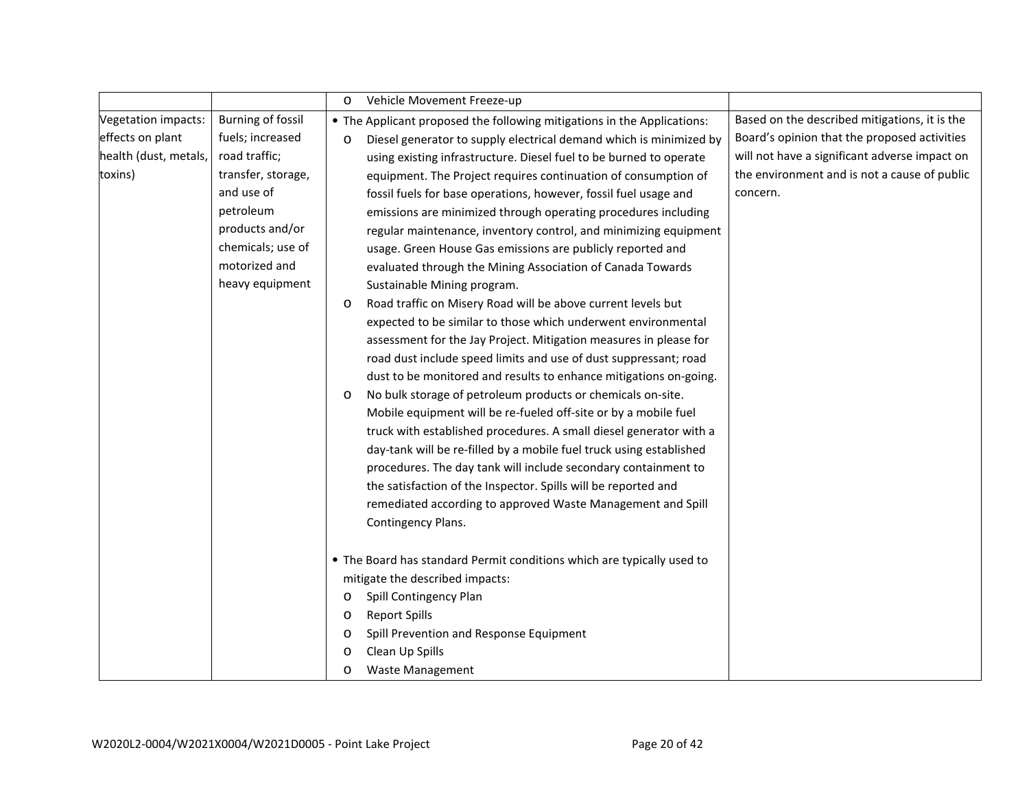|                            |                          | Vehicle Movement Freeze-up<br>$\circ$                                         |                                               |
|----------------------------|--------------------------|-------------------------------------------------------------------------------|-----------------------------------------------|
| <b>Vegetation impacts:</b> | <b>Burning of fossil</b> | • The Applicant proposed the following mitigations in the Applications:       | Based on the described mitigations, it is the |
| effects on plant           | fuels; increased         | Diesel generator to supply electrical demand which is minimized by<br>$\circ$ | Board's opinion that the proposed activities  |
| health (dust, metals,      | road traffic;            | using existing infrastructure. Diesel fuel to be burned to operate            | will not have a significant adverse impact on |
| toxins)                    | transfer, storage,       | equipment. The Project requires continuation of consumption of                | the environment and is not a cause of public  |
|                            | and use of               | fossil fuels for base operations, however, fossil fuel usage and              | concern.                                      |
|                            | petroleum                | emissions are minimized through operating procedures including                |                                               |
|                            | products and/or          | regular maintenance, inventory control, and minimizing equipment              |                                               |
|                            | chemicals; use of        | usage. Green House Gas emissions are publicly reported and                    |                                               |
|                            | motorized and            | evaluated through the Mining Association of Canada Towards                    |                                               |
|                            | heavy equipment          | Sustainable Mining program.                                                   |                                               |
|                            |                          | Road traffic on Misery Road will be above current levels but<br>O             |                                               |
|                            |                          | expected to be similar to those which underwent environmental                 |                                               |
|                            |                          | assessment for the Jay Project. Mitigation measures in please for             |                                               |
|                            |                          | road dust include speed limits and use of dust suppressant; road              |                                               |
|                            |                          | dust to be monitored and results to enhance mitigations on-going.             |                                               |
|                            |                          | No bulk storage of petroleum products or chemicals on-site.<br>$\circ$        |                                               |
|                            |                          | Mobile equipment will be re-fueled off-site or by a mobile fuel               |                                               |
|                            |                          | truck with established procedures. A small diesel generator with a            |                                               |
|                            |                          | day-tank will be re-filled by a mobile fuel truck using established           |                                               |
|                            |                          | procedures. The day tank will include secondary containment to                |                                               |
|                            |                          | the satisfaction of the Inspector. Spills will be reported and                |                                               |
|                            |                          | remediated according to approved Waste Management and Spill                   |                                               |
|                            |                          | Contingency Plans.                                                            |                                               |
|                            |                          | • The Board has standard Permit conditions which are typically used to        |                                               |
|                            |                          | mitigate the described impacts:                                               |                                               |
|                            |                          | Spill Contingency Plan<br>$\circ$                                             |                                               |
|                            |                          | <b>Report Spills</b><br>$\circ$                                               |                                               |
|                            |                          | Spill Prevention and Response Equipment<br>O                                  |                                               |
|                            |                          | Clean Up Spills<br>$\circ$                                                    |                                               |
|                            |                          | <b>Waste Management</b><br>$\circ$                                            |                                               |
|                            |                          |                                                                               |                                               |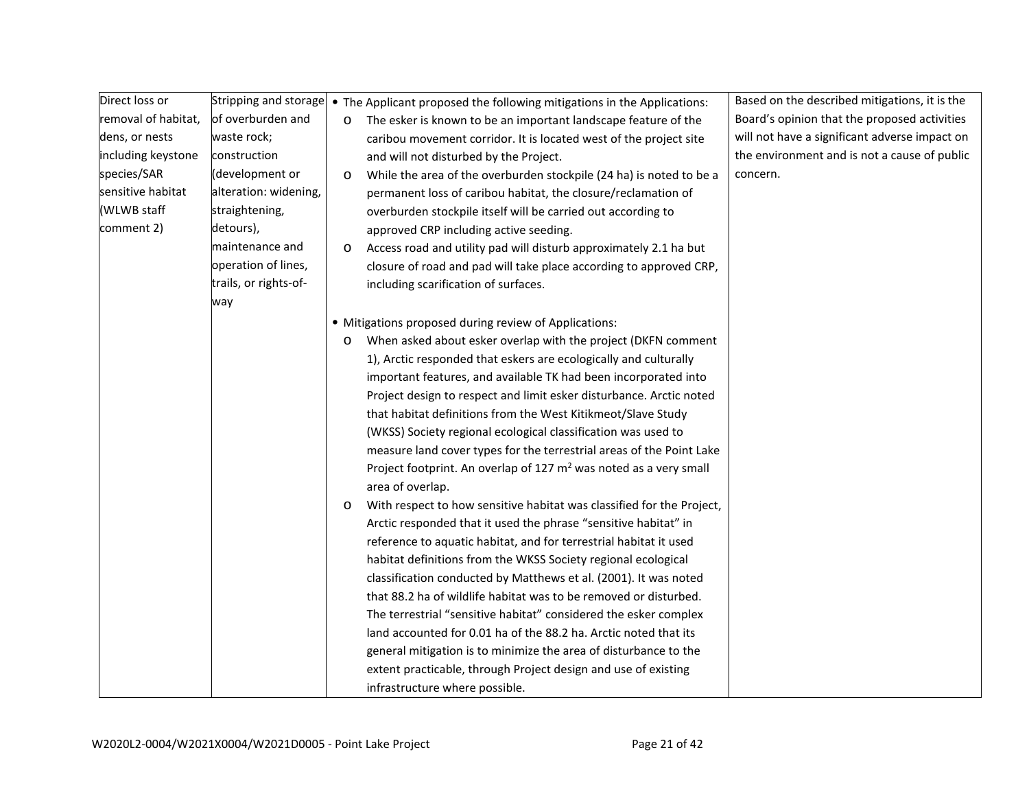| Direct loss or      |                       |         | Stripping and storage • The Applicant proposed the following mitigations in the Applications: | Based on the described mitigations, it is the |
|---------------------|-----------------------|---------|-----------------------------------------------------------------------------------------------|-----------------------------------------------|
| removal of habitat, | of overburden and     | $\circ$ | The esker is known to be an important landscape feature of the                                | Board's opinion that the proposed activities  |
| dens, or nests      | waste rock;           |         | caribou movement corridor. It is located west of the project site                             | will not have a significant adverse impact on |
| including keystone  | construction          |         | and will not disturbed by the Project.                                                        | the environment and is not a cause of public  |
| species/SAR         | (development or       | $\circ$ | While the area of the overburden stockpile (24 ha) is noted to be a                           | concern.                                      |
| sensitive habitat   | alteration: widening, |         | permanent loss of caribou habitat, the closure/reclamation of                                 |                                               |
| (WLWB staff         | straightening,        |         | overburden stockpile itself will be carried out according to                                  |                                               |
| comment 2)          | detours),             |         | approved CRP including active seeding.                                                        |                                               |
|                     | maintenance and       | $\circ$ | Access road and utility pad will disturb approximately 2.1 ha but                             |                                               |
|                     | operation of lines,   |         | closure of road and pad will take place according to approved CRP,                            |                                               |
|                     | trails, or rights-of- |         | including scarification of surfaces.                                                          |                                               |
|                     | way                   |         |                                                                                               |                                               |
|                     |                       |         | • Mitigations proposed during review of Applications:                                         |                                               |
|                     |                       | $\circ$ | When asked about esker overlap with the project (DKFN comment                                 |                                               |
|                     |                       |         | 1), Arctic responded that eskers are ecologically and culturally                              |                                               |
|                     |                       |         | important features, and available TK had been incorporated into                               |                                               |
|                     |                       |         | Project design to respect and limit esker disturbance. Arctic noted                           |                                               |
|                     |                       |         | that habitat definitions from the West Kitikmeot/Slave Study                                  |                                               |
|                     |                       |         | (WKSS) Society regional ecological classification was used to                                 |                                               |
|                     |                       |         | measure land cover types for the terrestrial areas of the Point Lake                          |                                               |
|                     |                       |         | Project footprint. An overlap of 127 $m2$ was noted as a very small                           |                                               |
|                     |                       |         | area of overlap.                                                                              |                                               |
|                     |                       | O       | With respect to how sensitive habitat was classified for the Project,                         |                                               |
|                     |                       |         | Arctic responded that it used the phrase "sensitive habitat" in                               |                                               |
|                     |                       |         | reference to aquatic habitat, and for terrestrial habitat it used                             |                                               |
|                     |                       |         | habitat definitions from the WKSS Society regional ecological                                 |                                               |
|                     |                       |         | classification conducted by Matthews et al. (2001). It was noted                              |                                               |
|                     |                       |         | that 88.2 ha of wildlife habitat was to be removed or disturbed.                              |                                               |
|                     |                       |         | The terrestrial "sensitive habitat" considered the esker complex                              |                                               |
|                     |                       |         | land accounted for 0.01 ha of the 88.2 ha. Arctic noted that its                              |                                               |
|                     |                       |         | general mitigation is to minimize the area of disturbance to the                              |                                               |
|                     |                       |         | extent practicable, through Project design and use of existing                                |                                               |
|                     |                       |         | infrastructure where possible.                                                                |                                               |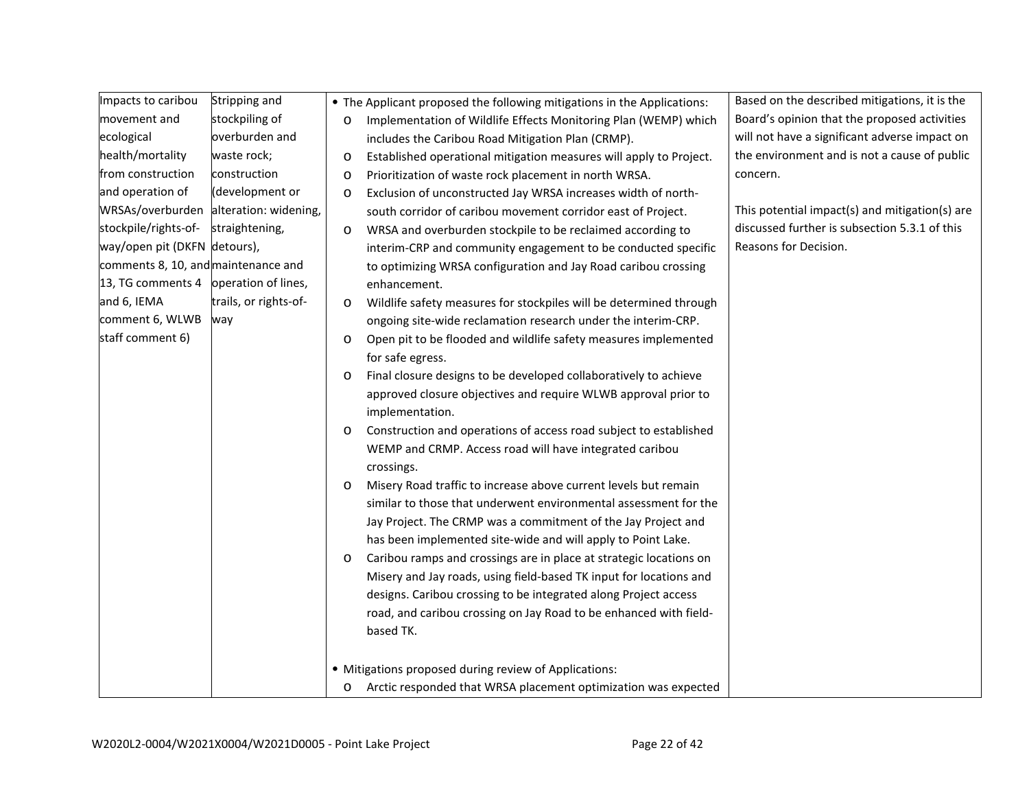| Impacts to caribou                    | Stripping and                          |         | • The Applicant proposed the following mitigations in the Applications: | Based on the described mitigations, it is the  |
|---------------------------------------|----------------------------------------|---------|-------------------------------------------------------------------------|------------------------------------------------|
| movement and                          | stockpiling of                         | O       | Implementation of Wildlife Effects Monitoring Plan (WEMP) which         | Board's opinion that the proposed activities   |
| ecological                            | overburden and                         |         | includes the Caribou Road Mitigation Plan (CRMP).                       | will not have a significant adverse impact on  |
| health/mortality                      | waste rock;                            | $\circ$ | Established operational mitigation measures will apply to Project.      | the environment and is not a cause of public   |
| from construction                     | construction                           | $\circ$ | Prioritization of waste rock placement in north WRSA.                   | concern.                                       |
| and operation of                      | (development or                        | $\circ$ | Exclusion of unconstructed Jay WRSA increases width of north-           |                                                |
|                                       | WRSAs/overburden alteration: widening, |         | south corridor of caribou movement corridor east of Project.            | This potential impact(s) and mitigation(s) are |
| stockpile/rights-of-                  | straightening,                         | $\circ$ | WRSA and overburden stockpile to be reclaimed according to              | discussed further is subsection 5.3.1 of this  |
| way/open pit (DKFN detours),          |                                        |         | interim-CRP and community engagement to be conducted specific           | Reasons for Decision.                          |
| comments 8, 10, and maintenance and   |                                        |         | to optimizing WRSA configuration and Jay Road caribou crossing          |                                                |
| 13, TG comments 4 operation of lines, |                                        |         | enhancement.                                                            |                                                |
| and 6, IEMA                           | trails, or rights-of-                  | $\circ$ | Wildlife safety measures for stockpiles will be determined through      |                                                |
| comment 6, WLWB                       | way                                    |         | ongoing site-wide reclamation research under the interim-CRP.           |                                                |
| staff comment 6)                      |                                        | $\circ$ | Open pit to be flooded and wildlife safety measures implemented         |                                                |
|                                       |                                        |         | for safe egress.                                                        |                                                |
|                                       |                                        | O       | Final closure designs to be developed collaboratively to achieve        |                                                |
|                                       |                                        |         | approved closure objectives and require WLWB approval prior to          |                                                |
|                                       |                                        |         | implementation.                                                         |                                                |
|                                       |                                        | $\circ$ | Construction and operations of access road subject to established       |                                                |
|                                       |                                        |         | WEMP and CRMP. Access road will have integrated caribou                 |                                                |
|                                       |                                        |         | crossings.                                                              |                                                |
|                                       |                                        | O       | Misery Road traffic to increase above current levels but remain         |                                                |
|                                       |                                        |         | similar to those that underwent environmental assessment for the        |                                                |
|                                       |                                        |         | Jay Project. The CRMP was a commitment of the Jay Project and           |                                                |
|                                       |                                        |         | has been implemented site-wide and will apply to Point Lake.            |                                                |
|                                       |                                        | $\circ$ | Caribou ramps and crossings are in place at strategic locations on      |                                                |
|                                       |                                        |         | Misery and Jay roads, using field-based TK input for locations and      |                                                |
|                                       |                                        |         | designs. Caribou crossing to be integrated along Project access         |                                                |
|                                       |                                        |         | road, and caribou crossing on Jay Road to be enhanced with field-       |                                                |
|                                       |                                        |         | based TK.                                                               |                                                |
|                                       |                                        |         |                                                                         |                                                |
|                                       |                                        |         | • Mitigations proposed during review of Applications:                   |                                                |
|                                       |                                        | $\circ$ | Arctic responded that WRSA placement optimization was expected          |                                                |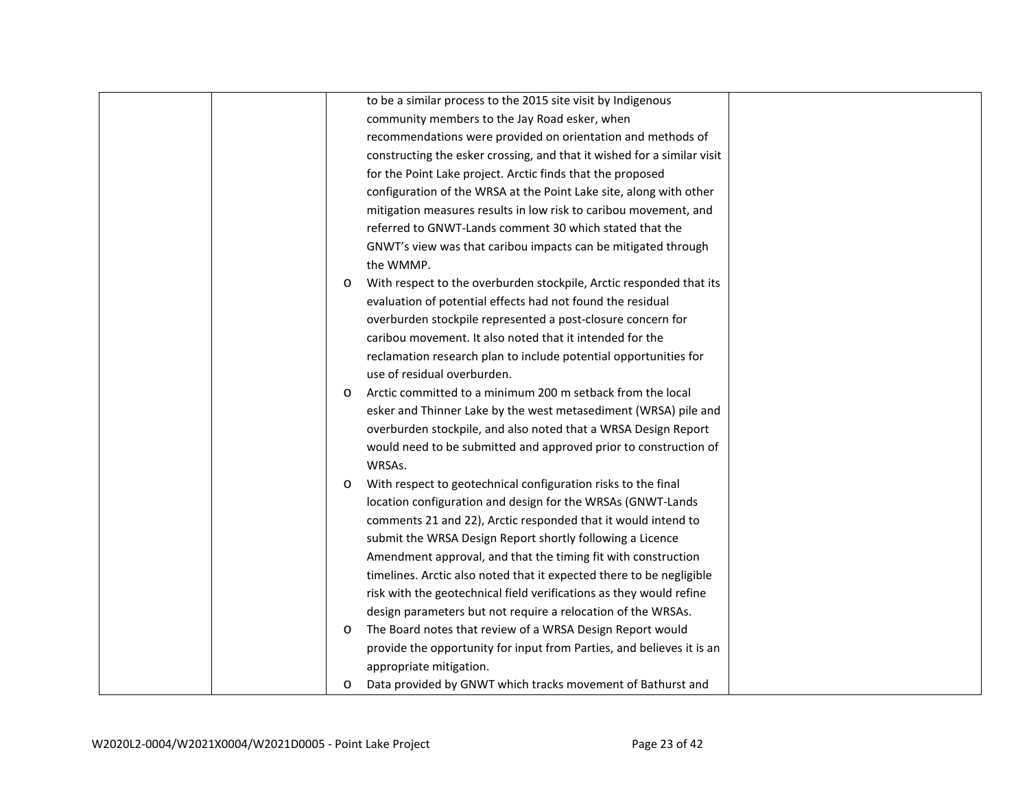|  |         | to be a similar process to the 2015 site visit by Indigenous            |  |
|--|---------|-------------------------------------------------------------------------|--|
|  |         | community members to the Jay Road esker, when                           |  |
|  |         | recommendations were provided on orientation and methods of             |  |
|  |         | constructing the esker crossing, and that it wished for a similar visit |  |
|  |         | for the Point Lake project. Arctic finds that the proposed              |  |
|  |         | configuration of the WRSA at the Point Lake site, along with other      |  |
|  |         | mitigation measures results in low risk to caribou movement, and        |  |
|  |         | referred to GNWT-Lands comment 30 which stated that the                 |  |
|  |         | GNWT's view was that caribou impacts can be mitigated through           |  |
|  |         | the WMMP.                                                               |  |
|  | $\circ$ | With respect to the overburden stockpile, Arctic responded that its     |  |
|  |         | evaluation of potential effects had not found the residual              |  |
|  |         | overburden stockpile represented a post-closure concern for             |  |
|  |         | caribou movement. It also noted that it intended for the                |  |
|  |         | reclamation research plan to include potential opportunities for        |  |
|  |         | use of residual overburden.                                             |  |
|  | $\circ$ | Arctic committed to a minimum 200 m setback from the local              |  |
|  |         | esker and Thinner Lake by the west metasediment (WRSA) pile and         |  |
|  |         | overburden stockpile, and also noted that a WRSA Design Report          |  |
|  |         | would need to be submitted and approved prior to construction of        |  |
|  |         | WRSAs.                                                                  |  |
|  | $\circ$ | With respect to geotechnical configuration risks to the final           |  |
|  |         | location configuration and design for the WRSAs (GNWT-Lands             |  |
|  |         | comments 21 and 22), Arctic responded that it would intend to           |  |
|  |         | submit the WRSA Design Report shortly following a Licence               |  |
|  |         | Amendment approval, and that the timing fit with construction           |  |
|  |         | timelines. Arctic also noted that it expected there to be negligible    |  |
|  |         | risk with the geotechnical field verifications as they would refine     |  |
|  |         | design parameters but not require a relocation of the WRSAs.            |  |
|  | O       | The Board notes that review of a WRSA Design Report would               |  |
|  |         | provide the opportunity for input from Parties, and believes it is an   |  |
|  |         | appropriate mitigation.                                                 |  |
|  | $\circ$ | Data provided by GNWT which tracks movement of Bathurst and             |  |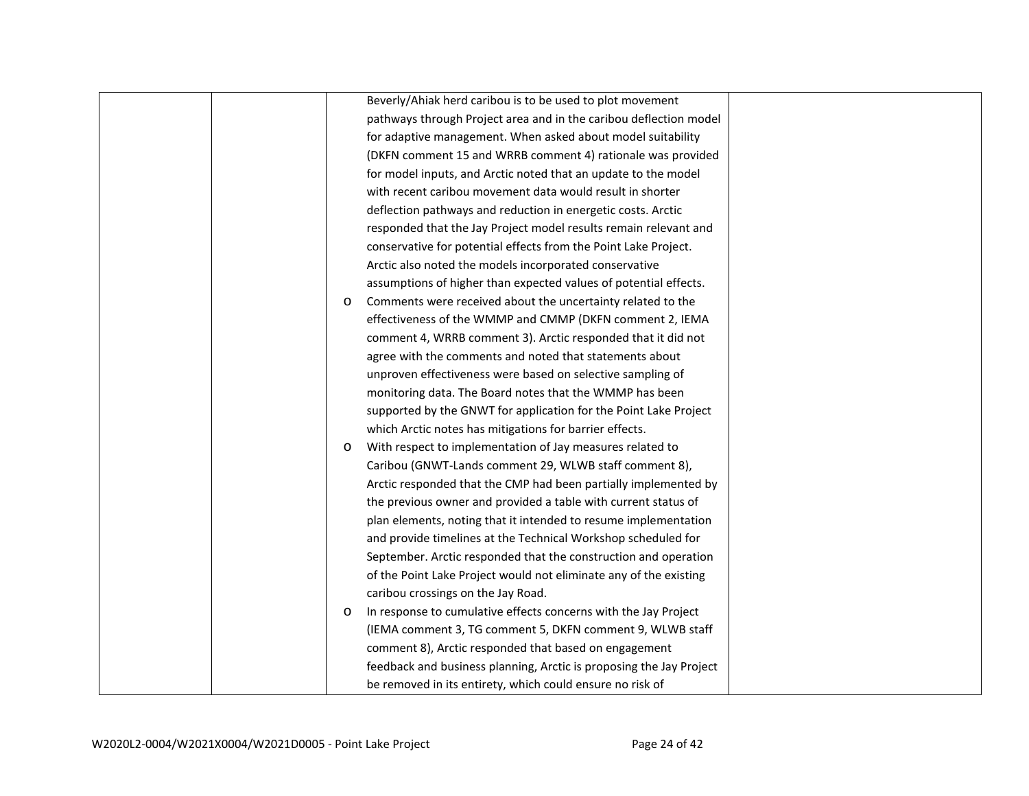|  |         | Beverly/Ahiak herd caribou is to be used to plot movement           |  |
|--|---------|---------------------------------------------------------------------|--|
|  |         |                                                                     |  |
|  |         | pathways through Project area and in the caribou deflection model   |  |
|  |         | for adaptive management. When asked about model suitability         |  |
|  |         | (DKFN comment 15 and WRRB comment 4) rationale was provided         |  |
|  |         | for model inputs, and Arctic noted that an update to the model      |  |
|  |         | with recent caribou movement data would result in shorter           |  |
|  |         | deflection pathways and reduction in energetic costs. Arctic        |  |
|  |         | responded that the Jay Project model results remain relevant and    |  |
|  |         | conservative for potential effects from the Point Lake Project.     |  |
|  |         | Arctic also noted the models incorporated conservative              |  |
|  |         | assumptions of higher than expected values of potential effects.    |  |
|  | $\circ$ | Comments were received about the uncertainty related to the         |  |
|  |         | effectiveness of the WMMP and CMMP (DKFN comment 2, IEMA            |  |
|  |         | comment 4, WRRB comment 3). Arctic responded that it did not        |  |
|  |         | agree with the comments and noted that statements about             |  |
|  |         | unproven effectiveness were based on selective sampling of          |  |
|  |         | monitoring data. The Board notes that the WMMP has been             |  |
|  |         | supported by the GNWT for application for the Point Lake Project    |  |
|  |         | which Arctic notes has mitigations for barrier effects.             |  |
|  | $\circ$ | With respect to implementation of Jay measures related to           |  |
|  |         | Caribou (GNWT-Lands comment 29, WLWB staff comment 8),              |  |
|  |         | Arctic responded that the CMP had been partially implemented by     |  |
|  |         | the previous owner and provided a table with current status of      |  |
|  |         | plan elements, noting that it intended to resume implementation     |  |
|  |         | and provide timelines at the Technical Workshop scheduled for       |  |
|  |         | September. Arctic responded that the construction and operation     |  |
|  |         | of the Point Lake Project would not eliminate any of the existing   |  |
|  |         | caribou crossings on the Jay Road.                                  |  |
|  | $\circ$ | In response to cumulative effects concerns with the Jay Project     |  |
|  |         | (IEMA comment 3, TG comment 5, DKFN comment 9, WLWB staff           |  |
|  |         | comment 8), Arctic responded that based on engagement               |  |
|  |         | feedback and business planning, Arctic is proposing the Jay Project |  |
|  |         | be removed in its entirety, which could ensure no risk of           |  |
|  |         |                                                                     |  |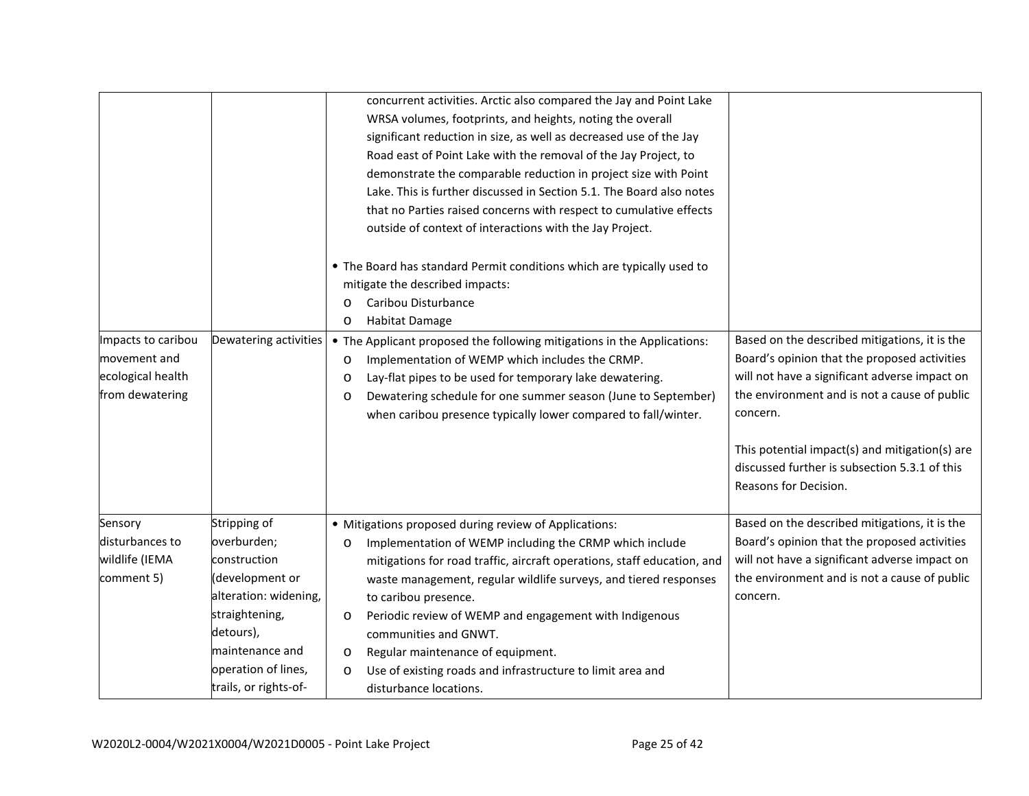|                    |                       |         | concurrent activities. Arctic also compared the Jay and Point Lake      |                                                |
|--------------------|-----------------------|---------|-------------------------------------------------------------------------|------------------------------------------------|
|                    |                       |         | WRSA volumes, footprints, and heights, noting the overall               |                                                |
|                    |                       |         | significant reduction in size, as well as decreased use of the Jay      |                                                |
|                    |                       |         | Road east of Point Lake with the removal of the Jay Project, to         |                                                |
|                    |                       |         | demonstrate the comparable reduction in project size with Point         |                                                |
|                    |                       |         | Lake. This is further discussed in Section 5.1. The Board also notes    |                                                |
|                    |                       |         | that no Parties raised concerns with respect to cumulative effects      |                                                |
|                    |                       |         | outside of context of interactions with the Jay Project.                |                                                |
|                    |                       |         |                                                                         |                                                |
|                    |                       |         | • The Board has standard Permit conditions which are typically used to  |                                                |
|                    |                       |         | mitigate the described impacts:                                         |                                                |
|                    |                       | $\circ$ | Caribou Disturbance                                                     |                                                |
|                    |                       | $\circ$ | Habitat Damage                                                          |                                                |
| Impacts to caribou | Dewatering activities |         | • The Applicant proposed the following mitigations in the Applications: | Based on the described mitigations, it is the  |
| movement and       |                       | $\circ$ | Implementation of WEMP which includes the CRMP.                         | Board's opinion that the proposed activities   |
| ecological health  |                       | $\circ$ | Lay-flat pipes to be used for temporary lake dewatering.                | will not have a significant adverse impact on  |
| from dewatering    |                       | $\circ$ | Dewatering schedule for one summer season (June to September)           | the environment and is not a cause of public   |
|                    |                       |         | when caribou presence typically lower compared to fall/winter.          | concern.                                       |
|                    |                       |         |                                                                         |                                                |
|                    |                       |         |                                                                         | This potential impact(s) and mitigation(s) are |
|                    |                       |         |                                                                         | discussed further is subsection 5.3.1 of this  |
|                    |                       |         |                                                                         | Reasons for Decision.                          |
|                    |                       |         |                                                                         |                                                |
| Sensory            | Stripping of          |         | · Mitigations proposed during review of Applications:                   | Based on the described mitigations, it is the  |
| disturbances to    | overburden;           | O       | Implementation of WEMP including the CRMP which include                 | Board's opinion that the proposed activities   |
| wildlife (IEMA     | construction          |         | mitigations for road traffic, aircraft operations, staff education, and | will not have a significant adverse impact on  |
| comment 5)         | (development or       |         | waste management, regular wildlife surveys, and tiered responses        | the environment and is not a cause of public   |
|                    | alteration: widening, |         | to caribou presence.                                                    | concern.                                       |
|                    | straightening,        | O       | Periodic review of WEMP and engagement with Indigenous                  |                                                |
|                    | detours),             |         | communities and GNWT.                                                   |                                                |
|                    | maintenance and       | $\circ$ | Regular maintenance of equipment.                                       |                                                |
|                    | operation of lines,   | $\circ$ | Use of existing roads and infrastructure to limit area and              |                                                |
|                    | trails, or rights-of- |         | disturbance locations.                                                  |                                                |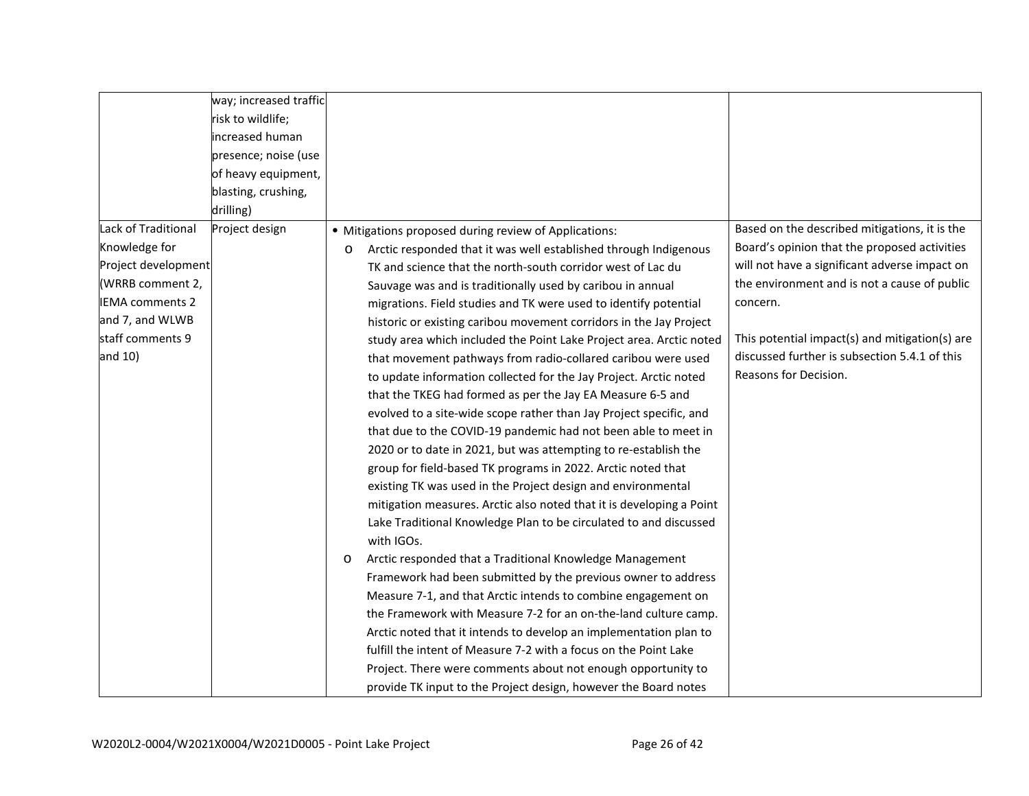|                        | way; increased traffic |                                                                       |                                                |
|------------------------|------------------------|-----------------------------------------------------------------------|------------------------------------------------|
|                        | risk to wildlife;      |                                                                       |                                                |
|                        | increased human        |                                                                       |                                                |
|                        | presence; noise (use   |                                                                       |                                                |
|                        | of heavy equipment,    |                                                                       |                                                |
|                        | blasting, crushing,    |                                                                       |                                                |
|                        | drilling)              |                                                                       |                                                |
| Lack of Traditional    | Project design         | • Mitigations proposed during review of Applications:                 | Based on the described mitigations, it is the  |
| Knowledge for          |                        | Arctic responded that it was well established through Indigenous<br>O | Board's opinion that the proposed activities   |
| Project development    |                        | TK and science that the north-south corridor west of Lac du           | will not have a significant adverse impact on  |
| (WRRB comment 2,       |                        | Sauvage was and is traditionally used by caribou in annual            | the environment and is not a cause of public   |
| <b>IEMA</b> comments 2 |                        | migrations. Field studies and TK were used to identify potential      | concern.                                       |
| and 7, and WLWB        |                        | historic or existing caribou movement corridors in the Jay Project    |                                                |
| staff comments 9       |                        | study area which included the Point Lake Project area. Arctic noted   | This potential impact(s) and mitigation(s) are |
| and 10)                |                        | that movement pathways from radio-collared caribou were used          | discussed further is subsection 5.4.1 of this  |
|                        |                        | to update information collected for the Jay Project. Arctic noted     | Reasons for Decision.                          |
|                        |                        | that the TKEG had formed as per the Jay EA Measure 6-5 and            |                                                |
|                        |                        | evolved to a site-wide scope rather than Jay Project specific, and    |                                                |
|                        |                        | that due to the COVID-19 pandemic had not been able to meet in        |                                                |
|                        |                        | 2020 or to date in 2021, but was attempting to re-establish the       |                                                |
|                        |                        | group for field-based TK programs in 2022. Arctic noted that          |                                                |
|                        |                        | existing TK was used in the Project design and environmental          |                                                |
|                        |                        | mitigation measures. Arctic also noted that it is developing a Point  |                                                |
|                        |                        | Lake Traditional Knowledge Plan to be circulated to and discussed     |                                                |
|                        |                        | with IGOs.                                                            |                                                |
|                        |                        | Arctic responded that a Traditional Knowledge Management<br>$\circ$   |                                                |
|                        |                        | Framework had been submitted by the previous owner to address         |                                                |
|                        |                        | Measure 7-1, and that Arctic intends to combine engagement on         |                                                |
|                        |                        | the Framework with Measure 7-2 for an on-the-land culture camp.       |                                                |
|                        |                        | Arctic noted that it intends to develop an implementation plan to     |                                                |
|                        |                        | fulfill the intent of Measure 7-2 with a focus on the Point Lake      |                                                |
|                        |                        | Project. There were comments about not enough opportunity to          |                                                |
|                        |                        | provide TK input to the Project design, however the Board notes       |                                                |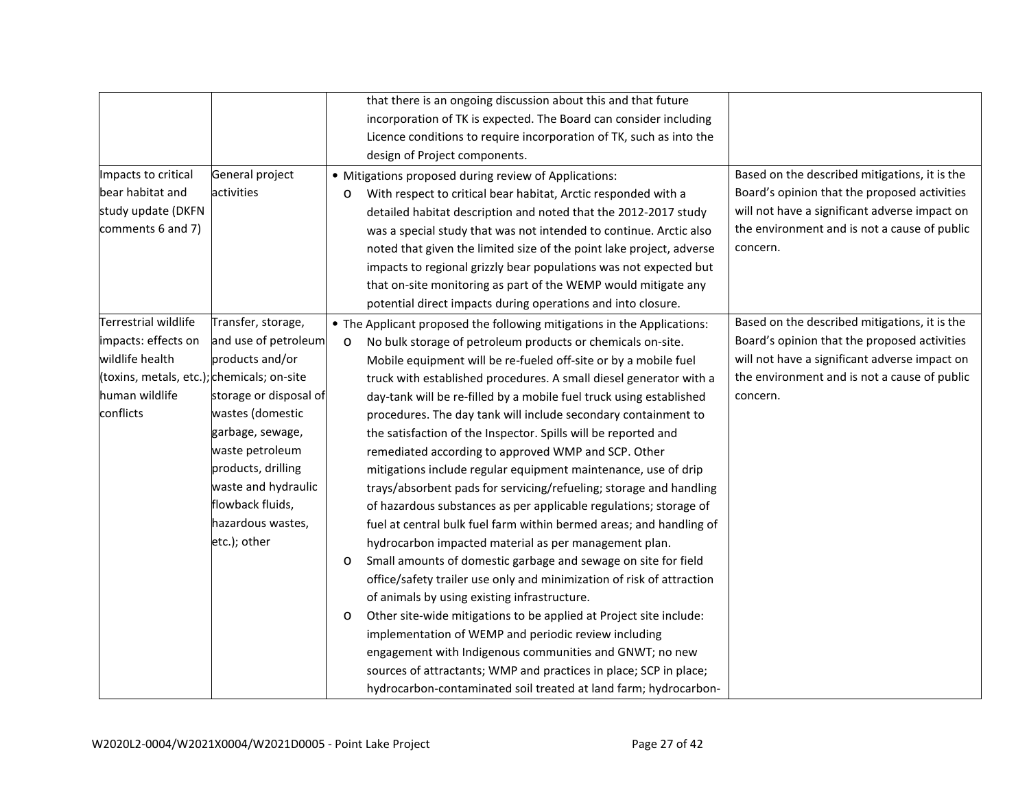|                                            |                        |         | that there is an ongoing discussion about this and that future          |                                               |
|--------------------------------------------|------------------------|---------|-------------------------------------------------------------------------|-----------------------------------------------|
|                                            |                        |         | incorporation of TK is expected. The Board can consider including       |                                               |
|                                            |                        |         | Licence conditions to require incorporation of TK, such as into the     |                                               |
|                                            |                        |         | design of Project components.                                           |                                               |
| Impacts to critical                        | General project        |         | • Mitigations proposed during review of Applications:                   | Based on the described mitigations, it is the |
| bear habitat and                           | activities             | O       | With respect to critical bear habitat, Arctic responded with a          | Board's opinion that the proposed activities  |
| study update (DKFN                         |                        |         | detailed habitat description and noted that the 2012-2017 study         | will not have a significant adverse impact on |
| comments 6 and 7)                          |                        |         | was a special study that was not intended to continue. Arctic also      | the environment and is not a cause of public  |
|                                            |                        |         | noted that given the limited size of the point lake project, adverse    | concern.                                      |
|                                            |                        |         | impacts to regional grizzly bear populations was not expected but       |                                               |
|                                            |                        |         | that on-site monitoring as part of the WEMP would mitigate any          |                                               |
|                                            |                        |         | potential direct impacts during operations and into closure.            |                                               |
| Terrestrial wildlife                       | Transfer, storage,     |         | • The Applicant proposed the following mitigations in the Applications: | Based on the described mitigations, it is the |
| impacts: effects on                        | and use of petroleum   | $\circ$ | No bulk storage of petroleum products or chemicals on-site.             | Board's opinion that the proposed activities  |
| wildlife health                            | products and/or        |         | Mobile equipment will be re-fueled off-site or by a mobile fuel         | will not have a significant adverse impact on |
| (toxins, metals, etc.); chemicals; on-site |                        |         | truck with established procedures. A small diesel generator with a      | the environment and is not a cause of public  |
| human wildlife                             | storage or disposal of |         | day-tank will be re-filled by a mobile fuel truck using established     | concern.                                      |
| conflicts                                  | wastes (domestic       |         | procedures. The day tank will include secondary containment to          |                                               |
|                                            | garbage, sewage,       |         | the satisfaction of the Inspector. Spills will be reported and          |                                               |
|                                            | waste petroleum        |         | remediated according to approved WMP and SCP. Other                     |                                               |
|                                            | products, drilling     |         | mitigations include regular equipment maintenance, use of drip          |                                               |
|                                            | waste and hydraulic    |         | trays/absorbent pads for servicing/refueling; storage and handling      |                                               |
|                                            | flowback fluids,       |         | of hazardous substances as per applicable regulations; storage of       |                                               |
|                                            | hazardous wastes,      |         | fuel at central bulk fuel farm within bermed areas; and handling of     |                                               |
|                                            | etc.); other           |         | hydrocarbon impacted material as per management plan.                   |                                               |
|                                            |                        | $\circ$ | Small amounts of domestic garbage and sewage on site for field          |                                               |
|                                            |                        |         | office/safety trailer use only and minimization of risk of attraction   |                                               |
|                                            |                        |         | of animals by using existing infrastructure.                            |                                               |
|                                            |                        | $\circ$ | Other site-wide mitigations to be applied at Project site include:      |                                               |
|                                            |                        |         | implementation of WEMP and periodic review including                    |                                               |
|                                            |                        |         | engagement with Indigenous communities and GNWT; no new                 |                                               |
|                                            |                        |         | sources of attractants; WMP and practices in place; SCP in place;       |                                               |
|                                            |                        |         | hydrocarbon-contaminated soil treated at land farm; hydrocarbon-        |                                               |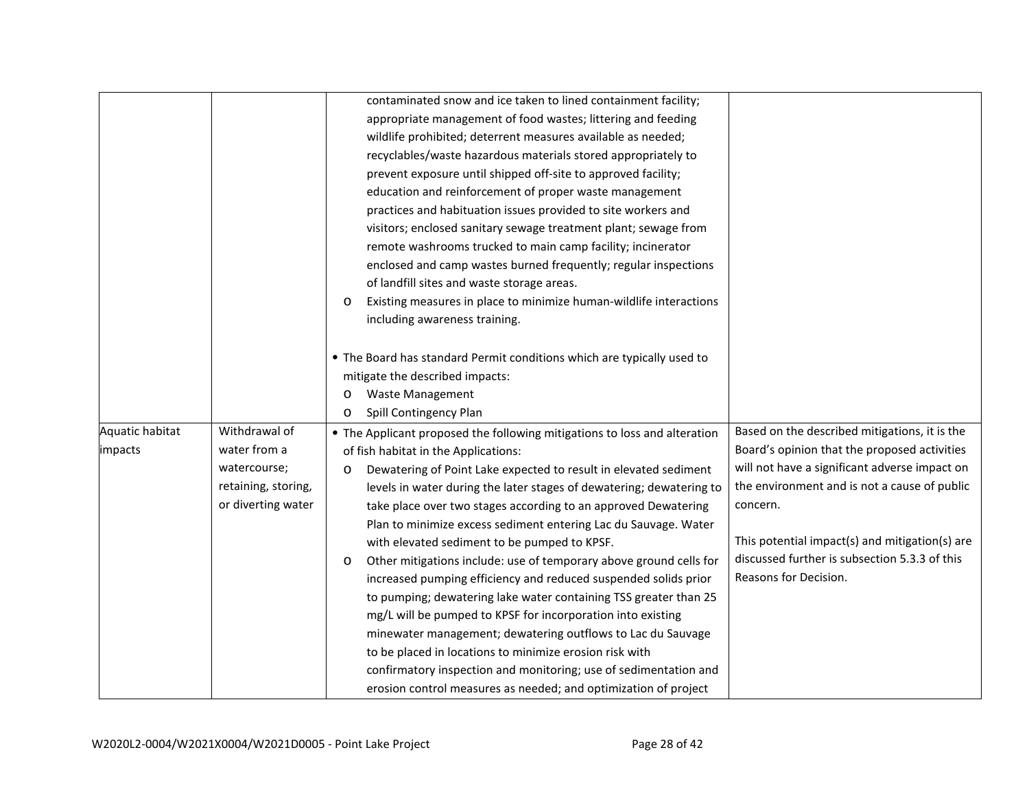|                 |                     | contaminated snow and ice taken to lined containment facility;                                                               |
|-----------------|---------------------|------------------------------------------------------------------------------------------------------------------------------|
|                 |                     | appropriate management of food wastes; littering and feeding                                                                 |
|                 |                     | wildlife prohibited; deterrent measures available as needed;                                                                 |
|                 |                     | recyclables/waste hazardous materials stored appropriately to                                                                |
|                 |                     | prevent exposure until shipped off-site to approved facility;                                                                |
|                 |                     | education and reinforcement of proper waste management                                                                       |
|                 |                     | practices and habituation issues provided to site workers and                                                                |
|                 |                     | visitors; enclosed sanitary sewage treatment plant; sewage from                                                              |
|                 |                     | remote washrooms trucked to main camp facility; incinerator                                                                  |
|                 |                     | enclosed and camp wastes burned frequently; regular inspections                                                              |
|                 |                     | of landfill sites and waste storage areas.                                                                                   |
|                 |                     | Existing measures in place to minimize human-wildlife interactions<br>$\circ$                                                |
|                 |                     | including awareness training.                                                                                                |
|                 |                     | • The Board has standard Permit conditions which are typically used to                                                       |
|                 |                     | mitigate the described impacts:                                                                                              |
|                 |                     | <b>Waste Management</b><br>O                                                                                                 |
|                 |                     | Spill Contingency Plan<br>$\circ$                                                                                            |
| Aquatic habitat | Withdrawal of       | Based on the described mitigations, it is the<br>• The Applicant proposed the following mitigations to loss and alteration   |
| impacts         | water from a        | Board's opinion that the proposed activities<br>of fish habitat in the Applications:                                         |
|                 | watercourse;        | will not have a significant adverse impact on<br>Dewatering of Point Lake expected to result in elevated sediment<br>$\circ$ |
|                 | retaining, storing, | the environment and is not a cause of public<br>levels in water during the later stages of dewatering; dewatering to         |
|                 | or diverting water  | concern.<br>take place over two stages according to an approved Dewatering                                                   |
|                 |                     | Plan to minimize excess sediment entering Lac du Sauvage. Water                                                              |
|                 |                     | This potential impact(s) and mitigation(s) are<br>with elevated sediment to be pumped to KPSF.                               |
|                 |                     | discussed further is subsection 5.3.3 of this<br>Other mitigations include: use of temporary above ground cells for<br>O     |
|                 |                     | Reasons for Decision.<br>increased pumping efficiency and reduced suspended solids prior                                     |
|                 |                     | to pumping; dewatering lake water containing TSS greater than 25                                                             |
|                 |                     | mg/L will be pumped to KPSF for incorporation into existing                                                                  |
|                 |                     | minewater management; dewatering outflows to Lac du Sauvage                                                                  |
|                 |                     | to be placed in locations to minimize erosion risk with                                                                      |
|                 |                     | confirmatory inspection and monitoring; use of sedimentation and                                                             |
|                 |                     | erosion control measures as needed; and optimization of project                                                              |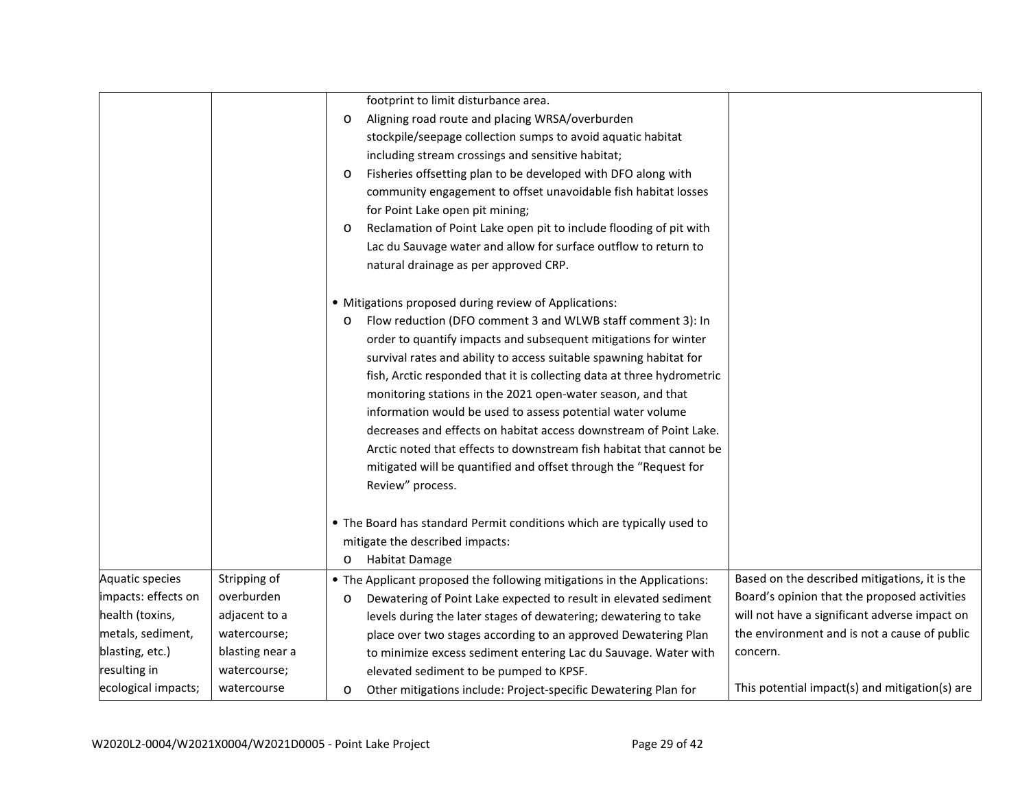|                     |                 | footprint to limit disturbance area.                                          |                                                |
|---------------------|-----------------|-------------------------------------------------------------------------------|------------------------------------------------|
|                     |                 | Aligning road route and placing WRSA/overburden<br>$\circ$                    |                                                |
|                     |                 | stockpile/seepage collection sumps to avoid aquatic habitat                   |                                                |
|                     |                 | including stream crossings and sensitive habitat;                             |                                                |
|                     |                 | Fisheries offsetting plan to be developed with DFO along with<br>O            |                                                |
|                     |                 | community engagement to offset unavoidable fish habitat losses                |                                                |
|                     |                 | for Point Lake open pit mining;                                               |                                                |
|                     |                 | Reclamation of Point Lake open pit to include flooding of pit with<br>$\circ$ |                                                |
|                     |                 | Lac du Sauvage water and allow for surface outflow to return to               |                                                |
|                     |                 | natural drainage as per approved CRP.                                         |                                                |
|                     |                 | • Mitigations proposed during review of Applications:                         |                                                |
|                     |                 | Flow reduction (DFO comment 3 and WLWB staff comment 3): In<br>O              |                                                |
|                     |                 | order to quantify impacts and subsequent mitigations for winter               |                                                |
|                     |                 | survival rates and ability to access suitable spawning habitat for            |                                                |
|                     |                 | fish, Arctic responded that it is collecting data at three hydrometric        |                                                |
|                     |                 | monitoring stations in the 2021 open-water season, and that                   |                                                |
|                     |                 | information would be used to assess potential water volume                    |                                                |
|                     |                 | decreases and effects on habitat access downstream of Point Lake.             |                                                |
|                     |                 | Arctic noted that effects to downstream fish habitat that cannot be           |                                                |
|                     |                 | mitigated will be quantified and offset through the "Request for              |                                                |
|                     |                 | Review" process.                                                              |                                                |
|                     |                 |                                                                               |                                                |
|                     |                 | • The Board has standard Permit conditions which are typically used to        |                                                |
|                     |                 | mitigate the described impacts:                                               |                                                |
|                     |                 | <b>Habitat Damage</b><br>$\circ$                                              |                                                |
| Aquatic species     | Stripping of    | • The Applicant proposed the following mitigations in the Applications:       | Based on the described mitigations, it is the  |
| impacts: effects on | overburden      | Dewatering of Point Lake expected to result in elevated sediment<br>O         | Board's opinion that the proposed activities   |
| health (toxins,     | adjacent to a   | levels during the later stages of dewatering; dewatering to take              | will not have a significant adverse impact on  |
| metals, sediment,   | watercourse;    | place over two stages according to an approved Dewatering Plan                | the environment and is not a cause of public   |
| blasting, etc.)     | blasting near a | to minimize excess sediment entering Lac du Sauvage. Water with               | concern.                                       |
| resulting in        | watercourse;    | elevated sediment to be pumped to KPSF.                                       |                                                |
| ecological impacts; | watercourse     | Other mitigations include: Project-specific Dewatering Plan for<br>O          | This potential impact(s) and mitigation(s) are |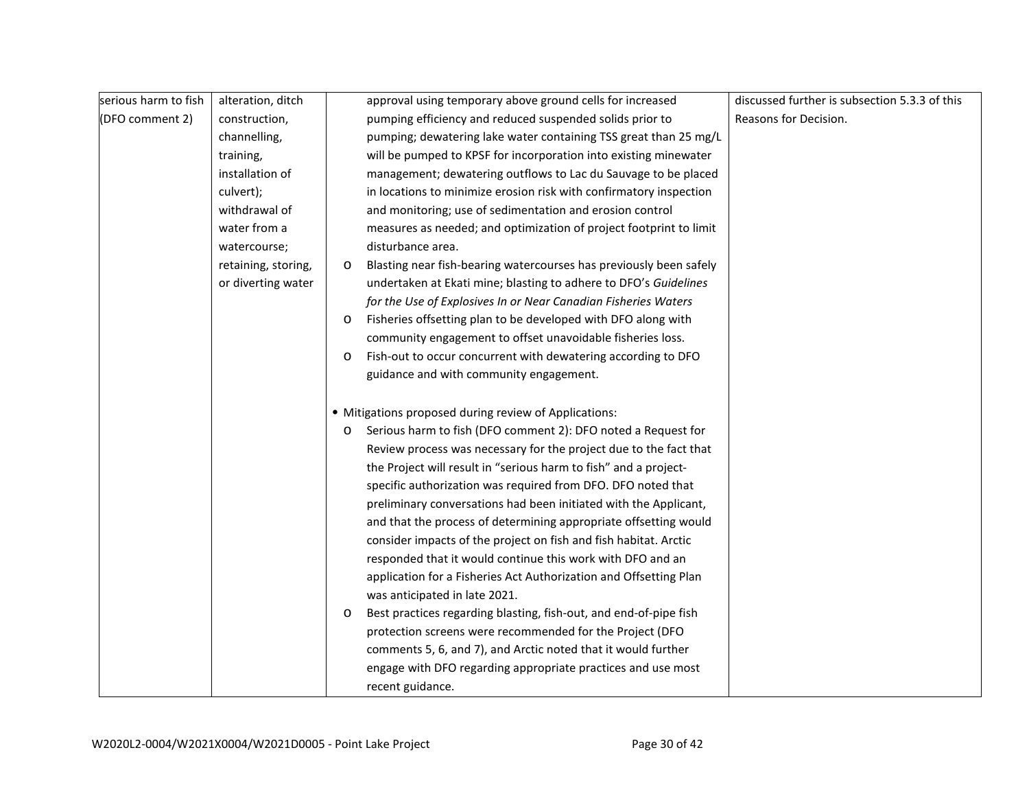| serious harm to fish | alteration, ditch   |         | approval using temporary above ground cells for increased          | discussed further is subsection 5.3.3 of this |
|----------------------|---------------------|---------|--------------------------------------------------------------------|-----------------------------------------------|
|                      |                     |         |                                                                    | Reasons for Decision.                         |
| (DFO comment 2)      | construction,       |         | pumping efficiency and reduced suspended solids prior to           |                                               |
|                      | channelling,        |         | pumping; dewatering lake water containing TSS great than 25 mg/L   |                                               |
|                      | training,           |         | will be pumped to KPSF for incorporation into existing minewater   |                                               |
|                      | installation of     |         | management; dewatering outflows to Lac du Sauvage to be placed     |                                               |
|                      | culvert);           |         | in locations to minimize erosion risk with confirmatory inspection |                                               |
|                      | withdrawal of       |         | and monitoring; use of sedimentation and erosion control           |                                               |
|                      | water from a        |         | measures as needed; and optimization of project footprint to limit |                                               |
|                      | watercourse;        |         | disturbance area.                                                  |                                               |
|                      | retaining, storing, | $\circ$ | Blasting near fish-bearing watercourses has previously been safely |                                               |
|                      | or diverting water  |         | undertaken at Ekati mine; blasting to adhere to DFO's Guidelines   |                                               |
|                      |                     |         | for the Use of Explosives In or Near Canadian Fisheries Waters     |                                               |
|                      |                     | $\circ$ | Fisheries offsetting plan to be developed with DFO along with      |                                               |
|                      |                     |         | community engagement to offset unavoidable fisheries loss.         |                                               |
|                      |                     | $\circ$ | Fish-out to occur concurrent with dewatering according to DFO      |                                               |
|                      |                     |         | guidance and with community engagement.                            |                                               |
|                      |                     |         | • Mitigations proposed during review of Applications:              |                                               |
|                      |                     | $\circ$ | Serious harm to fish (DFO comment 2): DFO noted a Request for      |                                               |
|                      |                     |         | Review process was necessary for the project due to the fact that  |                                               |
|                      |                     |         | the Project will result in "serious harm to fish" and a project-   |                                               |
|                      |                     |         | specific authorization was required from DFO. DFO noted that       |                                               |
|                      |                     |         | preliminary conversations had been initiated with the Applicant,   |                                               |
|                      |                     |         | and that the process of determining appropriate offsetting would   |                                               |
|                      |                     |         | consider impacts of the project on fish and fish habitat. Arctic   |                                               |
|                      |                     |         | responded that it would continue this work with DFO and an         |                                               |
|                      |                     |         | application for a Fisheries Act Authorization and Offsetting Plan  |                                               |
|                      |                     |         | was anticipated in late 2021.                                      |                                               |
|                      |                     | O       | Best practices regarding blasting, fish-out, and end-of-pipe fish  |                                               |
|                      |                     |         | protection screens were recommended for the Project (DFO           |                                               |
|                      |                     |         | comments 5, 6, and 7), and Arctic noted that it would further      |                                               |
|                      |                     |         | engage with DFO regarding appropriate practices and use most       |                                               |
|                      |                     |         | recent guidance.                                                   |                                               |
|                      |                     |         |                                                                    |                                               |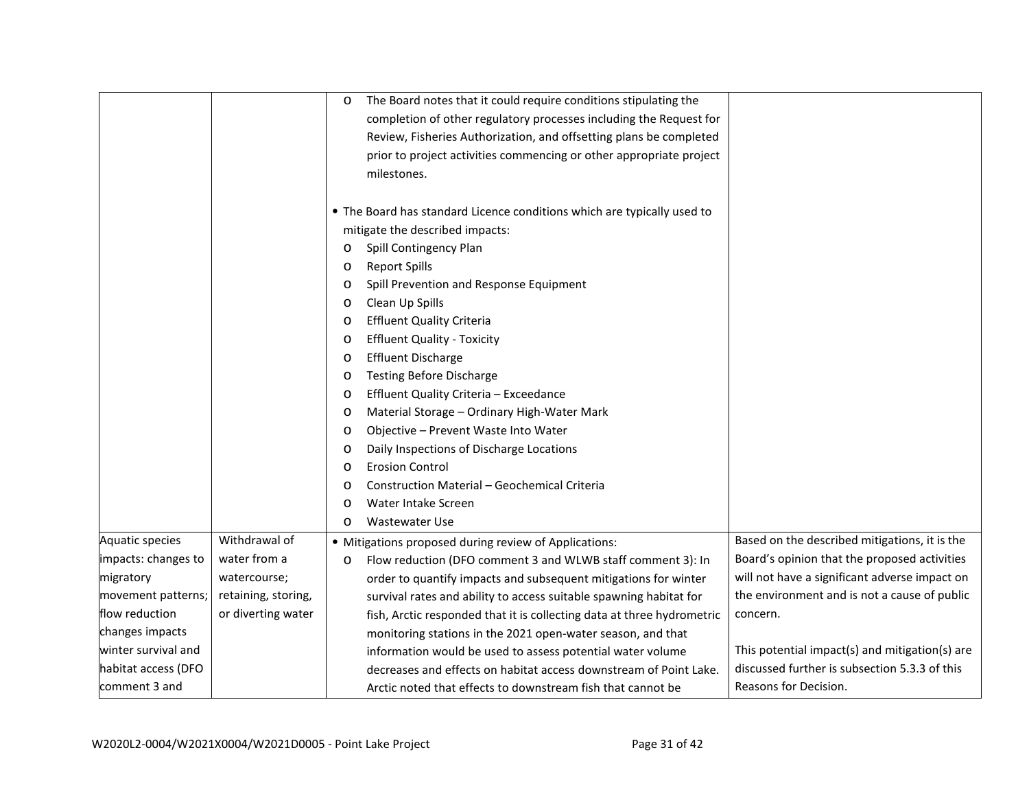|                     |                     | $\circ$ | The Board notes that it could require conditions stipulating the        |                                                |
|---------------------|---------------------|---------|-------------------------------------------------------------------------|------------------------------------------------|
|                     |                     |         | completion of other regulatory processes including the Request for      |                                                |
|                     |                     |         | Review, Fisheries Authorization, and offsetting plans be completed      |                                                |
|                     |                     |         | prior to project activities commencing or other appropriate project     |                                                |
|                     |                     |         | milestones.                                                             |                                                |
|                     |                     |         |                                                                         |                                                |
|                     |                     |         | • The Board has standard Licence conditions which are typically used to |                                                |
|                     |                     |         | mitigate the described impacts:                                         |                                                |
|                     |                     | $\circ$ | Spill Contingency Plan                                                  |                                                |
|                     |                     | $\circ$ | <b>Report Spills</b>                                                    |                                                |
|                     |                     | $\circ$ | Spill Prevention and Response Equipment                                 |                                                |
|                     |                     | $\circ$ | Clean Up Spills                                                         |                                                |
|                     |                     | O       | <b>Effluent Quality Criteria</b>                                        |                                                |
|                     |                     | $\circ$ | <b>Effluent Quality - Toxicity</b>                                      |                                                |
|                     |                     | $\circ$ | <b>Effluent Discharge</b>                                               |                                                |
|                     |                     | $\circ$ | <b>Testing Before Discharge</b>                                         |                                                |
|                     |                     | $\circ$ | Effluent Quality Criteria - Exceedance                                  |                                                |
|                     |                     | $\circ$ | Material Storage - Ordinary High-Water Mark                             |                                                |
|                     |                     | $\circ$ | Objective - Prevent Waste Into Water                                    |                                                |
|                     |                     | $\circ$ | Daily Inspections of Discharge Locations                                |                                                |
|                     |                     | $\circ$ | <b>Erosion Control</b>                                                  |                                                |
|                     |                     | $\circ$ | Construction Material - Geochemical Criteria                            |                                                |
|                     |                     | $\circ$ | Water Intake Screen                                                     |                                                |
|                     |                     | $\circ$ | <b>Wastewater Use</b>                                                   |                                                |
| Aquatic species     | Withdrawal of       |         | • Mitigations proposed during review of Applications:                   | Based on the described mitigations, it is the  |
| impacts: changes to | water from a        | $\circ$ | Flow reduction (DFO comment 3 and WLWB staff comment 3): In             | Board's opinion that the proposed activities   |
| migratory           | watercourse;        |         | order to quantify impacts and subsequent mitigations for winter         | will not have a significant adverse impact on  |
| movement patterns;  | retaining, storing, |         | survival rates and ability to access suitable spawning habitat for      | the environment and is not a cause of public   |
| flow reduction      | or diverting water  |         | fish, Arctic responded that it is collecting data at three hydrometric  | concern.                                       |
| changes impacts     |                     |         | monitoring stations in the 2021 open-water season, and that             |                                                |
| winter survival and |                     |         | information would be used to assess potential water volume              | This potential impact(s) and mitigation(s) are |
| habitat access (DFO |                     |         | decreases and effects on habitat access downstream of Point Lake.       | discussed further is subsection 5.3.3 of this  |
| comment 3 and       |                     |         | Arctic noted that effects to downstream fish that cannot be             | Reasons for Decision.                          |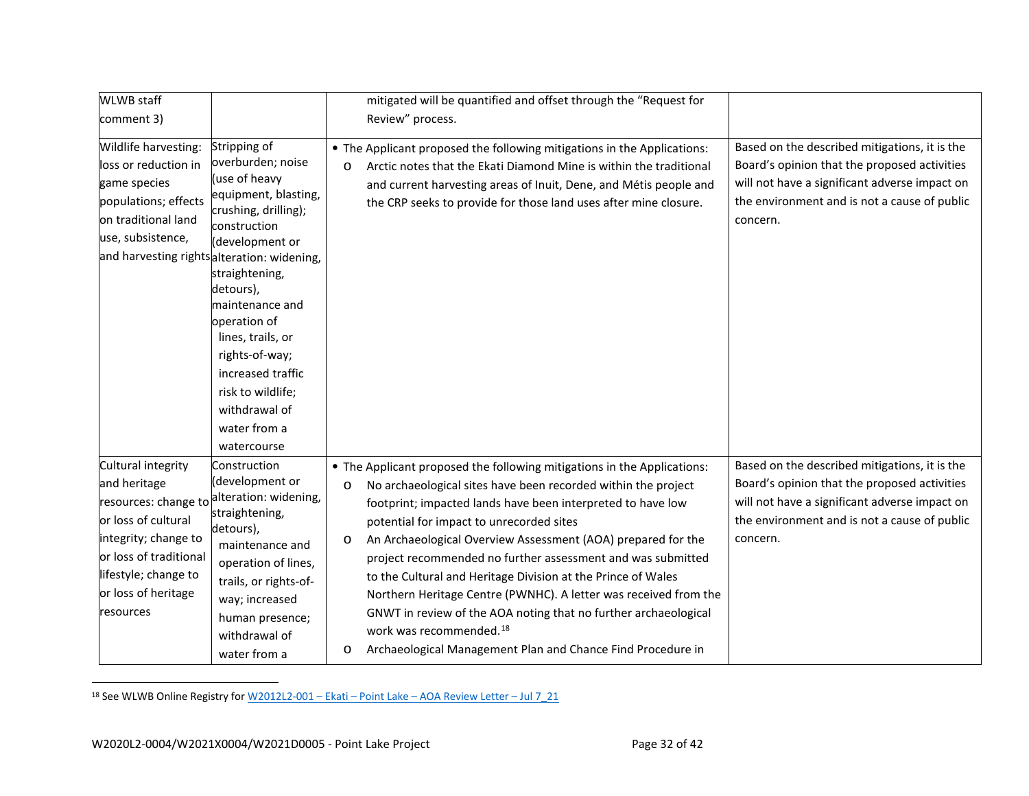<span id="page-33-0"></span>

| <b>WLWB</b> staff                                                                                                                                                                                                     |                                                                                                                                                                                                                                                                                                                           | mitigated will be quantified and offset through the "Request for                                                                                                                                                                                                                                                                                                                                                                                                                                                                                                                                                                                                                                                     |                                                                                                                                                                                                            |
|-----------------------------------------------------------------------------------------------------------------------------------------------------------------------------------------------------------------------|---------------------------------------------------------------------------------------------------------------------------------------------------------------------------------------------------------------------------------------------------------------------------------------------------------------------------|----------------------------------------------------------------------------------------------------------------------------------------------------------------------------------------------------------------------------------------------------------------------------------------------------------------------------------------------------------------------------------------------------------------------------------------------------------------------------------------------------------------------------------------------------------------------------------------------------------------------------------------------------------------------------------------------------------------------|------------------------------------------------------------------------------------------------------------------------------------------------------------------------------------------------------------|
| comment 3)                                                                                                                                                                                                            |                                                                                                                                                                                                                                                                                                                           | Review" process.                                                                                                                                                                                                                                                                                                                                                                                                                                                                                                                                                                                                                                                                                                     |                                                                                                                                                                                                            |
| Wildlife harvesting:<br>loss or reduction in<br>game species<br>populations; effects<br>on traditional land<br>use, subsistence,<br>and harvesting rightsalteration: widening,                                        | Stripping of<br>overburden; noise<br>(use of heavy<br>equipment, blasting,<br>crushing, drilling);<br>construction<br>(development or<br>straightening,<br>detours),<br>maintenance and<br>operation of<br>lines, trails, or<br>rights-of-way;<br>increased traffic<br>risk to wildlife;<br>withdrawal of<br>water from a | • The Applicant proposed the following mitigations in the Applications:<br>Arctic notes that the Ekati Diamond Mine is within the traditional<br>$\circ$<br>and current harvesting areas of Inuit, Dene, and Métis people and<br>the CRP seeks to provide for those land uses after mine closure.                                                                                                                                                                                                                                                                                                                                                                                                                    | Based on the described mitigations, it is the<br>Board's opinion that the proposed activities<br>will not have a significant adverse impact on<br>the environment and is not a cause of public<br>concern. |
|                                                                                                                                                                                                                       | watercourse                                                                                                                                                                                                                                                                                                               |                                                                                                                                                                                                                                                                                                                                                                                                                                                                                                                                                                                                                                                                                                                      |                                                                                                                                                                                                            |
| Cultural integrity<br>and heritage<br>resources: change to alteration: widening,<br>or loss of cultural<br>integrity; change to<br>or loss of traditional<br>lifestyle; change to<br>or loss of heritage<br>resources | Construction<br>(development or<br>straightening,<br>detours),<br>maintenance and<br>operation of lines,<br>trails, or rights-of-<br>way; increased<br>human presence;<br>withdrawal of<br>water from a                                                                                                                   | • The Applicant proposed the following mitigations in the Applications:<br>No archaeological sites have been recorded within the project<br>$\circ$<br>footprint; impacted lands have been interpreted to have low<br>potential for impact to unrecorded sites<br>An Archaeological Overview Assessment (AOA) prepared for the<br>O<br>project recommended no further assessment and was submitted<br>to the Cultural and Heritage Division at the Prince of Wales<br>Northern Heritage Centre (PWNHC). A letter was received from the<br>GNWT in review of the AOA noting that no further archaeological<br>work was recommended. <sup>18</sup><br>Archaeological Management Plan and Chance Find Procedure in<br>O | Based on the described mitigations, it is the<br>Board's opinion that the proposed activities<br>will not have a significant adverse impact on<br>the environment and is not a cause of public<br>concern. |

<sup>18</sup> See WLWB Online Registry for W2012L2-001 – Ekati – Point Lake – [AOA Review Letter –](http://registry.mvlwb.ca/Documents/W2012L2-0001/W2012L2-0001%20-%20Ekati%20-Point%20Lake%20-%20%20AOA%20Review%20Letter%20-%20Jul%207_21.pdf) Jul 7\_21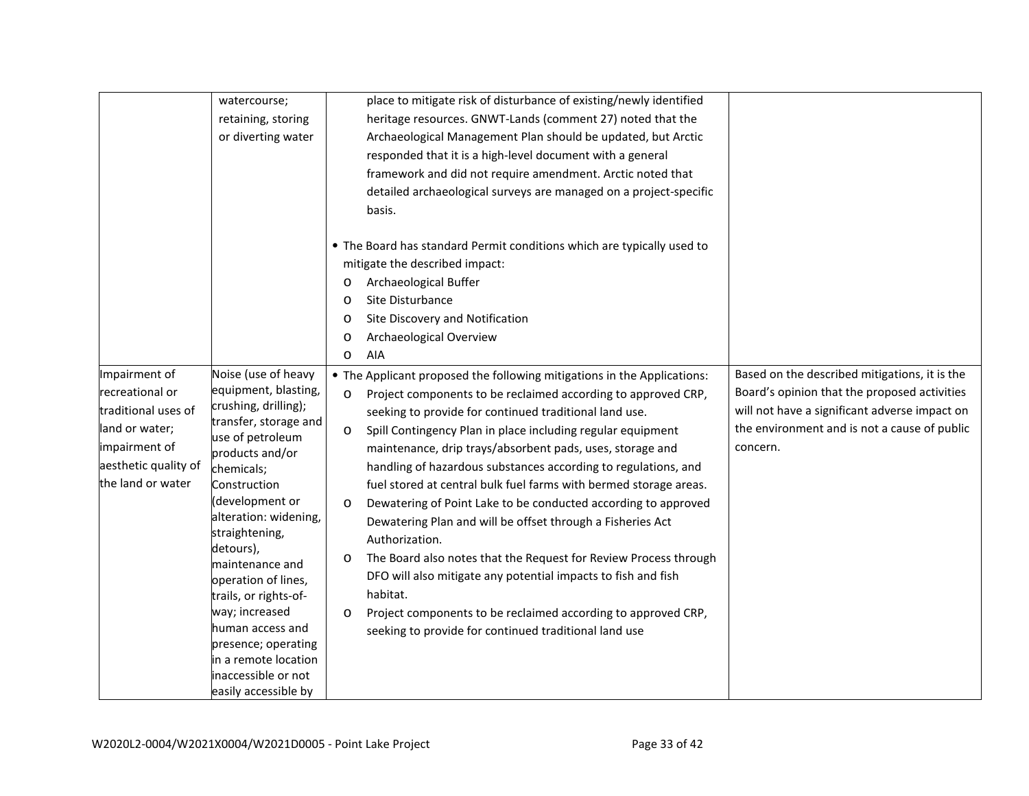| place to mitigate risk of disturbance of existing/newly identified<br>watercourse;<br>heritage resources. GNWT-Lands (comment 27) noted that the<br>retaining, storing<br>Archaeological Management Plan should be updated, but Arctic<br>or diverting water<br>responded that it is a high-level document with a general<br>framework and did not require amendment. Arctic noted that |  |
|-----------------------------------------------------------------------------------------------------------------------------------------------------------------------------------------------------------------------------------------------------------------------------------------------------------------------------------------------------------------------------------------|--|
|                                                                                                                                                                                                                                                                                                                                                                                         |  |
|                                                                                                                                                                                                                                                                                                                                                                                         |  |
|                                                                                                                                                                                                                                                                                                                                                                                         |  |
|                                                                                                                                                                                                                                                                                                                                                                                         |  |
|                                                                                                                                                                                                                                                                                                                                                                                         |  |
| detailed archaeological surveys are managed on a project-specific                                                                                                                                                                                                                                                                                                                       |  |
| basis.                                                                                                                                                                                                                                                                                                                                                                                  |  |
|                                                                                                                                                                                                                                                                                                                                                                                         |  |
| • The Board has standard Permit conditions which are typically used to                                                                                                                                                                                                                                                                                                                  |  |
| mitigate the described impact:                                                                                                                                                                                                                                                                                                                                                          |  |
| Archaeological Buffer<br>$\circ$                                                                                                                                                                                                                                                                                                                                                        |  |
| Site Disturbance<br>$\circ$                                                                                                                                                                                                                                                                                                                                                             |  |
| Site Discovery and Notification<br>$\circ$                                                                                                                                                                                                                                                                                                                                              |  |
| Archaeological Overview<br>O                                                                                                                                                                                                                                                                                                                                                            |  |
| AIA<br>$\circ$                                                                                                                                                                                                                                                                                                                                                                          |  |
| Noise (use of heavy<br>Impairment of<br>Based on the described mitigations, it is the<br>• The Applicant proposed the following mitigations in the Applications:                                                                                                                                                                                                                        |  |
| equipment, blasting,<br>recreational or<br>Board's opinion that the proposed activities<br>Project components to be reclaimed according to approved CRP,<br>$\circ$                                                                                                                                                                                                                     |  |
| crushing, drilling);<br>will not have a significant adverse impact on<br>traditional uses of<br>seeking to provide for continued traditional land use.                                                                                                                                                                                                                                  |  |
| transfer, storage and<br>the environment and is not a cause of public<br>land or water;                                                                                                                                                                                                                                                                                                 |  |
| Spill Contingency Plan in place including regular equipment<br>$\circ$<br>use of petroleum<br>impairment of<br>concern.                                                                                                                                                                                                                                                                 |  |
| maintenance, drip trays/absorbent pads, uses, storage and<br>products and/or<br>aesthetic quality of                                                                                                                                                                                                                                                                                    |  |
| handling of hazardous substances according to regulations, and<br>chemicals;<br>the land or water                                                                                                                                                                                                                                                                                       |  |
| Construction<br>fuel stored at central bulk fuel farms with bermed storage areas.<br>(development or                                                                                                                                                                                                                                                                                    |  |
| Dewatering of Point Lake to be conducted according to approved<br>$\circ$<br>alteration: widening,                                                                                                                                                                                                                                                                                      |  |
| Dewatering Plan and will be offset through a Fisheries Act<br>straightening,                                                                                                                                                                                                                                                                                                            |  |
| Authorization.<br>detours),                                                                                                                                                                                                                                                                                                                                                             |  |
| The Board also notes that the Request for Review Process through<br>$\circ$<br>maintenance and                                                                                                                                                                                                                                                                                          |  |
| DFO will also mitigate any potential impacts to fish and fish<br>operation of lines,                                                                                                                                                                                                                                                                                                    |  |
| habitat.<br>trails, or rights-of-                                                                                                                                                                                                                                                                                                                                                       |  |
| way; increased<br>Project components to be reclaimed according to approved CRP,<br>$\circ$                                                                                                                                                                                                                                                                                              |  |
| human access and<br>seeking to provide for continued traditional land use<br>presence; operating                                                                                                                                                                                                                                                                                        |  |
| in a remote location                                                                                                                                                                                                                                                                                                                                                                    |  |
| inaccessible or not                                                                                                                                                                                                                                                                                                                                                                     |  |
| easily accessible by                                                                                                                                                                                                                                                                                                                                                                    |  |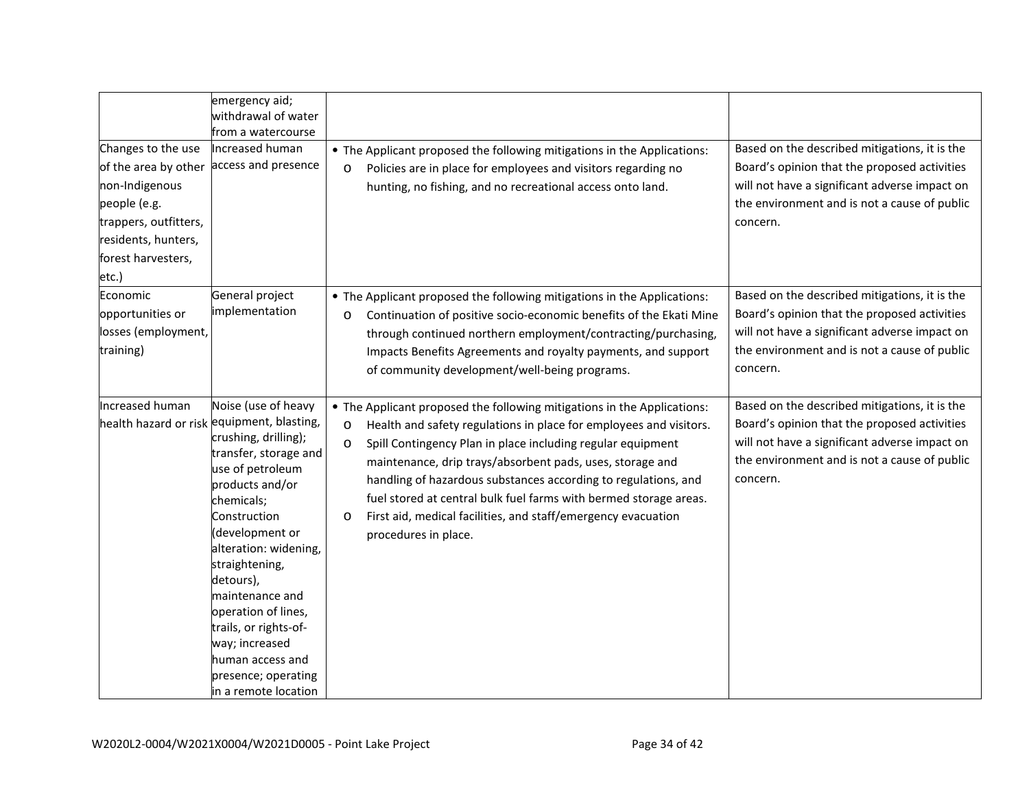| Changes to the use<br>of the area by other<br>non-Indigenous<br>people (e.g.<br>trappers, outfitters,<br>residents, hunters,<br>forest harvesters,<br>etc.) | emergency aid;<br>withdrawal of water<br>from a watercourse<br>Increased human<br>access and presence                                                                                                                                                                                                                                                                                                                      | • The Applicant proposed the following mitigations in the Applications:<br>Policies are in place for employees and visitors regarding no<br>$\circ$<br>hunting, no fishing, and no recreational access onto land.                                                                                                                                                                                                                                                                                                                          | Based on the described mitigations, it is the<br>Board's opinion that the proposed activities<br>will not have a significant adverse impact on<br>the environment and is not a cause of public<br>concern. |
|-------------------------------------------------------------------------------------------------------------------------------------------------------------|----------------------------------------------------------------------------------------------------------------------------------------------------------------------------------------------------------------------------------------------------------------------------------------------------------------------------------------------------------------------------------------------------------------------------|--------------------------------------------------------------------------------------------------------------------------------------------------------------------------------------------------------------------------------------------------------------------------------------------------------------------------------------------------------------------------------------------------------------------------------------------------------------------------------------------------------------------------------------------|------------------------------------------------------------------------------------------------------------------------------------------------------------------------------------------------------------|
| Economic<br>opportunities or<br>losses (employment,<br>training)                                                                                            | General project<br>implementation                                                                                                                                                                                                                                                                                                                                                                                          | • The Applicant proposed the following mitigations in the Applications:<br>Continuation of positive socio-economic benefits of the Ekati Mine<br>$\circ$<br>through continued northern employment/contracting/purchasing,<br>Impacts Benefits Agreements and royalty payments, and support<br>of community development/well-being programs.                                                                                                                                                                                                | Based on the described mitigations, it is the<br>Board's opinion that the proposed activities<br>will not have a significant adverse impact on<br>the environment and is not a cause of public<br>concern. |
| Increased human                                                                                                                                             | Noise (use of heavy<br>health hazard or risk equipment, blasting,<br>crushing, drilling);<br>transfer, storage and<br>use of petroleum<br>products and/or<br>chemicals;<br>Construction<br>(development or<br>alteration: widening,<br>straightening,<br>detours),<br>maintenance and<br>operation of lines,<br>trails, or rights-of-<br>way; increased<br>human access and<br>presence; operating<br>in a remote location | • The Applicant proposed the following mitigations in the Applications:<br>Health and safety regulations in place for employees and visitors.<br>$\circ$<br>Spill Contingency Plan in place including regular equipment<br>$\circ$<br>maintenance, drip trays/absorbent pads, uses, storage and<br>handling of hazardous substances according to regulations, and<br>fuel stored at central bulk fuel farms with bermed storage areas.<br>First aid, medical facilities, and staff/emergency evacuation<br>$\circ$<br>procedures in place. | Based on the described mitigations, it is the<br>Board's opinion that the proposed activities<br>will not have a significant adverse impact on<br>the environment and is not a cause of public<br>concern. |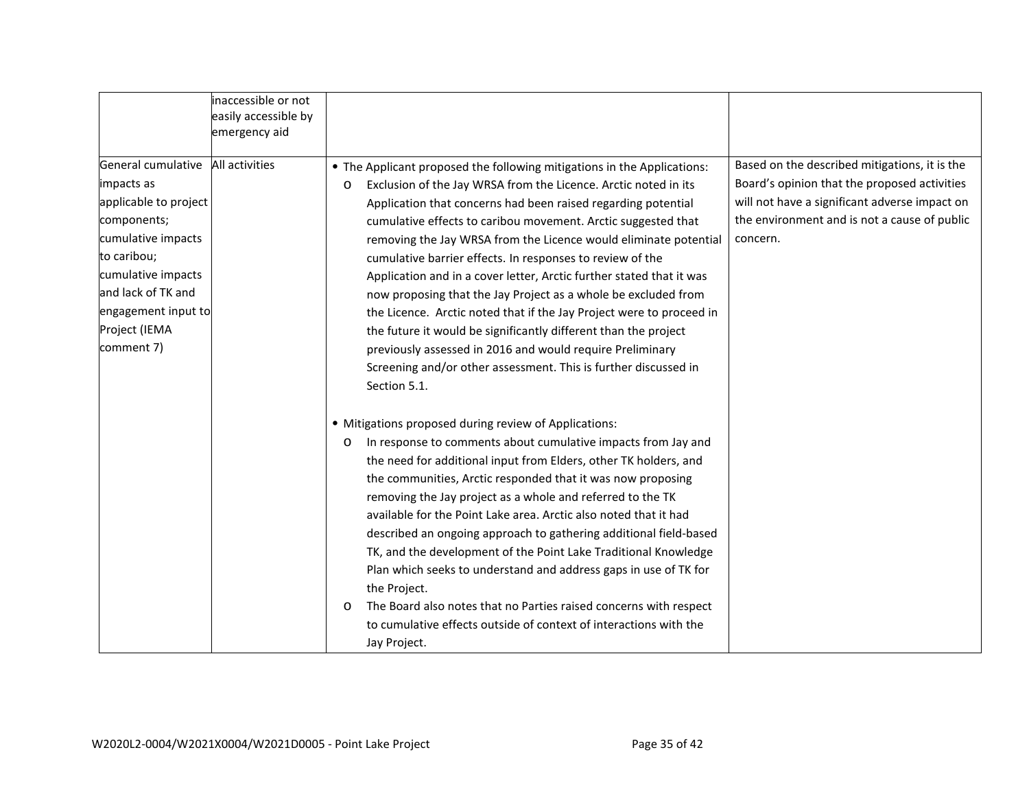|                                                                                                                                                                                                                 | inaccessible or not<br>easily accessible by |                                                                                                                                                                                                                                                                                                                                                                                                                                                                                                                                                                                                                                                                                                                                                                                                                                               |                                                                                                                                                                                                            |
|-----------------------------------------------------------------------------------------------------------------------------------------------------------------------------------------------------------------|---------------------------------------------|-----------------------------------------------------------------------------------------------------------------------------------------------------------------------------------------------------------------------------------------------------------------------------------------------------------------------------------------------------------------------------------------------------------------------------------------------------------------------------------------------------------------------------------------------------------------------------------------------------------------------------------------------------------------------------------------------------------------------------------------------------------------------------------------------------------------------------------------------|------------------------------------------------------------------------------------------------------------------------------------------------------------------------------------------------------------|
|                                                                                                                                                                                                                 | emergency aid                               |                                                                                                                                                                                                                                                                                                                                                                                                                                                                                                                                                                                                                                                                                                                                                                                                                                               |                                                                                                                                                                                                            |
| General cumulative<br>impacts as<br>applicable to project<br>components;<br>cumulative impacts<br>to caribou;<br>cumulative impacts<br>and lack of TK and<br>engagement input to<br>Project (IEMA<br>comment 7) | All activities                              | • The Applicant proposed the following mitigations in the Applications:<br>Exclusion of the Jay WRSA from the Licence. Arctic noted in its<br>$\circ$<br>Application that concerns had been raised regarding potential<br>cumulative effects to caribou movement. Arctic suggested that<br>removing the Jay WRSA from the Licence would eliminate potential<br>cumulative barrier effects. In responses to review of the<br>Application and in a cover letter, Arctic further stated that it was<br>now proposing that the Jay Project as a whole be excluded from<br>the Licence. Arctic noted that if the Jay Project were to proceed in<br>the future it would be significantly different than the project<br>previously assessed in 2016 and would require Preliminary<br>Screening and/or other assessment. This is further discussed in | Based on the described mitigations, it is the<br>Board's opinion that the proposed activities<br>will not have a significant adverse impact on<br>the environment and is not a cause of public<br>concern. |
|                                                                                                                                                                                                                 |                                             | Section 5.1.<br>• Mitigations proposed during review of Applications:<br>In response to comments about cumulative impacts from Jay and<br>$\circ$<br>the need for additional input from Elders, other TK holders, and<br>the communities, Arctic responded that it was now proposing<br>removing the Jay project as a whole and referred to the TK<br>available for the Point Lake area. Arctic also noted that it had<br>described an ongoing approach to gathering additional field-based<br>TK, and the development of the Point Lake Traditional Knowledge<br>Plan which seeks to understand and address gaps in use of TK for<br>the Project.<br>The Board also notes that no Parties raised concerns with respect<br>$\circ$<br>to cumulative effects outside of context of interactions with the<br>Jay Project.                       |                                                                                                                                                                                                            |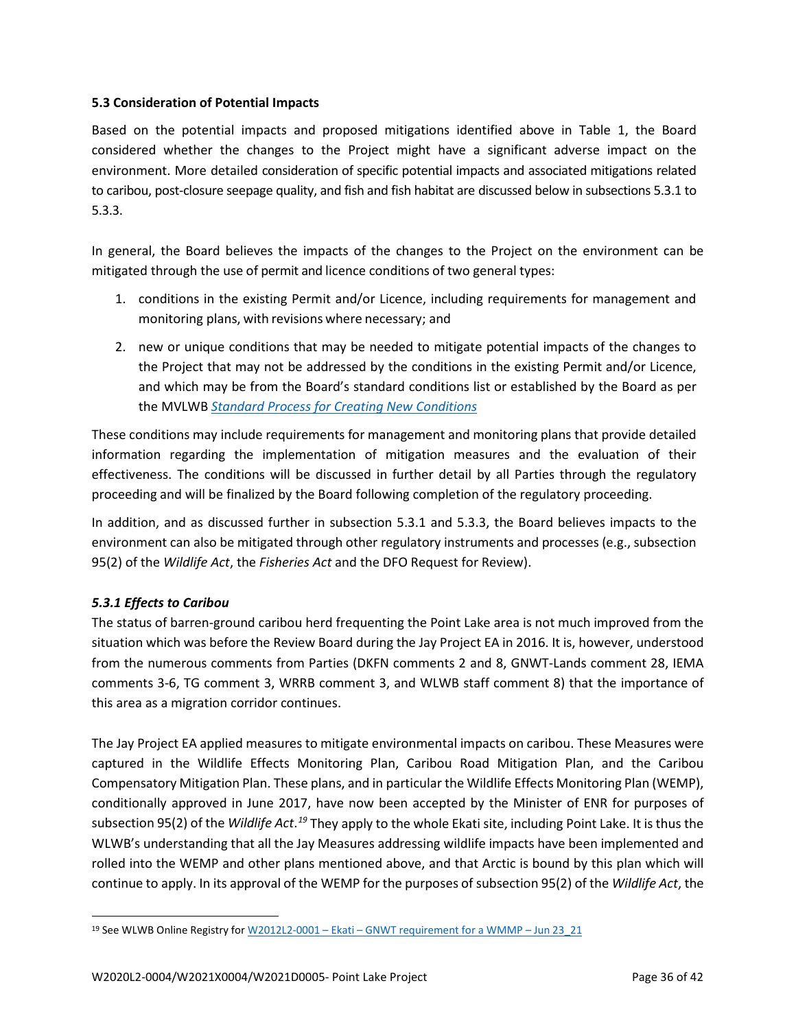### **5.3 Consideration of Potential Impacts**

Based on the potential impacts and proposed mitigations identified above in Table 1, the Board considered whether the changes to the Project might have a significant adverse impact on the environment. More detailed consideration of specific potential impacts and associated mitigations related to caribou, post-closure seepage quality, and fish and fish habitat are discussed below in subsections 5.3.1 to 5.3.3.

In general, the Board believes the impacts of the changes to the Project on the environment can be mitigated through the use of permit and licence conditions of two general types:

- 1. conditions in the existing Permit and/or Licence, including requirements for management and monitoring plans, with revisions where necessary; and
- 2. new or unique conditions that may be needed to mitigate potential impacts of the changes to the Project that may not be addressed by the conditions in the existing Permit and/or Licence, and which may be from the Board's standard conditions list or established by the Board as per the MVLWB *[Standard Process for Creating New](https://mvlwb.com/sites/default/files/documents/wg/MVLWB%20Standard%20Process%20for%20New%20Conditions%20-%20Jun%201_13.pdf) [Conditions](https://mvlwb.com/sites/default/files/documents/wg/MVLWB%20Standard%20Process%20for%20New%20Conditions%20-%20Jun%201_13.pdf)*

These conditions may include requirements for management and monitoring plans that provide detailed information regarding the implementation of mitigation measures and the evaluation of their effectiveness. The conditions will be discussed in further detail by all Parties through the regulatory proceeding and will be finalized by the Board following completion of the regulatory proceeding.

In addition, and as discussed further in subsection 5.3.1 and 5.3.3, the Board believes impacts to the environment can also be mitigated through other regulatory instruments and processes (e.g., subsection 95(2) of the *Wildlife Act*, the *Fisheries Act* and the DFO Request for Review).

## *5.3.1 Effects to Caribou*

The status of barren-ground caribou herd frequenting the Point Lake area is not much improved from the situation which was before the Review Board during the Jay Project EA in 2016. It is, however, understood from the numerous comments from Parties (DKFN comments 2 and 8, GNWT-Lands comment 28, IEMA comments 3-6, TG comment 3, WRRB comment 3, and WLWB staff comment 8) that the importance of this area as a migration corridor continues.

The Jay Project EA applied measures to mitigate environmental impacts on caribou. These Measures were captured in the Wildlife Effects Monitoring Plan, Caribou Road Mitigation Plan, and the Caribou Compensatory Mitigation Plan. These plans, and in particular the Wildlife Effects Monitoring Plan (WEMP), conditionally approved in June 2017, have now been accepted by the Minister of ENR for purposes of subsection 95(2) of the *Wildlife Act*.<sup>[19](#page-37-0)</sup> They apply to the whole Ekati site, including Point Lake. It is thus the WLWB's understanding that all the Jay Measures addressing wildlife impacts have been implemented and rolled into the WEMP and other plans mentioned above, and that Arctic is bound by this plan which will continue to apply. In its approval of the WEMP for the purposes of subsection 95(2) of the *Wildlife Act*, the

<span id="page-37-0"></span><sup>19</sup> See WLWB Online Registry for W2012L2-0001 – Ekati – [GNWT requirement for a WMMP –](http://registry.mvlwb.ca/Documents/W2012L2-0001/W2012L2-0001%20-%20Ekati%20-%20GNWT%20requirement%20for%20a%20WMMP%20-%20Jun%2023_21.pdf) Jun 23\_21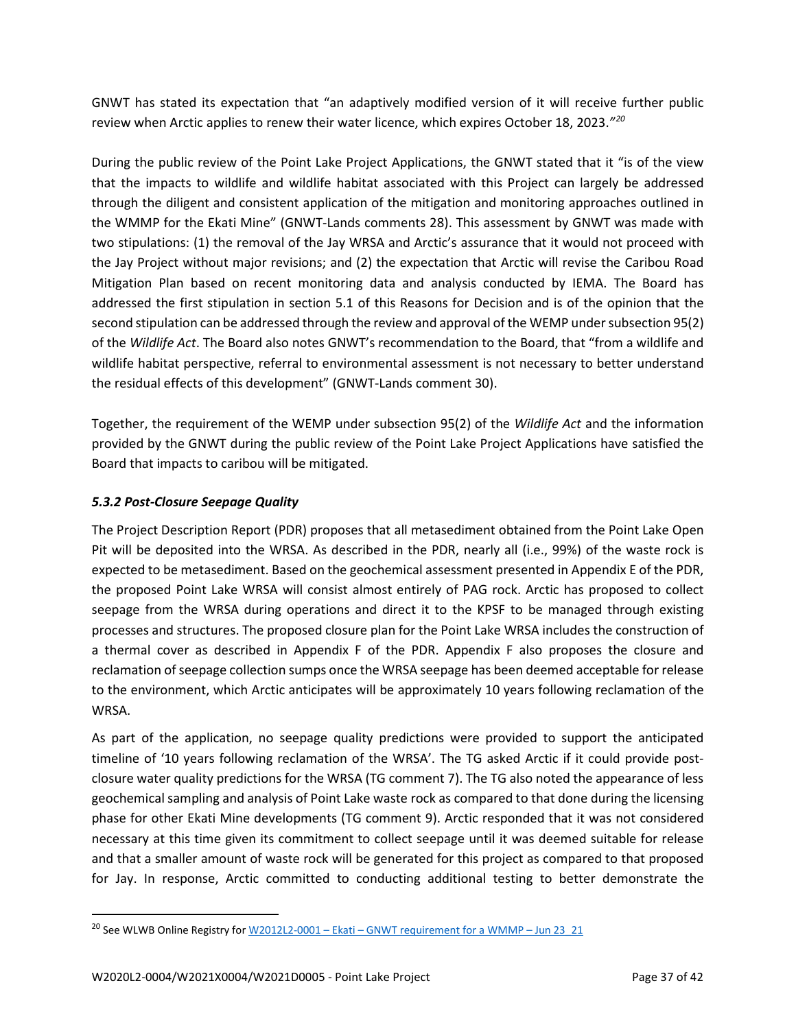GNWT has stated its expectation that "an adaptively modified version of it will receive further public review when Arctic applies to renew their water licence, which expires October 18, 2023.*"[20](#page-38-0)*

During the public review of the Point Lake Project Applications, the GNWT stated that it "is of the view that the impacts to wildlife and wildlife habitat associated with this Project can largely be addressed through the diligent and consistent application of the mitigation and monitoring approaches outlined in the WMMP for the Ekati Mine" (GNWT-Lands comments 28). This assessment by GNWT was made with two stipulations: (1) the removal of the Jay WRSA and Arctic's assurance that it would not proceed with the Jay Project without major revisions; and (2) the expectation that Arctic will revise the Caribou Road Mitigation Plan based on recent monitoring data and analysis conducted by IEMA. The Board has addressed the first stipulation in section 5.1 of this Reasons for Decision and is of the opinion that the second stipulation can be addressed through the review and approval of the WEMP under subsection 95(2) of the *Wildlife Act*. The Board also notes GNWT's recommendation to the Board, that "from a wildlife and wildlife habitat perspective, referral to environmental assessment is not necessary to better understand the residual effects of this development" (GNWT-Lands comment 30).

Together, the requirement of the WEMP under subsection 95(2) of the *Wildlife Act* and the information provided by the GNWT during the public review of the Point Lake Project Applications have satisfied the Board that impacts to caribou will be mitigated.

## *5.3.2 Post-Closure Seepage Quality*

The Project Description Report (PDR) proposes that all metasediment obtained from the Point Lake Open Pit will be deposited into the WRSA. As described in the PDR, nearly all (i.e., 99%) of the waste rock is expected to be metasediment. Based on the geochemical assessment presented in Appendix E of the PDR, the proposed Point Lake WRSA will consist almost entirely of PAG rock. Arctic has proposed to collect seepage from the WRSA during operations and direct it to the KPSF to be managed through existing processes and structures. The proposed closure plan for the Point Lake WRSA includes the construction of a thermal cover as described in Appendix F of the PDR. Appendix F also proposes the closure and reclamation of seepage collection sumps once the WRSA seepage has been deemed acceptable for release to the environment, which Arctic anticipates will be approximately 10 years following reclamation of the WRSA.

As part of the application, no seepage quality predictions were provided to support the anticipated timeline of '10 years following reclamation of the WRSA'. The TG asked Arctic if it could provide postclosure water quality predictions for the WRSA (TG comment 7). The TG also noted the appearance of less geochemical sampling and analysis of Point Lake waste rock as compared to that done during the licensing phase for other Ekati Mine developments (TG comment 9). Arctic responded that it was not considered necessary at this time given its commitment to collect seepage until it was deemed suitable for release and that a smaller amount of waste rock will be generated for this project as compared to that proposed for Jay. In response, Arctic committed to conducting additional testing to better demonstrate the

<span id="page-38-0"></span><sup>&</sup>lt;sup>20</sup> See WLWB Online Registry for  $W2012L2-0001 -$  Ekati – [GNWT requirement for a WMMP –](http://registry.mvlwb.ca/Documents/W2012L2-0001/W2012L2-0001%20-%20Ekati%20-%20GNWT%20requirement%20for%20a%20WMMP%20-%20Jun%2023_21.pdf) Jun 23 21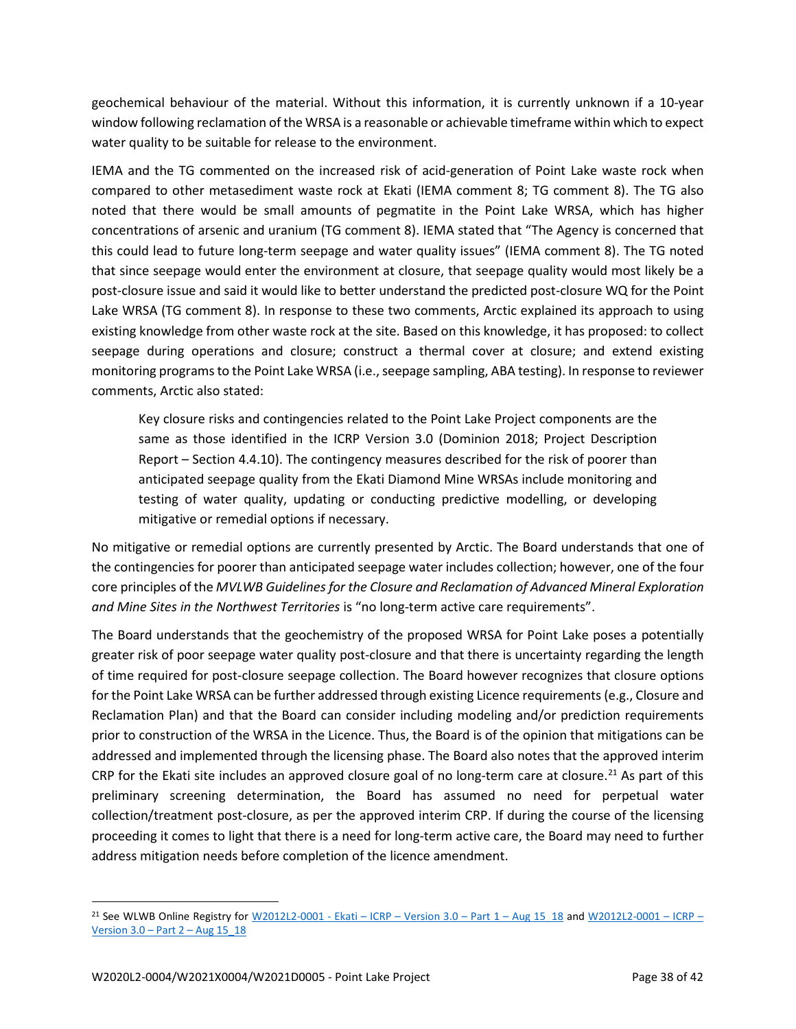geochemical behaviour of the material. Without this information, it is currently unknown if a 10-year window following reclamation of the WRSA is a reasonable or achievable timeframe within which to expect water quality to be suitable for release to the environment.

IEMA and the TG commented on the increased risk of acid-generation of Point Lake waste rock when compared to other metasediment waste rock at Ekati (IEMA comment 8; TG comment 8). The TG also noted that there would be small amounts of pegmatite in the Point Lake WRSA, which has higher concentrations of arsenic and uranium (TG comment 8). IEMA stated that "The Agency is concerned that this could lead to future long-term seepage and water quality issues" (IEMA comment 8). The TG noted that since seepage would enter the environment at closure, that seepage quality would most likely be a post-closure issue and said it would like to better understand the predicted post-closure WQ for the Point Lake WRSA (TG comment 8). In response to these two comments, Arctic explained its approach to using existing knowledge from other waste rock at the site. Based on this knowledge, it has proposed: to collect seepage during operations and closure; construct a thermal cover at closure; and extend existing monitoring programs to the Point Lake WRSA (i.e., seepage sampling, ABA testing). In response to reviewer comments, Arctic also stated:

Key closure risks and contingencies related to the Point Lake Project components are the same as those identified in the ICRP Version 3.0 (Dominion 2018; Project Description Report – Section 4.4.10). The contingency measures described for the risk of poorer than anticipated seepage quality from the Ekati Diamond Mine WRSAs include monitoring and testing of water quality, updating or conducting predictive modelling, or developing mitigative or remedial options if necessary.

No mitigative or remedial options are currently presented by Arctic. The Board understands that one of the contingencies for poorer than anticipated seepage water includes collection; however, one of the four core principles of the *MVLWB Guidelines for the Closure and Reclamation of Advanced Mineral Exploration and Mine Sites in the Northwest Territories* is "no long-term active care requirements".

The Board understands that the geochemistry of the proposed WRSA for Point Lake poses a potentially greater risk of poor seepage water quality post-closure and that there is uncertainty regarding the length of time required for post-closure seepage collection. The Board however recognizes that closure options for the Point Lake WRSA can be further addressed through existing Licence requirements (e.g., Closure and Reclamation Plan) and that the Board can consider including modeling and/or prediction requirements prior to construction of the WRSA in the Licence. Thus, the Board is of the opinion that mitigations can be addressed and implemented through the licensing phase. The Board also notes that the approved interim CRP for the Ekati site includes an approved closure goal of no long-term care at closure.<sup>[21](#page-39-0)</sup> As part of this preliminary screening determination, the Board has assumed no need for perpetual water collection/treatment post-closure, as per the approved interim CRP. If during the course of the licensing proceeding it comes to light that there is a need for long-term active care, the Board may need to further address mitigation needs before completion of the licence amendment.

<span id="page-39-0"></span><sup>&</sup>lt;sup>21</sup> See WLWB Online Registry for [W2012L2-0001 -](https://registry.mvlwb.ca/Documents/W2012L2-0001/W2012L2-0001%20-%20Ekati%20-%20ICRP%20-%20Version%203.0%20-%20Part%201%20-%20Aug%2015_18.pdf) Ekati – ICRP – Version  $3.0$  – Part  $1 - \text{Aug }15$  18 and [W2012L2-0001 –](https://registry.mvlwb.ca/Documents/W2012L2-0001/W2012L2-0001%20-%20Ekati%20-%20ICRP%20-%20Version%203.0%20-%20Part%202%20-%20Aug%2015_18.pdf) ICRP – Version  $3.0$  – Part  $2$  – Aug 15  $18$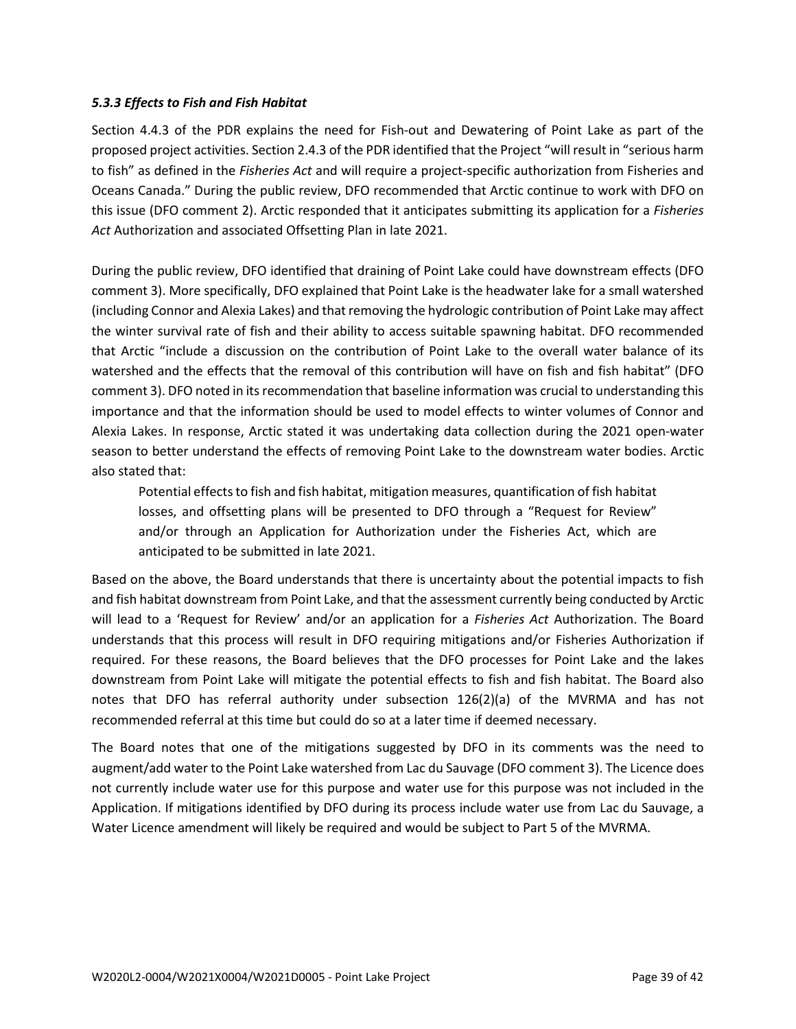#### *5.3.3 Effects to Fish and Fish Habitat*

Section 4.4.3 of the PDR explains the need for Fish-out and Dewatering of Point Lake as part of the proposed project activities. Section 2.4.3 of the PDR identified that the Project "will result in "serious harm to fish" as defined in the *Fisheries Act* and will require a project-specific authorization from Fisheries and Oceans Canada." During the public review, DFO recommended that Arctic continue to work with DFO on this issue (DFO comment 2). Arctic responded that it anticipates submitting its application for a *Fisheries Act* Authorization and associated Offsetting Plan in late 2021.

During the public review, DFO identified that draining of Point Lake could have downstream effects (DFO comment 3). More specifically, DFO explained that Point Lake is the headwater lake for a small watershed (including Connor and Alexia Lakes) and that removing the hydrologic contribution of Point Lake may affect the winter survival rate of fish and their ability to access suitable spawning habitat. DFO recommended that Arctic "include a discussion on the contribution of Point Lake to the overall water balance of its watershed and the effects that the removal of this contribution will have on fish and fish habitat" (DFO comment 3). DFO noted in its recommendation that baseline information was crucial to understanding this importance and that the information should be used to model effects to winter volumes of Connor and Alexia Lakes. In response, Arctic stated it was undertaking data collection during the 2021 open-water season to better understand the effects of removing Point Lake to the downstream water bodies. Arctic also stated that:

Potential effects to fish and fish habitat, mitigation measures, quantification of fish habitat losses, and offsetting plans will be presented to DFO through a "Request for Review" and/or through an Application for Authorization under the Fisheries Act, which are anticipated to be submitted in late 2021.

Based on the above, the Board understands that there is uncertainty about the potential impacts to fish and fish habitat downstream from Point Lake, and that the assessment currently being conducted by Arctic will lead to a 'Request for Review' and/or an application for a *Fisheries Act* Authorization. The Board understands that this process will result in DFO requiring mitigations and/or Fisheries Authorization if required. For these reasons, the Board believes that the DFO processes for Point Lake and the lakes downstream from Point Lake will mitigate the potential effects to fish and fish habitat. The Board also notes that DFO has referral authority under subsection 126(2)(a) of the MVRMA and has not recommended referral at this time but could do so at a later time if deemed necessary.

The Board notes that one of the mitigations suggested by DFO in its comments was the need to augment/add water to the Point Lake watershed from Lac du Sauvage (DFO comment 3). The Licence does not currently include water use for this purpose and water use for this purpose was not included in the Application. If mitigations identified by DFO during its process include water use from Lac du Sauvage, a Water Licence amendment will likely be required and would be subject to Part 5 of the MVRMA.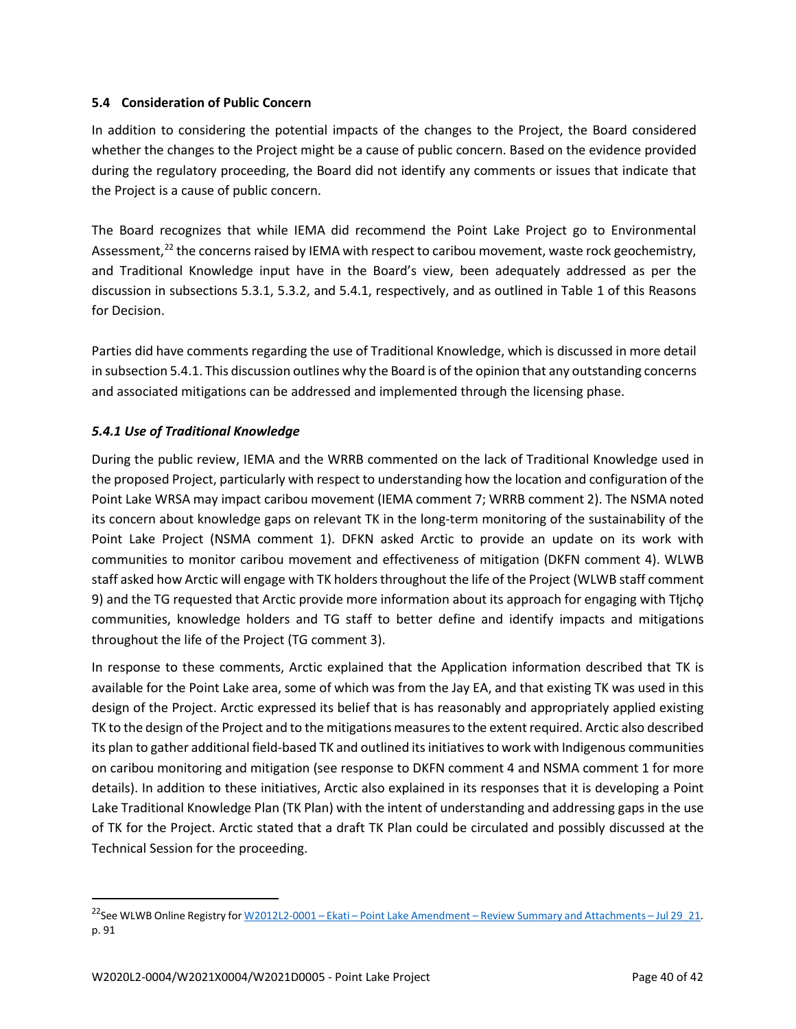### **5.4 Consideration of Public Concern**

In addition to considering the potential impacts of the changes to the Project, the Board considered whether the changes to the Project might be a cause of public concern. Based on the evidence provided during the regulatory proceeding, the Board did not identify any comments or issues that indicate that the Project is a cause of public concern.

The Board recognizes that while IEMA did recommend the Point Lake Project go to Environmental Assessment,<sup>[22](#page-41-0)</sup> the concerns raised by IEMA with respect to caribou movement, waste rock geochemistry, and Traditional Knowledge input have in the Board's view, been adequately addressed as per the discussion in subsections 5.3.1, 5.3.2, and 5.4.1, respectively, and as outlined in Table 1 of this Reasons for Decision.

Parties did have comments regarding the use of Traditional Knowledge, which is discussed in more detail in subsection 5.4.1. This discussion outlines why the Board is of the opinion that any outstanding concerns and associated mitigations can be addressed and implemented through the licensing phase.

## *5.4.1 Use of Traditional Knowledge*

During the public review, IEMA and the WRRB commented on the lack of Traditional Knowledge used in the proposed Project, particularly with respect to understanding how the location and configuration of the Point Lake WRSA may impact caribou movement (IEMA comment 7; WRRB comment 2). The NSMA noted its concern about knowledge gaps on relevant TK in the long-term monitoring of the sustainability of the Point Lake Project (NSMA comment 1). DFKN asked Arctic to provide an update on its work with communities to monitor caribou movement and effectiveness of mitigation (DKFN comment 4). WLWB staff asked how Arctic will engage with TK holders throughout the life of the Project (WLWB staff comment 9) and the TG requested that Arctic provide more information about its approach for engaging with Tłįchǫ communities, knowledge holders and TG staff to better define and identify impacts and mitigations throughout the life of the Project (TG comment 3).

In response to these comments, Arctic explained that the Application information described that TK is available for the Point Lake area, some of which was from the Jay EA, and that existing TK was used in this design of the Project. Arctic expressed its belief that is has reasonably and appropriately applied existing TK to the design of the Project and to the mitigations measures to the extent required. Arctic also described its plan to gather additional field-based TK and outlined its initiatives to work with Indigenous communities on caribou monitoring and mitigation (see response to DKFN comment 4 and NSMA comment 1 for more details). In addition to these initiatives, Arctic also explained in its responses that it is developing a Point Lake Traditional Knowledge Plan (TK Plan) with the intent of understanding and addressing gaps in the use of TK for the Project. Arctic stated that a draft TK Plan could be circulated and possibly discussed at the Technical Session for the proceeding.

<span id="page-41-0"></span><sup>&</sup>lt;sup>22</sup>See WLWB Online Registry for W2012L2-0001 – Ekati – Point Lake Amendment – [Review Summary and Attachments –](http://registry.mvlwb.ca/Documents/W2012L2-0001/W2012L2-0001%20-%20Ekati%20-%20Point%20Lake%20-%20Amendment%20-%20Review%20Summary%20and%20Attachments%20-%20Jul%2029_21.pdf) Jul 29\_21. p. 91